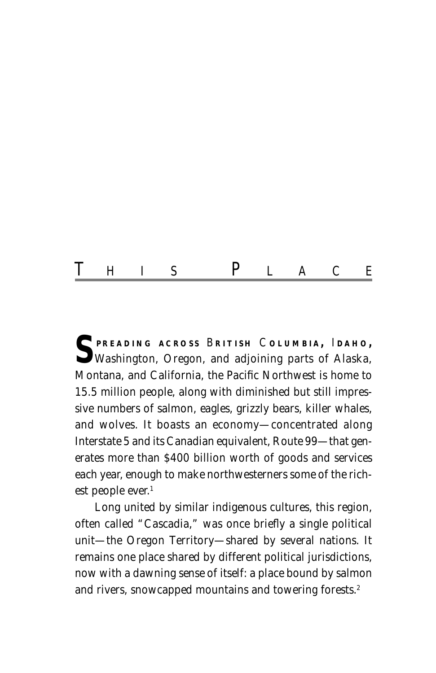# T HIS P LACE

**S PREADING ACROSS** <sup>B</sup> **RITISH** <sup>C</sup> **OLUMBIA ,** <sup>I</sup> **DAHO ,** Washington, Oregon, and adjoining parts of Alaska, Montana, and California, the Pacific Northwest is home to 15.5 million people, along with diminished but still impressive numbers of salmon, eagles, grizzly bears, killer whales, and wolves. It boasts an economy—concentrated along Interstate 5 and its Canadian equivalent, Route 99—that generates more than \$400 billion worth of goods and services each year, enough to make northwesterners some of the richest people ever.<sup>1</sup>

Long united by similar indigenous cultures, this region, often called "Cascadia," was once briefly a single political unit—the Oregon Territory—shared by several nations. It remains one place shared by different political jurisdictions, now with a dawning sense of itself: a place bound by salmon and rivers, snowcapped mountains and towering forests.<sup>2</sup>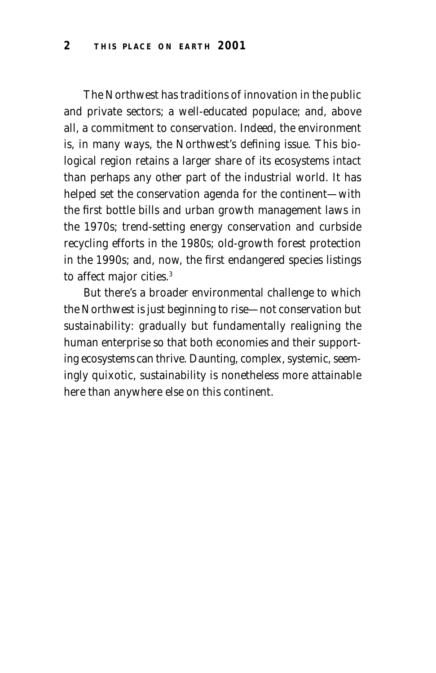The Northwest has traditions of innovation in the public and private sectors; a well-educated populace; and, above all, a commitment to conservation. Indeed, the environment is, in many ways, the Northwest's defining issue. This biological region retains a larger share of its ecosystems intact than perhaps any other part of the industrial world. It has helped set the conservation agenda for the continent—with the first bottle bills and urban growth management laws in the 1970s; trend-setting energy conservation and curbside recycling efforts in the 1980s; old-growth forest protection in the 1990s; and, now, the first endangered species listings to affect major cities.<sup>3</sup>

But there's a broader environmental challenge to which the Northwest is just beginning to rise—not conservation but sustainability: gradually but fundamentally realigning the human enterprise so that both economies and their supporting ecosystems can thrive. Daunting, complex, systemic, seemingly quixotic, sustainability is nonetheless more attainable here than anywhere else on this continent.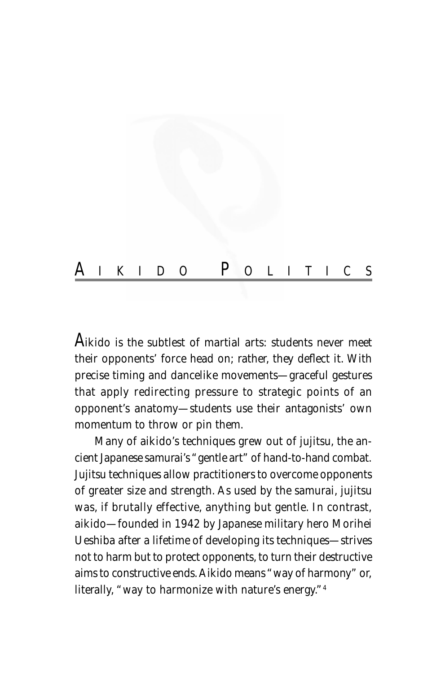

A*ikido is the subtlest of martial arts: students never meet their opponents' force head on; rather, they deflect it. With precise timing and dancelike movements—graceful gestures that apply redirecting pressure to strategic points of an opponent's anatomy—students use their antagonists' own momentum to throw or pin them.*

*Many of aikido's techniques grew out of jujitsu, the ancient Japanese samurai's "gentle art" of hand-to-hand combat. Jujitsu techniques allow practitioners to overcome opponents of greater size and strength. As used by the samurai, jujitsu was, if brutally effective, anything but gentle. In contrast, aikido—founded in 1942 by Japanese military hero Morihei Ueshiba after a lifetime of developing its techniques—strives not to harm but to protect opponents, to turn their destructive aims to constructive ends. Aikido means "way of harmony" or, literally, "way to harmonize with nature's energy."4*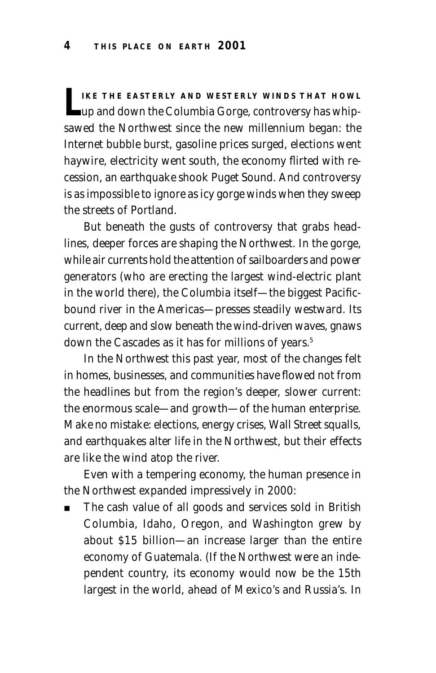**LEPT THE EASTERLY AND WESTERLY WINDS THAT HOWL**<br>
up and down the Columbia Gorge, controversy has whipsawed the Northwest since the new millennium began: the Internet bubble burst, gasoline prices surged, elections went haywire, electricity went south, the economy flirted with recession, an earthquake shook Puget Sound. And controversy is as impossible to ignore as icy gorge winds when they sweep the streets of Portland.

But beneath the gusts of controversy that grabs headlines, deeper forces are shaping the Northwest. In the gorge, while air currents hold the attention of sailboarders and power generators (who are erecting the largest wind-electric plant in the world there), the Columbia itself—the biggest Pacificbound river in the Americas—presses steadily westward. Its current, deep and slow beneath the wind-driven waves, gnaws down the Cascades as it has for millions of years.<sup>5</sup>

In the Northwest this past year, most of the changes felt in homes, businesses, and communities have flowed not from the headlines but from the region's deeper, slower current: the enormous scale—and growth—of the human enterprise. Make no mistake: elections, energy crises, Wall Street squalls, and earthquakes alter life in the Northwest, but their effects are like the wind atop the river.

Even with a tempering economy, the human presence in the Northwest expanded impressively in 2000:

The cash value of all goods and services sold in British Columbia, Idaho, Oregon, and Washington grew by about \$15 billion—an increase larger than the entire economy of Guatemala. (If the Northwest were an independent country, its economy would now be the 15th largest in the world, ahead of Mexico's and Russia's. In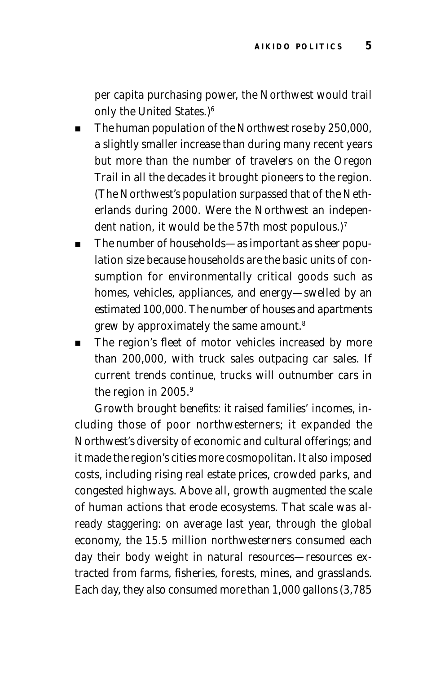per capita purchasing power, the Northwest would trail only the United States.)6

- The human population of the Northwest rose by 250,000, a slightly smaller increase than during many recent years but more than the number of travelers on the Oregon Trail in all the decades it brought pioneers to the region. (The Northwest's population surpassed that of the Netherlands during 2000. Were the Northwest an independent nation, it would be the 57th most populous.)<sup>7</sup>
- The number of households—as important as sheer population size because households are the basic units of consumption for environmentally critical goods such as homes, vehicles, appliances, and energy—swelled by an estimated 100,000. The number of houses and apartments grew by approximately the same amount.8
- The region's fleet of motor vehicles increased by more than 200,000, with truck sales outpacing car sales. If current trends continue, trucks will outnumber cars in the region in 2005.<sup>9</sup>

Growth brought benefits: it raised families' incomes, including those of poor northwesterners; it expanded the Northwest's diversity of economic and cultural offerings; and it made the region's cities more cosmopolitan. It also imposed costs, including rising real estate prices, crowded parks, and congested highways. Above all, growth augmented the scale of human actions that erode ecosystems. That scale was already staggering: on average last year, through the global economy, the 15.5 million northwesterners consumed each day their body weight in natural resources—resources extracted from farms, fisheries, forests, mines, and grasslands. Each day, they also consumed more than 1,000 gallons (3,785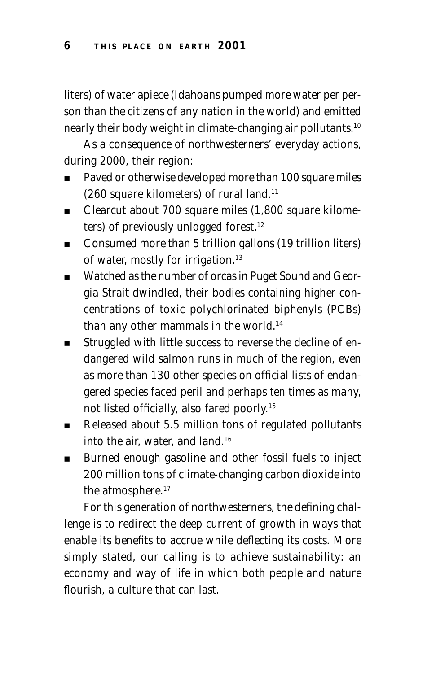liters) of water apiece (Idahoans pumped more water per person than the citizens of any nation in the world) and emitted nearly their body weight in climate-changing air pollutants.10

As a consequence of northwesterners' everyday actions, during 2000, their region:

- Paved or otherwise developed more than 100 square miles (260 square kilometers) of rural land.11
- Clearcut about 700 square miles (1,800 square kilometers) of previously unlogged forest.<sup>12</sup>
- Consumed more than 5 trillion gallons (19 trillion liters) of water, mostly for irrigation.<sup>13</sup>
- Watched as the number of orcas in Puget Sound and Georgia Strait dwindled, their bodies containing higher concentrations of toxic polychlorinated biphenyls (PCBs) than any other mammals in the world.<sup>14</sup>
- Struggled with little success to reverse the decline of endangered wild salmon runs in much of the region, even as more than 130 other species on official lists of endangered species faced peril and perhaps ten times as many, not listed officially, also fared poorly.15
- Released about 5.5 million tons of regulated pollutants into the air, water, and land.16
- Burned enough gasoline and other fossil fuels to inject 200 million tons of climate-changing carbon dioxide into the atmosphere.<sup>17</sup>

For this generation of northwesterners, the defining challenge is to redirect the deep current of growth in ways that enable its benefits to accrue while deflecting its costs. More simply stated, our calling is to achieve sustainability: an economy and way of life in which both people and nature flourish, a culture that can last.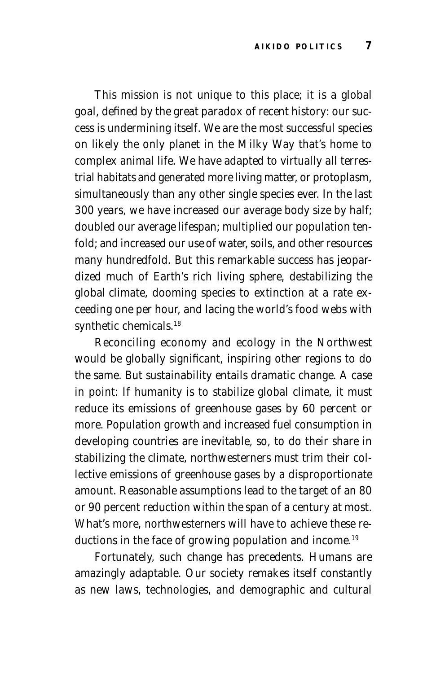This mission is not unique to this place; it is a global goal, defined by the great paradox of recent history: our success is undermining itself. We are the most successful species on likely the only planet in the Milky Way that's home to complex animal life. We have adapted to virtually all terrestrial habitats and generated more living matter, or protoplasm, simultaneously than any other single species ever. In the last 300 years, we have increased our average body size by half; doubled our average lifespan; multiplied our population tenfold; and increased our use of water, soils, and other resources many hundredfold. But this remarkable success has jeopardized much of Earth's rich living sphere, destabilizing the global climate, dooming species to extinction at a rate exceeding one per hour, and lacing the world's food webs with synthetic chemicals.<sup>18</sup>

Reconciling economy and ecology in the Northwest would be globally significant, inspiring other regions to do the same. But sustainability entails dramatic change. A case in point: If humanity is to stabilize global climate, it must reduce its emissions of greenhouse gases by 60 percent or more. Population growth and increased fuel consumption in developing countries are inevitable, so, to do their share in stabilizing the climate, northwesterners must trim their collective emissions of greenhouse gases by a disproportionate amount. Reasonable assumptions lead to the target of an 80 or 90 percent reduction within the span of a century at most. What's more, northwesterners will have to achieve these reductions in the face of growing population and income.<sup>19</sup>

Fortunately, such change has precedents. Humans are amazingly adaptable. Our society remakes itself constantly as new laws, technologies, and demographic and cultural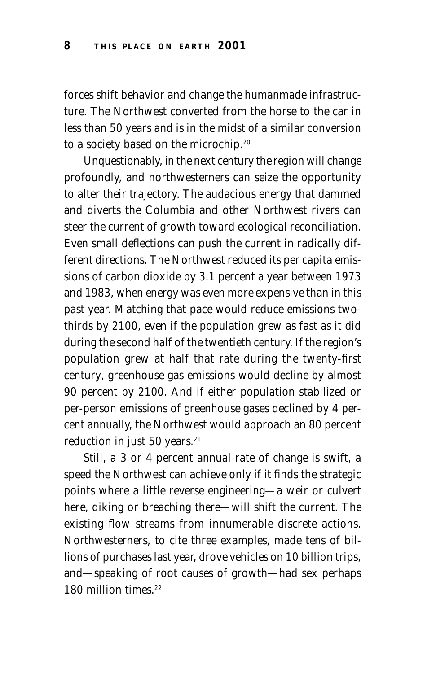forces shift behavior and change the humanmade infrastructure. The Northwest converted from the horse to the car in less than 50 years and is in the midst of a similar conversion to a society based on the microchip.20

Unquestionably, in the next century the region will change profoundly, and northwesterners can seize the opportunity to alter their trajectory. The audacious energy that dammed and diverts the Columbia and other Northwest rivers can steer the current of growth toward ecological reconciliation. Even small deflections can push the current in radically different directions. The Northwest reduced its per capita emissions of carbon dioxide by 3.1 percent a year between 1973 and 1983, when energy was even more expensive than in this past year. Matching that pace would reduce emissions twothirds by 2100, even if the population grew as fast as it did during the second half of the twentieth century. If the region's population grew at half that rate during the twenty-first century, greenhouse gas emissions would decline by almost 90 percent by 2100. And if either population stabilized or per-person emissions of greenhouse gases declined by 4 percent annually, the Northwest would approach an 80 percent reduction in just 50 years.<sup>21</sup>

Still, a 3 or 4 percent annual rate of change is swift, a speed the Northwest can achieve only if it finds the strategic points where a little reverse engineering—a weir or culvert here, diking or breaching there—will shift the current. The existing flow streams from innumerable discrete actions. Northwesterners, to cite three examples, made tens of billions of purchases last year, drove vehicles on 10 billion trips, and—speaking of root causes of growth—had sex perhaps 180 million times<sup>22</sup>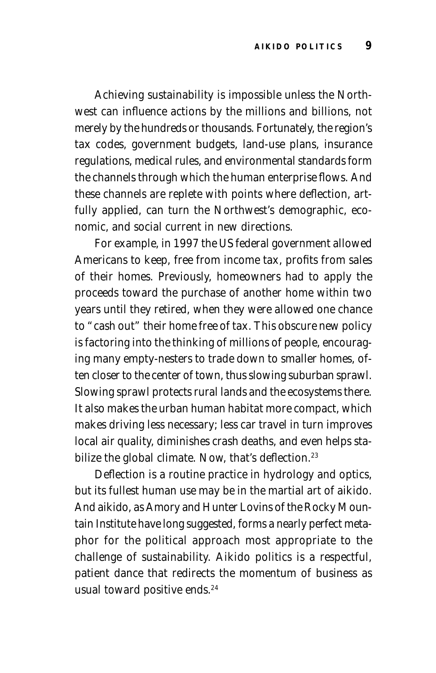Achieving sustainability is impossible unless the Northwest can influence actions by the millions and billions, not merely by the hundreds or thousands. Fortunately, the region's tax codes, government budgets, land-use plans, insurance regulations, medical rules, and environmental standards form the channels through which the human enterprise flows. And these channels are replete with points where deflection, artfully applied, can turn the Northwest's demographic, economic, and social current in new directions.

For example, in 1997 the US federal government allowed Americans to keep, free from income tax, profits from sales of their homes. Previously, homeowners had to apply the proceeds toward the purchase of another home within two years until they retired, when they were allowed one chance to "cash out" their home free of tax. This obscure new policy is factoring into the thinking of millions of people, encouraging many empty-nesters to trade down to smaller homes, often closer to the center of town, thus slowing suburban sprawl. Slowing sprawl protects rural lands and the ecosystems there. It also makes the urban human habitat more compact, which makes driving less necessary; less car travel in turn improves local air quality, diminishes crash deaths, and even helps stabilize the global climate. Now, that's deflection.<sup>23</sup>

Deflection is a routine practice in hydrology and optics, but its fullest human use may be in the martial art of aikido. And aikido, as Amory and Hunter Lovins of the Rocky Mountain Institute have long suggested, forms a nearly perfect metaphor for the political approach most appropriate to the challenge of sustainability. Aikido politics is a respectful, patient dance that redirects the momentum of business as usual toward positive ends.<sup>24</sup>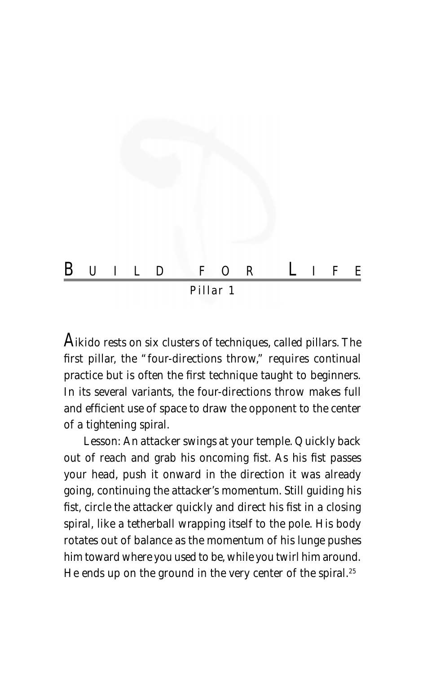

A*ikido rests on six clusters of techniques, called pillars. The first pillar, the "four-directions throw," requires continual practice but is often the first technique taught to beginners. In its several variants, the four-directions throw makes full and efficient use of space to draw the opponent to the center of a tightening spiral.*

Lesson: *An attacker swings at your temple. Quickly back out of reach and grab his oncoming fist. As his fist passes your head, push it onward in the direction it was already going, continuing the attacker's momentum. Still guiding his fist, circle the attacker quickly and direct his fist in a closing spiral, like a tetherball wrapping itself to the pole. His body rotates out of balance as the momentum of his lunge pushes him toward where you used to be, while you twirl him around. He ends up on the ground in the very center of the spiral.25*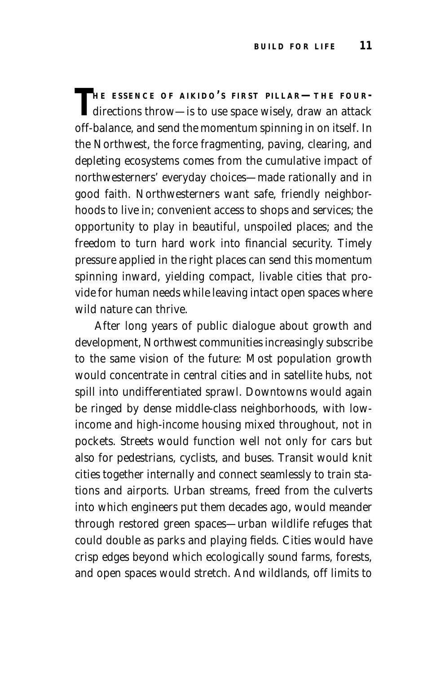THE ESSENCE OF AIKIDO'S FIRST PILLAR—THE FOUR-<br>directions throw—is to use space wisely, draw an attack off-balance, and send the momentum spinning in on itself. In the Northwest, the force fragmenting, paving, clearing, and depleting ecosystems comes from the cumulative impact of northwesterners' everyday choices—made rationally and in good faith. Northwesterners want safe, friendly neighborhoods to live in; convenient access to shops and services; the opportunity to play in beautiful, unspoiled places; and the freedom to turn hard work into financial security. Timely pressure applied in the right places can send this momentum spinning inward, yielding compact, livable cities that provide for human needs while leaving intact open spaces where wild nature can thrive.

After long years of public dialogue about growth and development, Northwest communities increasingly subscribe to the same vision of the future: Most population growth would concentrate in central cities and in satellite hubs, not spill into undifferentiated sprawl. Downtowns would again be ringed by dense middle-class neighborhoods, with lowincome and high-income housing mixed throughout, not in pockets. Streets would function well not only for cars but also for pedestrians, cyclists, and buses. Transit would knit cities together internally and connect seamlessly to train stations and airports. Urban streams, freed from the culverts into which engineers put them decades ago, would meander through restored green spaces—urban wildlife refuges that could double as parks and playing fields. Cities would have crisp edges beyond which ecologically sound farms, forests, and open spaces would stretch. And wildlands, off limits to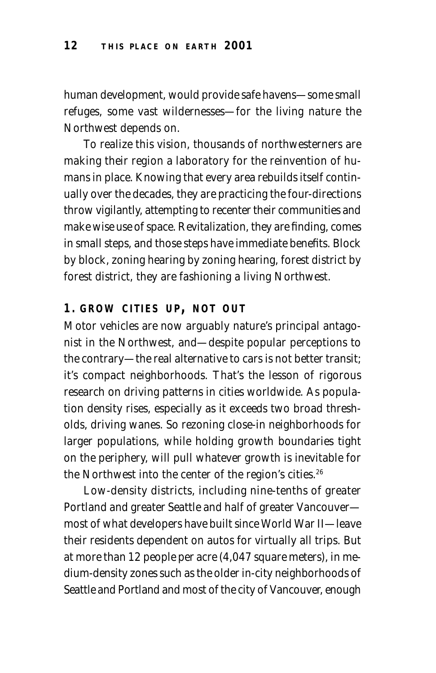human development, would provide safe havens—some small refuges, some vast wildernesses—for the living nature the Northwest depends on.

To realize this vision, thousands of northwesterners are making their region a laboratory for the reinvention of humans in place. Knowing that every area rebuilds itself continually over the decades, they are practicing the four-directions throw vigilantly, attempting to recenter their communities and make wise use of space. Revitalization, they are finding, comes in small steps, and those steps have immediate benefits. Block by block, zoning hearing by zoning hearing, forest district by forest district, they are fashioning a living Northwest.

## **1. GROW CITIES UP , NOT OUT**

Motor vehicles are now arguably nature's principal antagonist in the Northwest, and—despite popular perceptions to the contrary—the real alternative to cars is not better transit; it's compact neighborhoods. That's the lesson of rigorous research on driving patterns in cities worldwide. As population density rises, especially as it exceeds two broad thresholds, driving wanes. So rezoning close-in neighborhoods for larger populations, while holding growth boundaries tight on the periphery, will pull whatever growth is inevitable for the Northwest into the center of the region's cities.<sup>26</sup>

Low-density districts, including nine-tenths of greater Portland and greater Seattle and half of greater Vancouver most of what developers have built since World War II—leave their residents dependent on autos for virtually all trips. But at more than 12 people per acre (4,047 square meters), in medium-density zones such as the older in-city neighborhoods of Seattle and Portland and most of the city of Vancouver, enough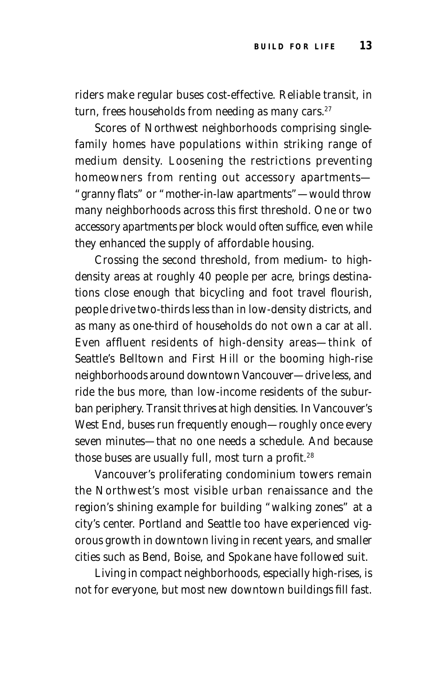riders make regular buses cost-effective. Reliable transit, in turn, frees households from needing as many cars.<sup>27</sup>

Scores of Northwest neighborhoods comprising singlefamily homes have populations within striking range of medium density. Loosening the restrictions preventing homeowners from renting out accessory apartments— "granny flats" or "mother-in-law apartments"—would throw many neighborhoods across this first threshold. One or two accessory apartments per block would often suffice, even while they enhanced the supply of affordable housing.

Crossing the second threshold, from medium- to highdensity areas at roughly 40 people per acre, brings destinations close enough that bicycling and foot travel flourish, people drive two-thirds less than in low-density districts, and as many as one-third of households do not own a car at all. Even affluent residents of high-density areas—think of Seattle's Belltown and First Hill or the booming high-rise neighborhoods around downtown Vancouver—drive less, and ride the bus more, than low-income residents of the suburban periphery. Transit thrives at high densities. In Vancouver's West End, buses run frequently enough—roughly once every seven minutes—that no one needs a schedule. And because those buses are usually full, most turn a profit.<sup>28</sup>

Vancouver's proliferating condominium towers remain the Northwest's most visible urban renaissance and the region's shining example for building "walking zones" at a city's center. Portland and Seattle too have experienced vigorous growth in downtown living in recent years, and smaller cities such as Bend, Boise, and Spokane have followed suit.

Living in compact neighborhoods, especially high-rises, is not for everyone, but most new downtown buildings fill fast.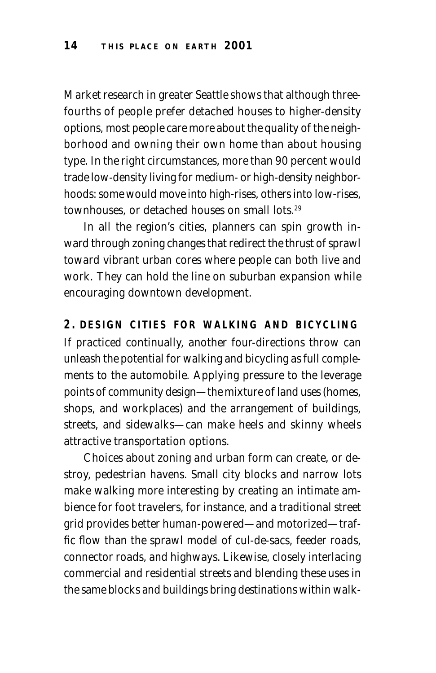Market research in greater Seattle shows that although threefourths of people prefer detached houses to higher-density options, most people care more about the quality of the neighborhood and owning their own home than about housing type. In the right circumstances, more than 90 percent would trade low-density living for medium- or high-density neighborhoods: some would move into high-rises, others into low-rises, townhouses, or detached houses on small lots.29

In all the region's cities, planners can spin growth inward through zoning changes that redirect the thrust of sprawl toward vibrant urban cores where people can both live and work. They can hold the line on suburban expansion while encouraging downtown development.

**2. DESIGN CITIES FOR WALKING AND BICYCLING** If practiced continually, another four-directions throw can unleash the potential for walking and bicycling as full complements to the automobile. Applying pressure to the leverage points of community design—the mixture of land uses (homes, shops, and workplaces) and the arrangement of buildings, streets, and sidewalks—can make heels and skinny wheels attractive transportation options.

Choices about zoning and urban form can create, or destroy, pedestrian havens. Small city blocks and narrow lots make walking more interesting by creating an intimate ambience for foot travelers, for instance, and a traditional street grid provides better human-powered—and motorized—traffic flow than the sprawl model of cul-de-sacs, feeder roads, connector roads, and highways. Likewise, closely interlacing commercial and residential streets and blending these uses in the same blocks and buildings bring destinations within walk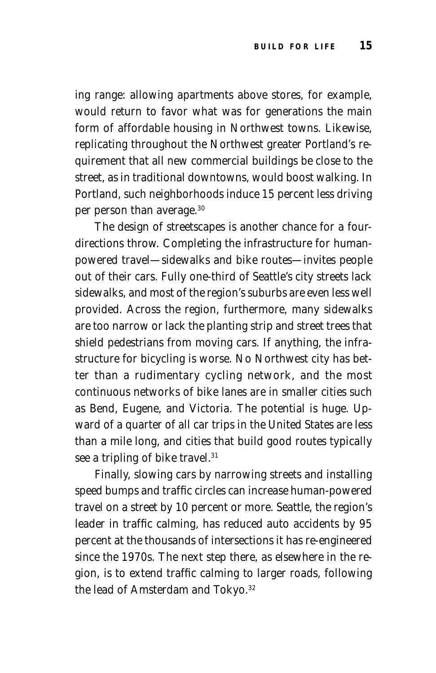ing range: allowing apartments above stores, for example, would return to favor what was for generations the main form of affordable housing in Northwest towns. Likewise, replicating throughout the Northwest greater Portland's requirement that all new commercial buildings be close to the street, as in traditional downtowns, would boost walking. In Portland, such neighborhoods induce 15 percent less driving per person than average.30

The design of streetscapes is another chance for a fourdirections throw. Completing the infrastructure for humanpowered travel—sidewalks and bike routes—invites people out of their cars. Fully one-third of Seattle's city streets lack sidewalks, and most of the region's suburbs are even less well provided. Across the region, furthermore, many sidewalks are too narrow or lack the planting strip and street trees that shield pedestrians from moving cars. If anything, the infrastructure for bicycling is worse. No Northwest city has better than a rudimentary cycling network, and the most continuous networks of bike lanes are in smaller cities such as Bend, Eugene, and Victoria. The potential is huge. Upward of a quarter of all car trips in the United States are less than a mile long, and cities that build good routes typically see a tripling of bike travel.<sup>31</sup>

Finally, slowing cars by narrowing streets and installing speed bumps and traffic circles can increase human-powered travel on a street by 10 percent or more. Seattle, the region's leader in traffic calming, has reduced auto accidents by 95 percent at the thousands of intersections it has re-engineered since the 1970s. The next step there, as elsewhere in the region, is to extend traffic calming to larger roads, following the lead of Amsterdam and Tokyo.<sup>32</sup>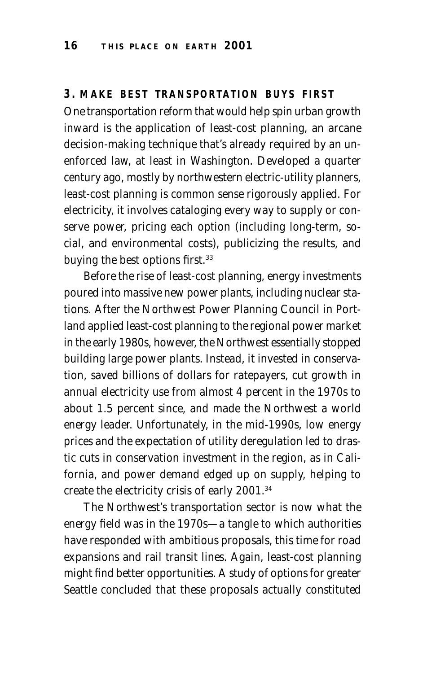## **3. MAKE BEST TRANSPORTATION BUYS FIRST**

One transportation reform that would help spin urban growth inward is the application of least-cost planning, an arcane decision-making technique that's already required by an unenforced law, at least in Washington. Developed a quarter century ago, mostly by northwestern electric-utility planners, least-cost planning is common sense rigorously applied. For electricity, it involves cataloging every way to supply or conserve power, pricing each option (including long-term, social, and environmental costs), publicizing the results, and buying the best options first.<sup>33</sup>

Before the rise of least-cost planning, energy investments poured into massive new power plants, including nuclear stations. After the Northwest Power Planning Council in Portland applied least-cost planning to the regional power market in the early 1980s, however, the Northwest essentially stopped building large power plants. Instead, it invested in conservation, saved billions of dollars for ratepayers, cut growth in annual electricity use from almost 4 percent in the 1970s to about 1.5 percent since, and made the Northwest a world energy leader. Unfortunately, in the mid-1990s, low energy prices and the expectation of utility deregulation led to drastic cuts in conservation investment in the region, as in California, and power demand edged up on supply, helping to create the electricity crisis of early 2001.34

The Northwest's transportation sector is now what the energy field was in the 1970s—a tangle to which authorities have responded with ambitious proposals, this time for road expansions and rail transit lines. Again, least-cost planning might find better opportunities. A study of options for greater Seattle concluded that these proposals actually constituted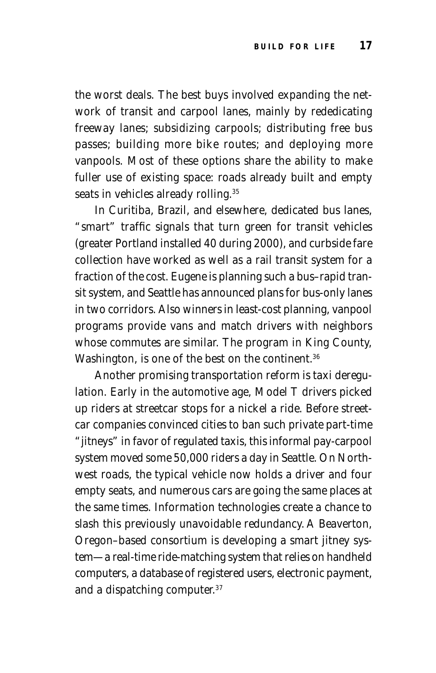the worst deals. The best buys involved expanding the network of transit and carpool lanes, mainly by rededicating freeway lanes; subsidizing carpools; distributing free bus passes; building more bike routes; and deploying more vanpools. Most of these options share the ability to make fuller use of existing space: roads already built and empty seats in vehicles already rolling.<sup>35</sup>

In Curitiba, Brazil, and elsewhere, dedicated bus lanes, "smart" traffic signals that turn green for transit vehicles (greater Portland installed 40 during 2000), and curbside fare collection have worked as well as a rail transit system for a fraction of the cost. Eugene is planning such a bus–rapid transit system, and Seattle has announced plans for bus-only lanes in two corridors. Also winners in least-cost planning, vanpool programs provide vans and match drivers with neighbors whose commutes are similar. The program in King County, Washington, is one of the best on the continent.<sup>36</sup>

Another promising transportation reform is taxi deregulation. Early in the automotive age, Model T drivers picked up riders at streetcar stops for a nickel a ride. Before streetcar companies convinced cities to ban such private part-time "jitneys" in favor of regulated taxis, this informal pay-carpool system moved some 50,000 riders a day in Seattle. On Northwest roads, the typical vehicle now holds a driver and four empty seats, and numerous cars are going the same places at the same times. Information technologies create a chance to slash this previously unavoidable redundancy. A Beaverton, Oregon–based consortium is developing a smart jitney system—a real-time ride-matching system that relies on handheld computers, a database of registered users, electronic payment, and a dispatching computer.37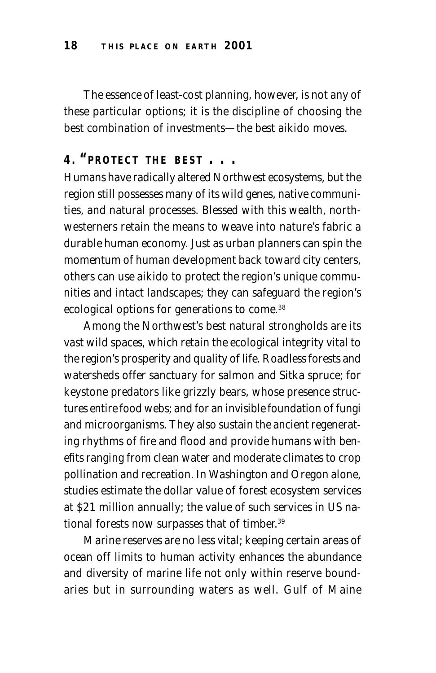The essence of least-cost planning, however, is not any of these particular options; it is the discipline of choosing the best combination of investments—the best aikido moves.

## **4. "PROTECT THE BEST ...**

Humans have radically altered Northwest ecosystems, but the region still possesses many of its wild genes, native communities, and natural processes. Blessed with this wealth, northwesterners retain the means to weave into nature's fabric a durable human economy. Just as urban planners can spin the momentum of human development back toward city centers, others can use aikido to protect the region's unique communities and intact landscapes; they can safeguard the region's ecological options for generations to come.<sup>38</sup>

Among the Northwest's best natural strongholds are its vast wild spaces, which retain the ecological integrity vital to the region's prosperity and quality of life. Roadless forests and watersheds offer sanctuary for salmon and Sitka spruce; for keystone predators like grizzly bears, whose presence structures entire food webs; and for an invisible foundation of fungi and microorganisms. They also sustain the ancient regenerating rhythms of fire and flood and provide humans with benefits ranging from clean water and moderate climates to crop pollination and recreation. In Washington and Oregon alone, studies estimate the dollar value of forest ecosystem services at \$21 million annually; the value of such services in US national forests now surpasses that of timber.39

Marine reserves are no less vital; keeping certain areas of ocean off limits to human activity enhances the abundance and diversity of marine life not only within reserve boundaries but in surrounding waters as well. Gulf of Maine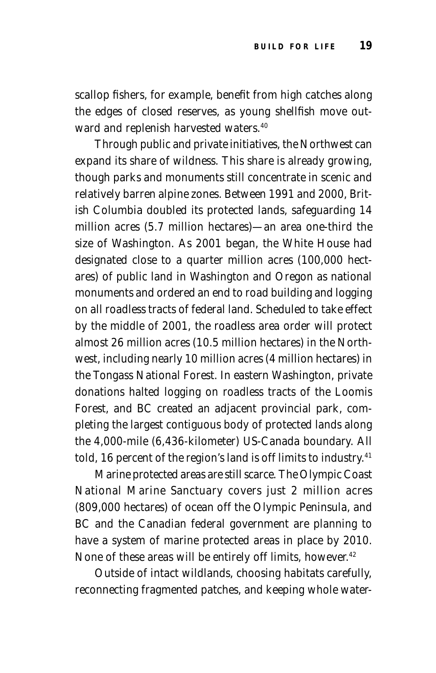scallop fishers, for example, benefit from high catches along the edges of closed reserves, as young shellfish move outward and replenish harvested waters.<sup>40</sup>

Through public and private initiatives, the Northwest can expand its share of wildness. This share is already growing, though parks and monuments still concentrate in scenic and relatively barren alpine zones. Between 1991 and 2000, British Columbia doubled its protected lands, safeguarding 14 million acres (5.7 million hectares)—an area one-third the size of Washington. As 2001 began, the White House had designated close to a quarter million acres (100,000 hectares) of public land in Washington and Oregon as national monuments and ordered an end to road building and logging on all roadless tracts of federal land. Scheduled to take effect by the middle of 2001, the roadless area order will protect almost 26 million acres (10.5 million hectares) in the Northwest, including nearly 10 million acres (4 million hectares) in the Tongass National Forest. In eastern Washington, private donations halted logging on roadless tracts of the Loomis Forest, and BC created an adjacent provincial park, completing the largest contiguous body of protected lands along the 4,000-mile (6,436-kilometer) US-Canada boundary. All told, 16 percent of the region's land is off limits to industry.<sup>41</sup>

Marine protected areas are still scarce. The Olympic Coast National Marine Sanctuary covers just 2 million acres (809,000 hectares) of ocean off the Olympic Peninsula, and BC and the Canadian federal government are planning to have a system of marine protected areas in place by 2010. None of these areas will be entirely off limits, however.<sup>42</sup>

Outside of intact wildlands, choosing habitats carefully, reconnecting fragmented patches, and keeping whole water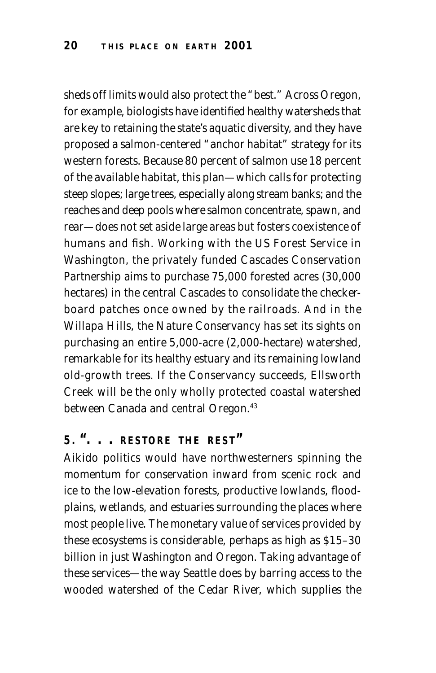sheds off limits would also protect the "best." Across Oregon, for example, biologists have identified healthy watersheds that are key to retaining the state's aquatic diversity, and they have proposed a salmon-centered "anchor habitat" strategy for its western forests. Because 80 percent of salmon use 18 percent of the available habitat, this plan—which calls for protecting steep slopes; large trees, especially along stream banks; and the reaches and deep pools where salmon concentrate, spawn, and rear—does not set aside large areas but fosters coexistence of humans and fish. Working with the US Forest Service in Washington, the privately funded Cascades Conservation Partnership aims to purchase 75,000 forested acres (30,000 hectares) in the central Cascades to consolidate the checkerboard patches once owned by the railroads. And in the Willapa Hills, the Nature Conservancy has set its sights on purchasing an entire 5,000-acre (2,000-hectare) watershed, remarkable for its healthy estuary and its remaining lowland old-growth trees. If the Conservancy succeeds, Ellsworth Creek will be the only wholly protected coastal watershed between Canada and central Oregon.<sup>43</sup>

## **5. ". . . RESTORE THE REST "**

Aikido politics would have northwesterners spinning the momentum for conservation inward from scenic rock and ice to the low-elevation forests, productive lowlands, floodplains, wetlands, and estuaries surrounding the places where most people live. The monetary value of services provided by these ecosystems is considerable, perhaps as high as \$15–30 billion in just Washington and Oregon. Taking advantage of these services—the way Seattle does by barring access to the wooded watershed of the Cedar River, which supplies the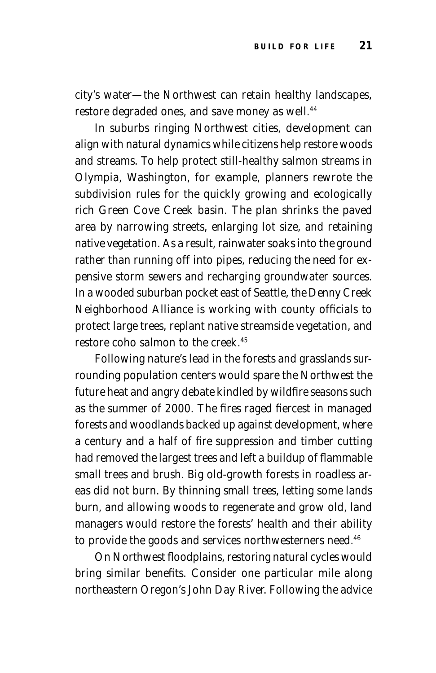city's water—the Northwest can retain healthy landscapes, restore degraded ones, and save money as well.<sup>44</sup>

In suburbs ringing Northwest cities, development can align with natural dynamics while citizens help restore woods and streams. To help protect still-healthy salmon streams in Olympia, Washington, for example, planners rewrote the subdivision rules for the quickly growing and ecologically rich Green Cove Creek basin. The plan shrinks the paved area by narrowing streets, enlarging lot size, and retaining native vegetation. As a result, rainwater soaks into the ground rather than running off into pipes, reducing the need for expensive storm sewers and recharging groundwater sources. In a wooded suburban pocket east of Seattle, the Denny Creek Neighborhood Alliance is working with county officials to protect large trees, replant native streamside vegetation, and restore coho salmon to the creek.45

Following nature's lead in the forests and grasslands surrounding population centers would spare the Northwest the future heat and angry debate kindled by wildfire seasons such as the summer of 2000. The fires raged fiercest in managed forests and woodlands backed up against development, where a century and a half of fire suppression and timber cutting had removed the largest trees and left a buildup of flammable small trees and brush. Big old-growth forests in roadless areas did not burn. By thinning small trees, letting some lands burn, and allowing woods to regenerate and grow old, land managers would restore the forests' health and their ability to provide the goods and services northwesterners need.<sup>46</sup>

On Northwest floodplains, restoring natural cycles would bring similar benefits. Consider one particular mile along northeastern Oregon's John Day River. Following the advice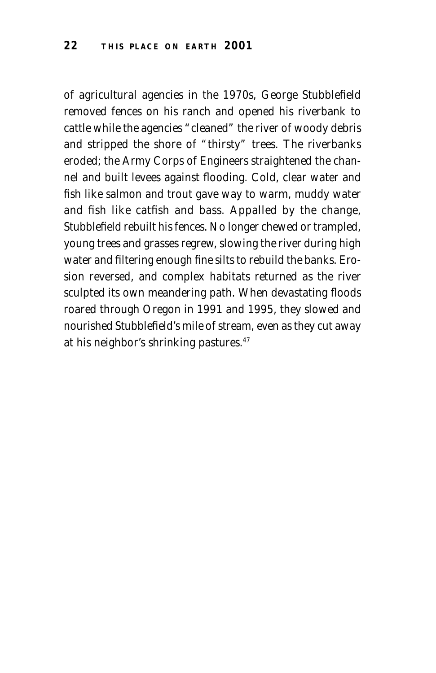of agricultural agencies in the 1970s, George Stubblefield removed fences on his ranch and opened his riverbank to cattle while the agencies "cleaned" the river of woody debris and stripped the shore of "thirsty" trees. The riverbanks eroded; the Army Corps of Engineers straightened the channel and built levees against flooding. Cold, clear water and fish like salmon and trout gave way to warm, muddy water and fish like catfish and bass. Appalled by the change, Stubblefield rebuilt his fences. No longer chewed or trampled, young trees and grasses regrew, slowing the river during high water and filtering enough fine silts to rebuild the banks. Erosion reversed, and complex habitats returned as the river sculpted its own meandering path. When devastating floods roared through Oregon in 1991 and 1995, they slowed and nourished Stubblefield's mile of stream, even as they cut away at his neighbor's shrinking pastures.47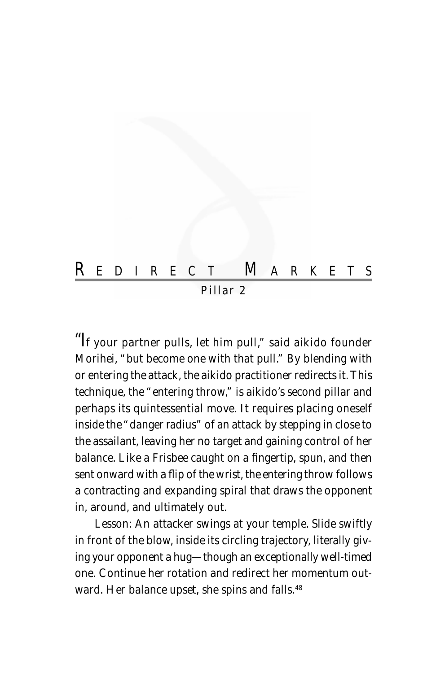

"I*f your partner pulls, let him pull," said aikido founder Morihei, "but become one with that pull." By blending with or entering the attack, the aikido practitioner redirects it. This technique, the "entering throw," is aikido's second pillar and perhaps its quintessential move. It requires placing oneself inside the "danger radius" of an attack by stepping in close to the assailant, leaving her no target and gaining control of her balance. Like a Frisbee caught on a fingertip, spun, and then sent onward with a flip of the wrist, the entering throw follows a contracting and expanding spiral that draws the opponent in, around, and ultimately out.*

Lesson: *An attacker swings at your temple. Slide swiftly in front of the blow, inside its circling trajectory, literally giving your opponent a hug—though an exceptionally well-timed one. Continue her rotation and redirect her momentum outward. Her balance upset, she spins and falls.48*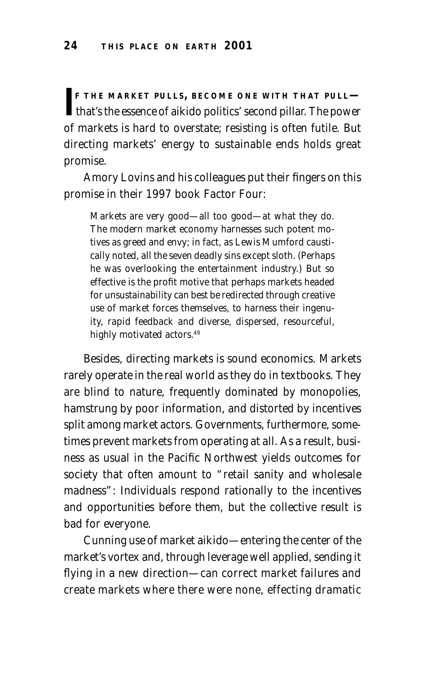**IF THE MARKET PULLS, BECOME ONE WITH THAT PULL—<br>that's the essence of aikido politics' second pillar. The power F THE MARKET PULLS, BECOME ONE WITH THAT PULL** of markets is hard to overstate; resisting is often futile. But directing markets' energy to sustainable ends holds great promise.

Amory Lovins and his colleagues put their fingers on this promise in their 1997 book *Factor Four:*

Markets are very good—all too good—at what they do. The modern market economy harnesses such potent motives as greed and envy; in fact, as Lewis Mumford caustically noted, all the seven deadly sins except sloth. (Perhaps he was overlooking the entertainment industry.) But so effective is the profit motive that perhaps markets headed for unsustainability can best be redirected through creative use of market forces themselves, to harness their ingenuity, rapid feedback and diverse, dispersed, resourceful, highly motivated actors.<sup>49</sup>

Besides, directing markets is sound economics. Markets rarely operate in the real world as they do in textbooks. They are blind to nature, frequently dominated by monopolies, hamstrung by poor information, and distorted by incentives split among market actors. Governments, furthermore, sometimes prevent markets from operating at all. As a result, business as usual in the Pacific Northwest yields outcomes for society that often amount to "retail sanity and wholesale madness": Individuals respond rationally to the incentives and opportunities before them, but the collective result is bad for everyone.

Cunning use of market aikido—entering the center of the market's vortex and, through leverage well applied, sending it flying in a new direction—can correct market failures and create markets where there were none, effecting dramatic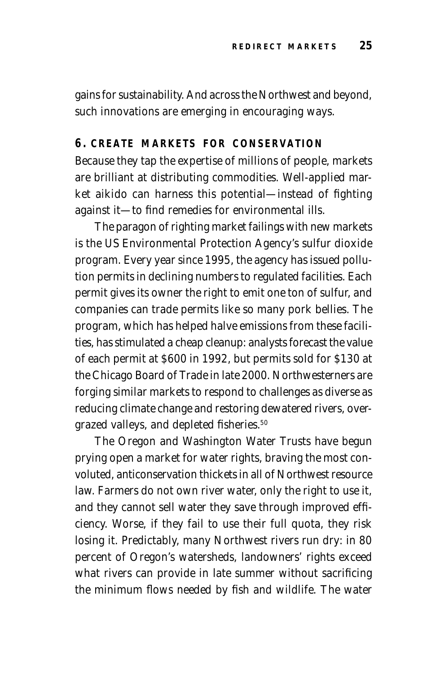gains for sustainability. And across the Northwest and beyond, such innovations are emerging in encouraging ways.

### **6. CREATE MARKETS FOR CONSERVATION**

Because they tap the expertise of millions of people, markets are brilliant at distributing commodities. Well-applied market aikido can harness this potential—instead of fighting against it—to find remedies for environmental ills.

The paragon of righting market failings with new markets is the US Environmental Protection Agency's sulfur dioxide program. Every year since 1995, the agency has issued pollution permits in declining numbers to regulated facilities. Each permit gives its owner the right to emit one ton of sulfur, and companies can trade permits like so many pork bellies. The program, which has helped halve emissions from these facilities, has stimulated a cheap cleanup: analysts forecast the value of each permit at \$600 in 1992, but permits sold for \$130 at the Chicago Board of Trade in late 2000. Northwesterners are forging similar markets to respond to challenges as diverse as reducing climate change and restoring dewatered rivers, overgrazed valleys, and depleted fisheries.<sup>50</sup>

The Oregon and Washington Water Trusts have begun prying open a market for water rights, braving the most convoluted, anticonservation thickets in all of Northwest resource law. Farmers do not own river water, only the right to use it, and they cannot sell water they save through improved efficiency. Worse, if they fail to use their full quota, they risk losing it. Predictably, many Northwest rivers run dry: in 80 percent of Oregon's watersheds, landowners' rights exceed what rivers can provide in late summer without sacrificing the minimum flows needed by fish and wildlife. The water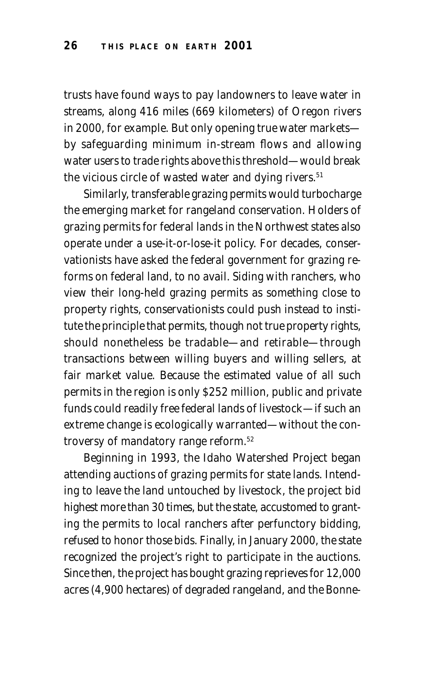trusts have found ways to pay landowners to leave water in streams, along 416 miles (669 kilometers) of Oregon rivers in 2000, for example. But only opening true water markets by safeguarding minimum in-stream flows and allowing water users to trade rights above this threshold—would break the vicious circle of wasted water and dying rivers.<sup>51</sup>

Similarly, transferable grazing permits would turbocharge the emerging market for rangeland conservation. Holders of grazing permits for federal lands in the Northwest states also operate under a use-it-or-lose-it policy. For decades, conservationists have asked the federal government for grazing reforms on federal land, to no avail. Siding with ranchers, who view their long-held grazing permits as something close to property rights, conservationists could push instead to institute the principle that permits, though not true property rights, should nonetheless be tradable—and retirable—through transactions between willing buyers and willing sellers, at fair market value. Because the estimated value of all such permits in the region is only \$252 million, public and private funds could readily free federal lands of livestock—if such an extreme change is ecologically warranted—without the controversy of mandatory range reform.<sup>52</sup>

Beginning in 1993, the Idaho Watershed Project began attending auctions of grazing permits for state lands. Intending to leave the land untouched by livestock, the project bid highest more than 30 times, but the state, accustomed to granting the permits to local ranchers after perfunctory bidding, refused to honor those bids. Finally, in January 2000, the state recognized the project's right to participate in the auctions. Since then, the project has bought grazing reprieves for 12,000 acres (4,900 hectares) of degraded rangeland, and the Bonne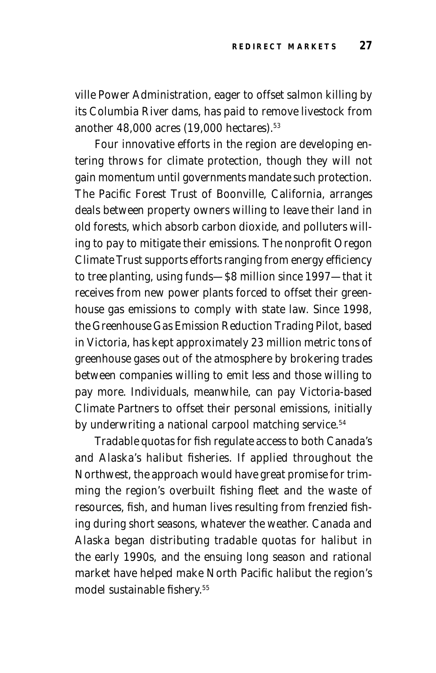ville Power Administration, eager to offset salmon killing by its Columbia River dams, has paid to remove livestock from another 48,000 acres (19,000 hectares).53

Four innovative efforts in the region are developing entering throws for climate protection, though they will not gain momentum until governments mandate such protection. The Pacific Forest Trust of Boonville, California, arranges deals between property owners willing to leave their land in old forests, which absorb carbon dioxide, and polluters willing to pay to mitigate their emissions. The nonprofit Oregon Climate Trust supports efforts ranging from energy efficiency to tree planting, using funds—\$8 million since 1997—that it receives from new power plants forced to offset their greenhouse gas emissions to comply with state law. Since 1998, the Greenhouse Gas Emission Reduction Trading Pilot, based in Victoria, has kept approximately 23 million metric tons of greenhouse gases out of the atmosphere by brokering trades between companies willing to emit less and those willing to pay more. Individuals, meanwhile, can pay Victoria-based Climate Partners to offset their personal emissions, initially by underwriting a national carpool matching service.<sup>54</sup>

Tradable quotas for fish regulate access to both Canada's and Alaska's halibut fisheries. If applied throughout the Northwest, the approach would have great promise for trimming the region's overbuilt fishing fleet and the waste of resources, fish, and human lives resulting from frenzied fishing during short seasons, whatever the weather. Canada and Alaska began distributing tradable quotas for halibut in the early 1990s, and the ensuing long season and rational market have helped make North Pacific halibut the region's model sustainable fishery.55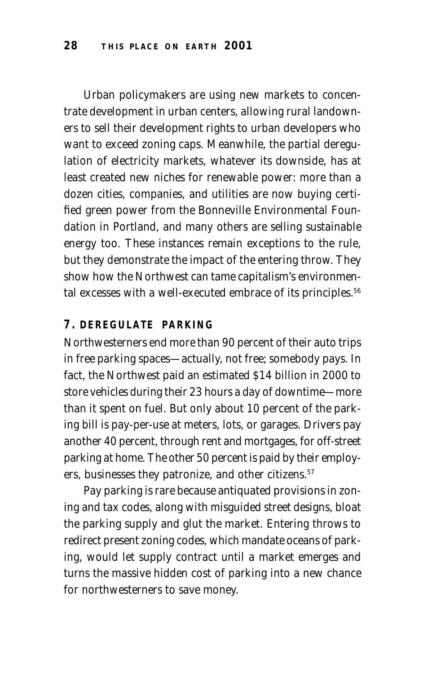Urban policymakers are using new markets to concentrate development in urban centers, allowing rural landowners to sell their development rights to urban developers who want to exceed zoning caps. Meanwhile, the partial deregulation of electricity markets, whatever its downside, has at least created new niches for renewable power: more than a dozen cities, companies, and utilities are now buying certified green power from the Bonneville Environmental Foundation in Portland, and many others are selling sustainable energy too. These instances remain exceptions to the rule, but they demonstrate the impact of the entering throw. They show how the Northwest can tame capitalism's environmental excesses with a well-executed embrace of its principles.<sup>56</sup>

## **7. DEREGULATE PARKING**

Northwesterners end more than 90 percent of their auto trips in free parking spaces—actually, not free; somebody pays. In fact, the Northwest paid an estimated \$14 billion in 2000 to store vehicles during their 23 hours a day of downtime—more than it spent on fuel. But only about 10 percent of the parking bill is pay-per-use at meters, lots, or garages. Drivers pay another 40 percent, through rent and mortgages, for off-street parking at home. The other 50 percent is paid by their employers, businesses they patronize, and other citizens.<sup>57</sup>

Pay parking is rare because antiquated provisions in zoning and tax codes, along with misguided street designs, bloat the parking supply and glut the market. Entering throws to redirect present zoning codes, which mandate oceans of parking, would let supply contract until a market emerges and turns the massive hidden cost of parking into a new chance for northwesterners to save money.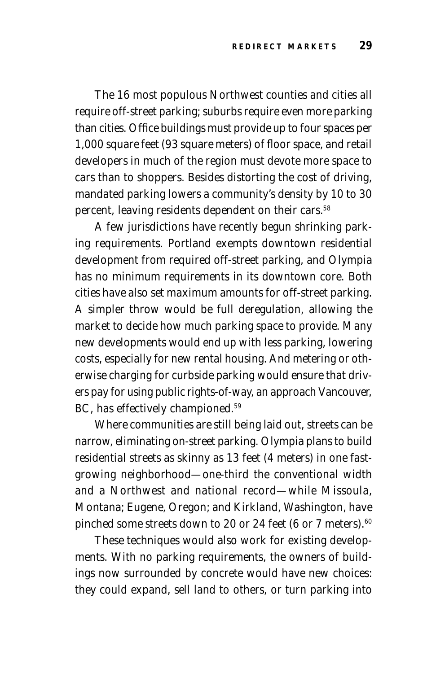The 16 most populous Northwest counties and cities all require off-street parking; suburbs require even more parking than cities. Office buildings must provide up to four spaces per 1,000 square feet (93 square meters) of floor space, and retail developers in much of the region must devote more space to cars than to shoppers. Besides distorting the cost of driving, mandated parking lowers a community's density by 10 to 30 percent, leaving residents dependent on their cars.<sup>58</sup>

A few jurisdictions have recently begun shrinking parking requirements. Portland exempts downtown residential development from required off-street parking, and Olympia has no minimum requirements in its downtown core. Both cities have also set maximum amounts for off-street parking. A simpler throw would be full deregulation, allowing the market to decide how much parking space to provide. Many new developments would end up with less parking, lowering costs, especially for new rental housing. And metering or otherwise charging for curbside parking would ensure that drivers pay for using public rights-of-way, an approach Vancouver, BC, has effectively championed.59

Where communities are still being laid out, streets can be narrow, eliminating on-street parking. Olympia plans to build residential streets as skinny as 13 feet (4 meters) in one fastgrowing neighborhood—one-third the conventional width and a Northwest and national record—while Missoula, Montana; Eugene, Oregon; and Kirkland, Washington, have pinched some streets down to 20 or 24 feet (6 or 7 meters).<sup>60</sup>

These techniques would also work for existing developments. With no parking requirements, the owners of buildings now surrounded by concrete would have new choices: they could expand, sell land to others, or turn parking into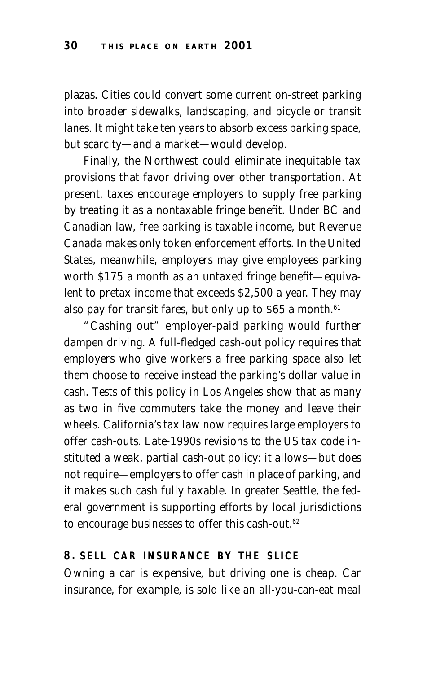plazas. Cities could convert some current on-street parking into broader sidewalks, landscaping, and bicycle or transit lanes. It might take ten years to absorb excess parking space, but scarcity—and a market—would develop.

Finally, the Northwest could eliminate inequitable tax provisions that favor driving over other transportation. At present, taxes encourage employers to supply free parking by treating it as a nontaxable fringe benefit. Under BC and Canadian law, free parking is taxable income, but Revenue Canada makes only token enforcement efforts. In the United States, meanwhile, employers may give employees parking worth \$175 a month as an untaxed fringe benefit—equivalent to pretax income that exceeds \$2,500 a year. They may also pay for transit fares, but only up to \$65 a month.<sup>61</sup>

"Cashing out" employer-paid parking would further dampen driving. A full-fledged cash-out policy requires that employers who give workers a free parking space also let them choose to receive instead the parking's dollar value in cash. Tests of this policy in Los Angeles show that as many as two in five commuters take the money and leave their wheels. California's tax law now requires large employers to offer cash-outs. Late-1990s revisions to the US tax code instituted a weak, partial cash-out policy: it allows—but does not require—employers to offer cash in place of parking, and it makes such cash fully taxable. In greater Seattle, the federal government is supporting efforts by local jurisdictions to encourage businesses to offer this cash-out.<sup>62</sup>

#### **8. SELL CAR INSURANCE BY THE SLICE**

Owning a car is expensive, but driving one is cheap. Car insurance, for example, is sold like an all-you-can-eat meal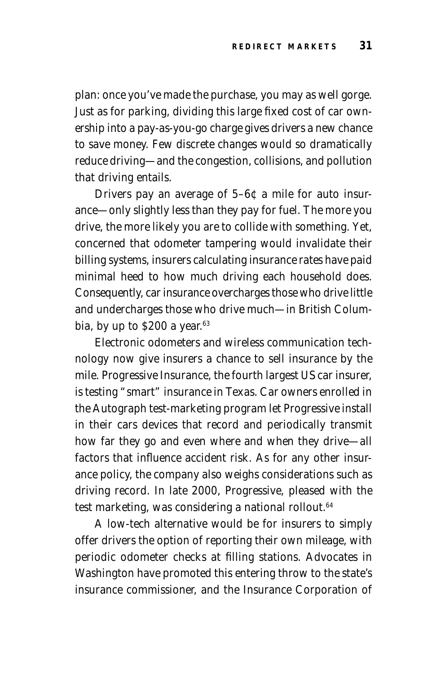plan: once you've made the purchase, you may as well gorge. Just as for parking, dividing this large fixed cost of car ownership into a pay-as-you-go charge gives drivers a new chance to save money. Few discrete changes would so dramatically reduce driving—and the congestion, collisions, and pollution that driving entails.

Drivers pay an average of 5–6¢ a mile for auto insurance—only slightly less than they pay for fuel. The more you drive, the more likely you are to collide with something. Yet, concerned that odometer tampering would invalidate their billing systems, insurers calculating insurance rates have paid minimal heed to how much driving each household does. Consequently, car insurance overcharges those who drive little and undercharges those who drive much—in British Columbia, by up to  $$200$  a year.<sup>63</sup>

Electronic odometers and wireless communication technology now give insurers a chance to sell insurance by the mile. Progressive Insurance, the fourth largest US car insurer, is testing "smart" insurance in Texas. Car owners enrolled in the Autograph test-marketing program let Progressive install in their cars devices that record and periodically transmit how far they go and even where and when they drive—all factors that influence accident risk. As for any other insurance policy, the company also weighs considerations such as driving record. In late 2000, Progressive, pleased with the test marketing, was considering a national rollout.<sup>64</sup>

A low-tech alternative would be for insurers to simply offer drivers the option of reporting their own mileage, with periodic odometer checks at filling stations. Advocates in Washington have promoted this entering throw to the state's insurance commissioner, and the Insurance Corporation of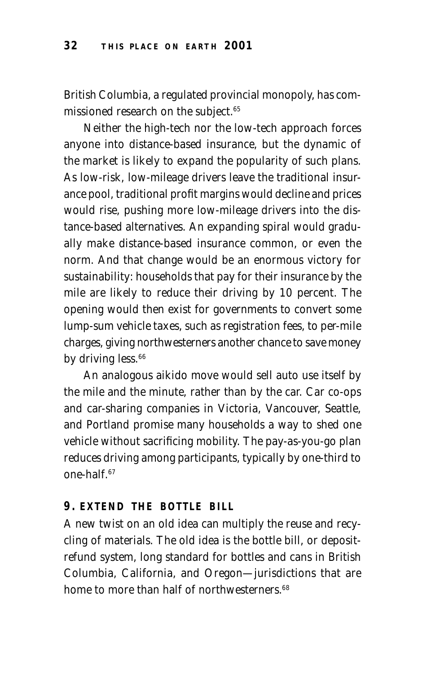British Columbia, a regulated provincial monopoly, has commissioned research on the subject.<sup>65</sup>

Neither the high-tech nor the low-tech approach forces anyone into distance-based insurance, but the dynamic of the market is likely to expand the popularity of such plans. As low-risk, low-mileage drivers leave the traditional insurance pool, traditional profit margins would decline and prices would rise, pushing more low-mileage drivers into the distance-based alternatives. An expanding spiral would gradually make distance-based insurance common, or even the norm. And that change would be an enormous victory for sustainability: households that pay for their insurance by the mile are likely to reduce their driving by 10 percent. The opening would then exist for governments to convert some lump-sum vehicle taxes, such as registration fees, to per-mile charges, giving northwesterners another chance to save money by driving less.<sup>66</sup>

An analogous aikido move would sell auto use itself by the mile and the minute, rather than by the car. Car co-ops and car-sharing companies in Victoria, Vancouver, Seattle, and Portland promise many households a way to shed one vehicle without sacrificing mobility. The pay-as-you-go plan reduces driving among participants, typically by one-third to  $one-half<sup>67</sup>$ 

## **9. EXTEND THE BOTTLE BILL**

A new twist on an old idea can multiply the reuse and recycling of materials. The old idea is the bottle bill, or depositrefund system, long standard for bottles and cans in British Columbia, California, and Oregon—jurisdictions that are home to more than half of northwesterners.<sup>68</sup>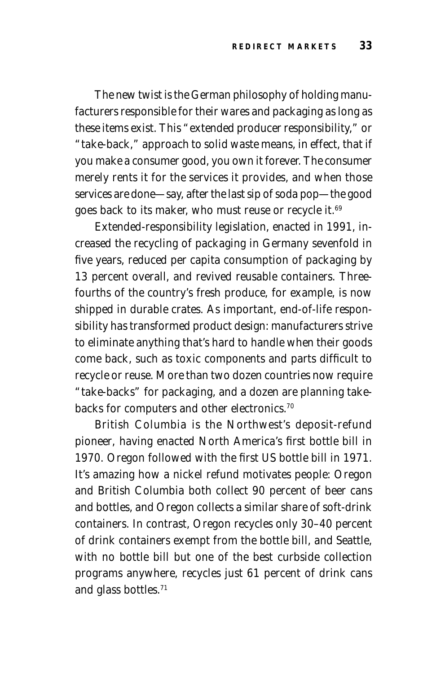The new twist is the German philosophy of holding manufacturers responsible for their wares and packaging as long as these items exist. This "extended producer responsibility," or "take-back," approach to solid waste means, in effect, that if you make a consumer good, you own it forever. The consumer merely rents it for the services it provides, and when those services are done—say, after the last sip of soda pop—the good goes back to its maker, who must reuse or recycle it.<sup>69</sup>

Extended-responsibility legislation, enacted in 1991, increased the recycling of packaging in Germany sevenfold in five years, reduced per capita consumption of packaging by 13 percent overall, and revived reusable containers. Threefourths of the country's fresh produce, for example, is now shipped in durable crates. As important, end-of-life responsibility has transformed product design: manufacturers strive to eliminate anything that's hard to handle when their goods come back, such as toxic components and parts difficult to recycle or reuse. More than two dozen countries now require "take-backs" for packaging, and a dozen are planning takebacks for computers and other electronics.<sup>70</sup>

British Columbia is the Northwest's deposit-refund pioneer, having enacted North America's first bottle bill in 1970. Oregon followed with the first US bottle bill in 1971. It's amazing how a nickel refund motivates people: Oregon and British Columbia both collect 90 percent of beer cans and bottles, and Oregon collects a similar share of soft-drink containers. In contrast, Oregon recycles only 30–40 percent of drink containers exempt from the bottle bill, and Seattle, with no bottle bill but one of the best curbside collection programs anywhere, recycles just 61 percent of drink cans and glass bottles.71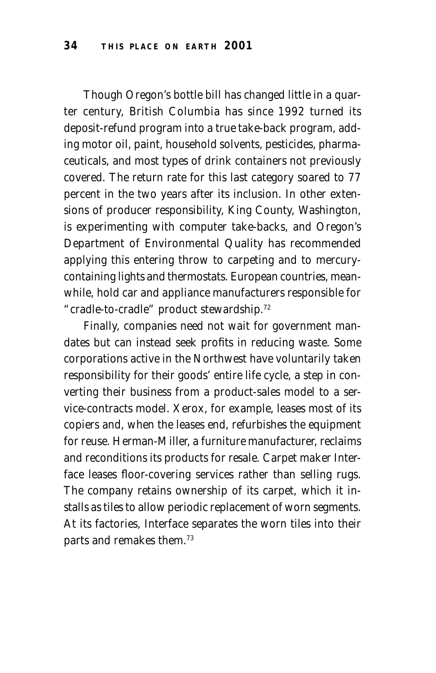Though Oregon's bottle bill has changed little in a quarter century, British Columbia has since 1992 turned its deposit-refund program into a true take-back program, adding motor oil, paint, household solvents, pesticides, pharmaceuticals, and most types of drink containers not previously covered. The return rate for this last category soared to 77 percent in the two years after its inclusion. In other extensions of producer responsibility, King County, Washington, is experimenting with computer take-backs, and Oregon's Department of Environmental Quality has recommended applying this entering throw to carpeting and to mercurycontaining lights and thermostats. European countries, meanwhile, hold car and appliance manufacturers responsible for "cradle-to-cradle" product stewardship.72

Finally, companies need not wait for government mandates but can instead seek profits in reducing waste. Some corporations active in the Northwest have voluntarily taken responsibility for their goods' entire life cycle, a step in converting their business from a product-sales model to a service-contracts model. Xerox, for example, leases most of its copiers and, when the leases end, refurbishes the equipment for reuse. Herman-Miller, a furniture manufacturer, reclaims and reconditions its products for resale. Carpet maker Interface leases floor-covering services rather than selling rugs. The company retains ownership of its carpet, which it installs as tiles to allow periodic replacement of worn segments. At its factories, Interface separates the worn tiles into their parts and remakes them.73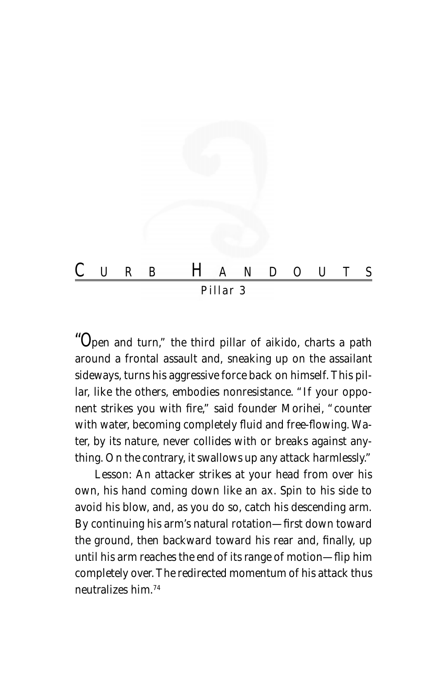

"O*pen and turn," the third pillar of aikido, charts a path around a frontal assault and, sneaking up on the assailant sideways, turns his aggressive force back on himself. This pillar, like the others, embodies nonresistance. "If your opponent strikes you with fire," said founder Morihei, "counter with water, becoming completely fluid and free-flowing. Water, by its nature, never collides with or breaks against anything. On the contrary, it swallows up any attack harmlessly."*

Lesson: *An attacker strikes at your head from over his own, his hand coming down like an ax. Spin to his side to avoid his blow, and, as you do so, catch his descending arm. By continuing his arm's natural rotation—first down toward the ground, then backward toward his rear and, finally, up until his arm reaches the end of its range of motion—flip him completely over. The redirected momentum of his attack thus neutralizes him.74*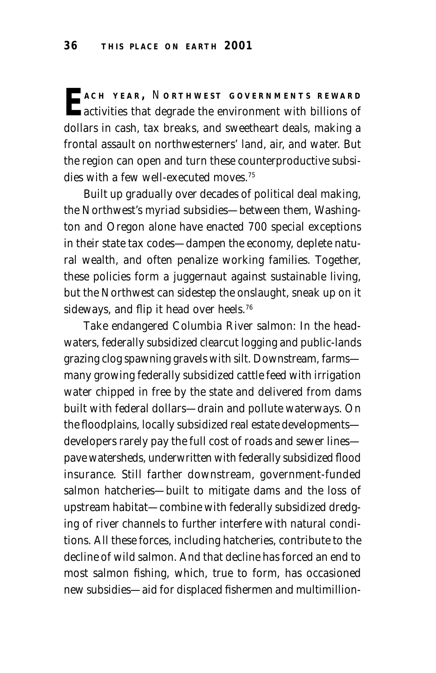**E ACH YEAR ,** <sup>N</sup> **ORTHWEST GOVERNMENTS REWARD** activities that degrade the environment with billions of dollars in cash, tax breaks, and sweetheart deals, making a frontal assault on northwesterners' land, air, and water. But the region can open and turn these counterproductive subsidies with a few well-executed moves.75

Built up gradually over decades of political deal making, the Northwest's myriad subsidies—between them, Washington and Oregon alone have enacted 700 special exceptions in their state tax codes—dampen the economy, deplete natural wealth, and often penalize working families. Together, these policies form a juggernaut against sustainable living, but the Northwest can sidestep the onslaught, sneak up on it sideways, and flip it head over heels.<sup>76</sup>

Take endangered Columbia River salmon: In the headwaters, federally subsidized clearcut logging and public-lands grazing clog spawning gravels with silt. Downstream, farms many growing federally subsidized cattle feed with irrigation water chipped in free by the state and delivered from dams built with federal dollars—drain and pollute waterways. On the floodplains, locally subsidized real estate developments developers rarely pay the full cost of roads and sewer lines pave watersheds, underwritten with federally subsidized flood insurance. Still farther downstream, government-funded salmon hatcheries—built to mitigate dams and the loss of upstream habitat—combine with federally subsidized dredging of river channels to further interfere with natural conditions. All these forces, including hatcheries, contribute to the decline of wild salmon. And that decline has forced an end to most salmon fishing, which, true to form, has occasioned new subsidies—aid for displaced fishermen and multimillion-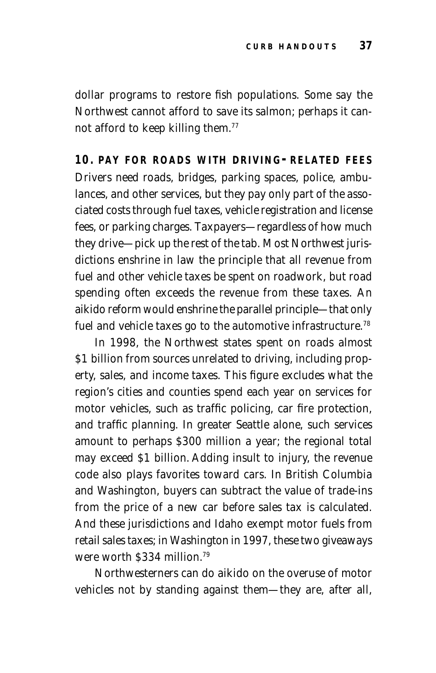dollar programs to restore fish populations. Some say the Northwest cannot afford to save its salmon; perhaps it cannot afford to keep killing them.77

**10. PAY FOR ROADS WITH DRIVING-RELATED FEES** Drivers need roads, bridges, parking spaces, police, ambulances, and other services, but they pay only part of the associated costs through fuel taxes, vehicle registration and license fees, or parking charges. Taxpayers—regardless of how much they drive—pick up the rest of the tab. Most Northwest jurisdictions enshrine in law the principle that *all* revenue from fuel and other vehicle taxes be spent on roadwork, but road spending often exceeds the revenue from these taxes. An aikido reform would enshrine the parallel principle—that *only* fuel and vehicle taxes go to the automotive infrastructure.<sup>78</sup>

In 1998, the Northwest states spent on roads almost \$1 billion from sources unrelated to driving, including property, sales, and income taxes. This figure excludes what the region's cities and counties spend each year on services for motor vehicles, such as traffic policing, car fire protection, and traffic planning. In greater Seattle alone, such services amount to perhaps \$300 million a year; the regional total may exceed \$1 billion. Adding insult to injury, the revenue code also plays favorites toward cars. In British Columbia and Washington, buyers can subtract the value of trade-ins from the price of a new car before sales tax is calculated. And these jurisdictions and Idaho exempt motor fuels from retail sales taxes; in Washington in 1997, these two giveaways were worth \$334 million<sup>79</sup>

Northwesterners can do aikido on the overuse of motor vehicles not by standing against them—they are, after all,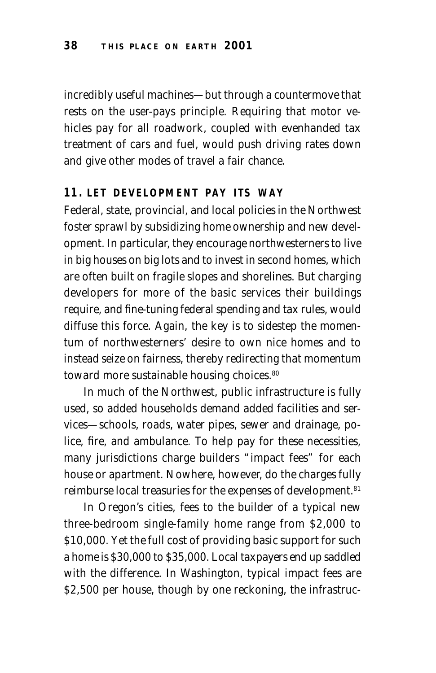incredibly useful machines—but through a countermove that rests on the user-pays principle. Requiring that motor vehicles pay for all roadwork, coupled with evenhanded tax treatment of cars and fuel, would push driving rates down and give other modes of travel a fair chance.

#### **11. LET DEVELOPMENT PAY ITS WAY**

Federal, state, provincial, and local policies in the Northwest foster sprawl by subsidizing home ownership and new development. In particular, they encourage northwesterners to live in big houses on big lots and to invest in second homes, which are often built on fragile slopes and shorelines. But charging developers for more of the basic services their buildings require, and fine-tuning federal spending and tax rules, would diffuse this force. Again, the key is to sidestep the momentum of northwesterners' desire to own nice homes and to instead seize on fairness, thereby redirecting that momentum toward more sustainable housing choices.<sup>80</sup>

In much of the Northwest, public infrastructure is fully used, so added households demand added facilities and services—schools, roads, water pipes, sewer and drainage, police, fire, and ambulance. To help pay for these necessities, many jurisdictions charge builders "impact fees" for each house or apartment. Nowhere, however, do the charges fully reimburse local treasuries for the expenses of development.<sup>81</sup>

In Oregon's cities, fees to the builder of a typical new three-bedroom single-family home range from \$2,000 to \$10,000. Yet the full cost of providing basic support for such a home is \$30,000 to \$35,000. Local taxpayers end up saddled with the difference. In Washington, typical impact fees are \$2,500 per house, though by one reckoning, the infrastruc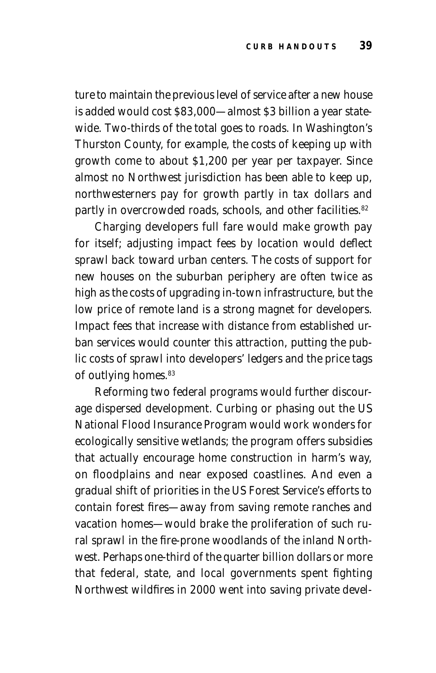ture to maintain the previous level of service after a new house is added would cost \$83,000—almost \$3 billion a year statewide. Two-thirds of the total goes to roads. In Washington's Thurston County, for example, the costs of keeping up with growth come to about \$1,200 per year per taxpayer. Since almost no Northwest jurisdiction has been able to keep up, northwesterners pay for growth partly in tax dollars and partly in overcrowded roads, schools, and other facilities.<sup>82</sup>

Charging developers full fare would make growth pay for itself; adjusting impact fees by location would deflect sprawl back toward urban centers. The costs of support for new houses on the suburban periphery are often twice as high as the costs of upgrading in-town infrastructure, but the low price of remote land is a strong magnet for developers. Impact fees that increase with distance from established urban services would counter this attraction, putting the public costs of sprawl into developers' ledgers and the price tags of outlying homes.<sup>83</sup>

Reforming two federal programs would further discourage dispersed development. Curbing or phasing out the US National Flood Insurance Program would work wonders for ecologically sensitive wetlands; the program offers subsidies that actually encourage home construction in harm's way, on floodplains and near exposed coastlines. And even a gradual shift of priorities in the US Forest Service's efforts to contain forest fires—away from saving remote ranches and vacation homes—would brake the proliferation of such rural sprawl in the fire-prone woodlands of the inland Northwest. Perhaps one-third of the quarter billion dollars or more that federal, state, and local governments spent fighting Northwest wildfires in 2000 went into saving private devel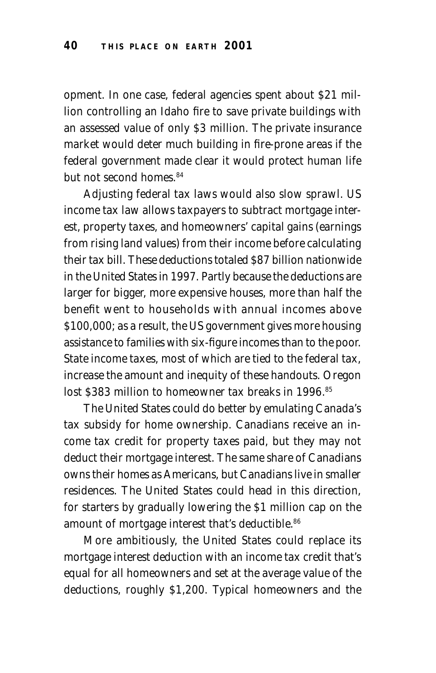opment. In one case, federal agencies spent about \$21 million controlling an Idaho fire to save private buildings with an assessed value of only \$3 million. The private insurance market would deter much building in fire-prone areas if the federal government made clear it would protect human life but not second homes 84

Adjusting federal tax laws would also slow sprawl. US income tax law allows taxpayers to subtract mortgage interest, property taxes, and homeowners' capital gains (earnings from rising land values) from their income before calculating their tax bill. These deductions totaled \$87 billion nationwide in the United States in 1997. Partly because the deductions are larger for bigger, more expensive houses, more than half the benefit went to households with annual incomes above \$100,000; as a result, the US government gives more housing assistance to families with six-figure incomes than to the poor. State income taxes, most of which are tied to the federal tax, increase the amount and inequity of these handouts. Oregon lost \$383 million to homeowner tax breaks in 1996.<sup>85</sup>

The United States could do better by emulating Canada's tax subsidy for home ownership. Canadians receive an income tax credit for property taxes paid, but they may not deduct their mortgage interest. The same share of Canadians owns their homes as Americans, but Canadians live in smaller residences. The United States could head in this direction, for starters by gradually lowering the \$1 million cap on the amount of mortgage interest that's deductible.<sup>86</sup>

More ambitiously, the United States could replace its mortgage interest deduction with an income tax credit that's equal for all homeowners and set at the average value of the deductions, roughly \$1,200. Typical homeowners and the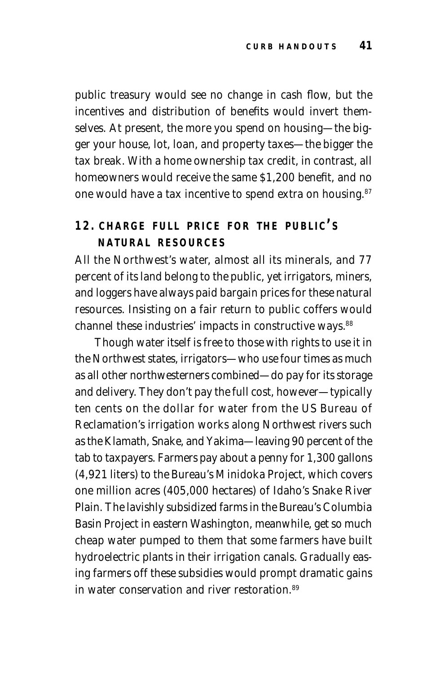public treasury would see no change in cash flow, but the incentives and distribution of benefits would invert themselves. At present, the more you spend on housing—the bigger your house, lot, loan, and property taxes—the bigger the tax break. With a home ownership tax credit, in contrast, all homeowners would receive the same \$1,200 benefit, and no one would have a tax incentive to spend extra on housing.<sup>87</sup>

# **12. CHARGE FULL PRICE FOR THE PUBLIC' S NATURAL RESOURCES**

All the Northwest's water, almost all its minerals, and 77 percent of its land belong to the public, yet irrigators, miners, and loggers have always paid bargain prices for these natural resources. Insisting on a fair return to public coffers would channel these industries' impacts in constructive ways.<sup>88</sup>

Though water itself is free to those with rights to use it in the Northwest states, irrigators—who use four times as much as all other northwesterners combined—do pay for its storage and delivery. They don't pay the full cost, however—typically ten cents on the dollar for water from the US Bureau of Reclamation's irrigation works along Northwest rivers such as the Klamath, Snake, and Yakima—leaving 90 percent of the tab to taxpayers. Farmers pay about a penny for 1,300 gallons (4,921 liters) to the Bureau's Minidoka Project, which covers one million acres (405,000 hectares) of Idaho's Snake River Plain. The lavishly subsidized farms in the Bureau's Columbia Basin Project in eastern Washington, meanwhile, get so much cheap water pumped to them that some farmers have built hydroelectric plants in their irrigation canals. Gradually easing farmers off these subsidies would prompt dramatic gains in water conservation and river restoration  $89$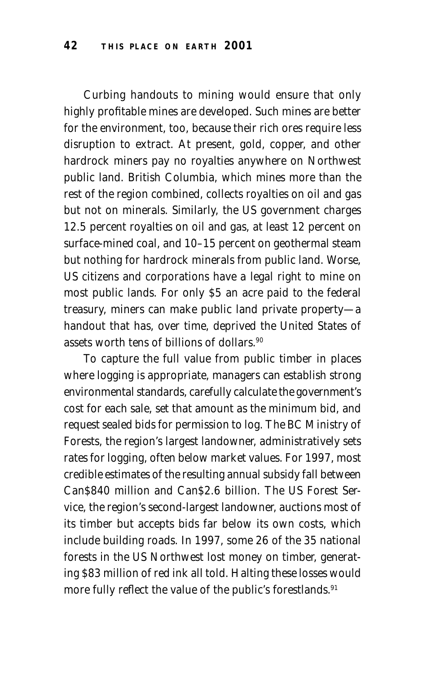Curbing handouts to mining would ensure that only highly profitable mines are developed. Such mines are better for the environment, too, because their rich ores require less disruption to extract. At present, gold, copper, and other hardrock miners pay no royalties anywhere on Northwest public land. British Columbia, which mines more than the rest of the region combined, collects royalties on oil and gas but not on minerals. Similarly, the US government charges 12.5 percent royalties on oil and gas, at least 12 percent on surface-mined coal, and 10–15 percent on geothermal steam but nothing for hardrock minerals from public land. Worse, US citizens and corporations have a legal right to mine on most public lands. For only \$5 an acre paid to the federal treasury, miners can make public land private property—a handout that has, over time, deprived the United States of assets worth tens of billions of dollars.90

To capture the full value from public timber in places where logging is appropriate, managers can establish strong environmental standards, carefully calculate the government's cost for each sale, set that amount as the minimum bid, and request sealed bids for permission to log. The BC Ministry of Forests, the region's largest landowner, administratively sets rates for logging, often below market values. For 1997, most credible estimates of the resulting annual subsidy fall between Can\$840 million and Can\$2.6 billion. The US Forest Service, the region's second-largest landowner, auctions most of its timber but accepts bids far below its own costs, which include building roads. In 1997, some 26 of the 35 national forests in the US Northwest lost money on timber, generating \$83 million of red ink all told. Halting these losses would more fully reflect the value of the public's forestlands.<sup>91</sup>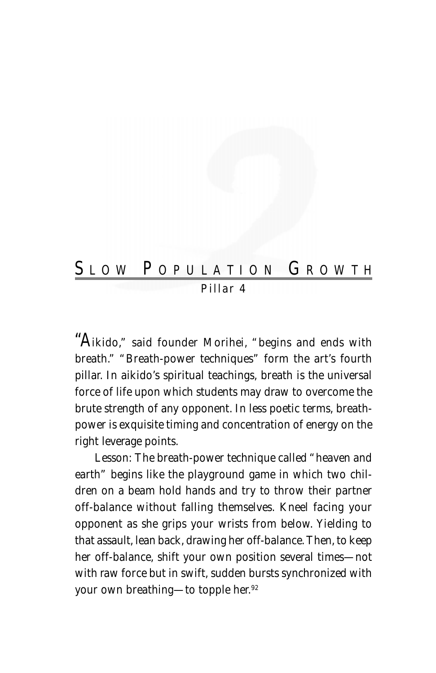# SLOW POPULATION GROWTH *Pillar 4*

"A*ikido," said founder Morihei, "begins and ends with breath." "Breath-power techniques" form the art's fourth pillar. In aikido's spiritual teachings, breath is the universal force of life upon which students may draw to overcome the brute strength of any opponent. In less poetic terms, breathpower is exquisite timing and concentration of energy on the right leverage points.*

Lesson: *The breath-power technique called "heaven and earth" begins like the playground game in which two children on a beam hold hands and try to throw their partner off-balance without falling themselves. Kneel facing your opponent as she grips your wrists from below. Yielding to that assault, lean back, drawing her off-balance. Then, to keep her off-balance, shift your own position several times—not with raw force but in swift, sudden bursts synchronized with your own breathing—to topple her.92*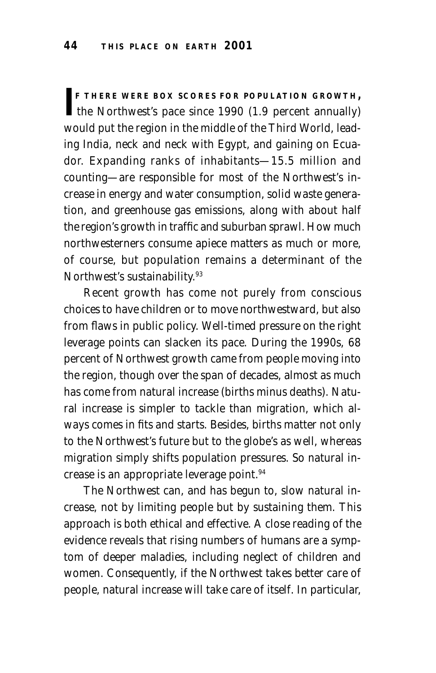**F THERE WERE BOX SCORES FOR POPULATION GROWTH,<br>the Northwest's pace since 1990 (1.9 percent annually) F THERE WERE BOX SCORES FOR POPULATION GROWTH,** would put the region in the middle of the Third World, leading India, neck and neck with Egypt, and gaining on Ecuador. Expanding ranks of inhabitants—15.5 million and counting—are responsible for most of the Northwest's increase in energy and water consumption, solid waste generation, and greenhouse gas emissions, along with about half the region's growth in traffic and suburban sprawl. How much northwesterners consume apiece matters as much or more, of course, but population remains a determinant of the Northwest's sustainability.<sup>93</sup>

Recent growth has come not purely from conscious choices to have children or to move northwestward, but also from flaws in public policy. Well-timed pressure on the right leverage points can slacken its pace. During the 1990s, 68 percent of Northwest growth came from people moving into the region, though over the span of decades, almost as much has come from natural increase (births minus deaths). Natural increase is simpler to tackle than migration, which always comes in fits and starts. Besides, births matter not only to the Northwest's future but to the globe's as well, whereas migration simply shifts population pressures. So natural increase is an appropriate leverage point.94

The Northwest can, and has begun to, slow natural increase, not by limiting people but by sustaining them. This approach is both ethical and effective. A close reading of the evidence reveals that rising numbers of humans are a symptom of deeper maladies, including neglect of children and women. Consequently, if the Northwest takes better care of people, natural increase will take care of itself. In particular,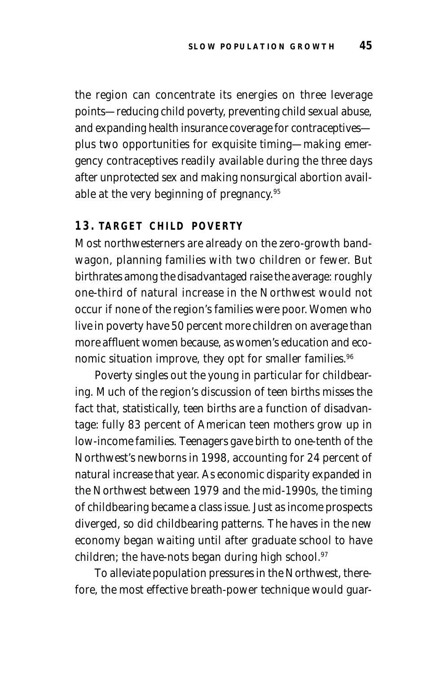the region can concentrate its energies on three leverage points—reducing child poverty, preventing child sexual abuse, and expanding health insurance coverage for contraceptives plus two opportunities for exquisite timing—making emergency contraceptives readily available during the three days after unprotected sex and making nonsurgical abortion available at the very beginning of pregnancy.95

#### **13. TARGET CHILD POVERTY**

Most northwesterners are already on the zero-growth bandwagon, planning families with two children or fewer. But birthrates among the disadvantaged raise the average: roughly one-third of natural increase in the Northwest would not occur if none of the region's families were poor.Women who live in poverty have 50 percent more children on average than more affluent women because, as women's education and economic situation improve, they opt for smaller families.<sup>96</sup>

Poverty singles out the young in particular for childbearing. Much of the region's discussion of teen births misses the fact that, statistically, teen births are a function of disadvantage: fully 83 percent of American teen mothers grow up in low-income families. Teenagers gave birth to one-tenth of the Northwest's newborns in 1998, accounting for 24 percent of natural increase that year. As economic disparity expanded in the Northwest between 1979 and the mid-1990s, the timing of childbearing became a class issue. Just as income prospects diverged, so did childbearing patterns. The haves in the new economy began waiting until after graduate school to have children; the have-nots began during high school.<sup>97</sup>

To alleviate population pressures in the Northwest, therefore, the most effective breath-power technique would guar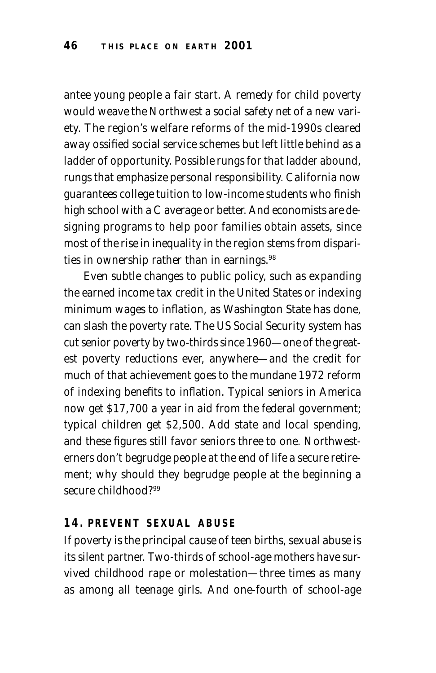antee young people a fair start. A remedy for child poverty would weave the Northwest a social safety net of a new variety. The region's welfare reforms of the mid-1990s cleared away ossified social service schemes but left little behind as a ladder of opportunity. Possible rungs for that ladder abound, rungs that emphasize personal responsibility. California now guarantees college tuition to low-income students who finish high school with a C average or better. And economists are designing programs to help poor families obtain assets, since most of the rise in inequality in the region stems from disparities in ownership rather than in earnings.<sup>98</sup>

Even subtle changes to public policy, such as expanding the earned income tax credit in the United States or indexing minimum wages to inflation, as Washington State has done, can slash the poverty rate. The US Social Security system has cut senior poverty by two-thirds since 1960—one of the greatest poverty reductions ever, anywhere—and the credit for much of that achievement goes to the mundane 1972 reform of indexing benefits to inflation. Typical seniors in America now get \$17,700 a year in aid from the federal government; typical children get \$2,500. Add state and local spending, and these figures still favor seniors three to one. Northwesterners don't begrudge people at the end of life a secure retirement; why should they begrudge people at the beginning a secure childhood?99

#### **14. PREVENT SEXUAL ABUSE**

If poverty is the principal cause of teen births, sexual abuse is its silent partner. Two-thirds of school-age mothers have survived childhood rape or molestation—three times as many as among all teenage girls. And one-fourth of school-age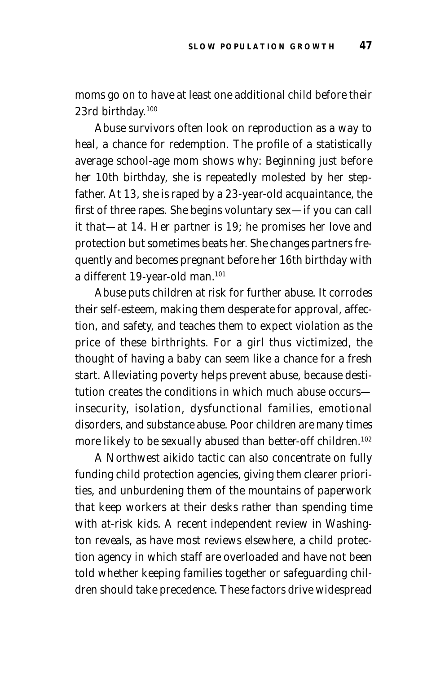moms go on to have at least one additional child before their 23rd birthday.100

Abuse survivors often look on reproduction as a way to heal, a chance for redemption. The profile of a statistically average school-age mom shows why: Beginning just before her 10th birthday, she is repeatedly molested by her stepfather. At 13, she is raped by a 23-year-old acquaintance, the first of three rapes. She begins voluntary sex—if you can call it that—at 14. Her partner is 19; he promises her love and protection but sometimes beats her. She changes partners frequently and becomes pregnant before her 16th birthday with a different 19-year-old man.101

Abuse puts children at risk for further abuse. It corrodes their self-esteem, making them desperate for approval, affection, and safety, and teaches them to expect violation as the price of these birthrights. For a girl thus victimized, the thought of having a baby can seem like a chance for a fresh start. Alleviating poverty helps prevent abuse, because destitution creates the conditions in which much abuse occurs insecurity, isolation, dysfunctional families, emotional disorders, and substance abuse. Poor children are many times more likely to be sexually abused than better-off children.<sup>102</sup>

A Northwest aikido tactic can also concentrate on fully funding child protection agencies, giving them clearer priorities, and unburdening them of the mountains of paperwork that keep workers at their desks rather than spending time with at-risk kids. A recent independent review in Washington reveals, as have most reviews elsewhere, a child protection agency in which staff are overloaded and have not been told whether keeping families together or safeguarding children should take precedence. These factors drive widespread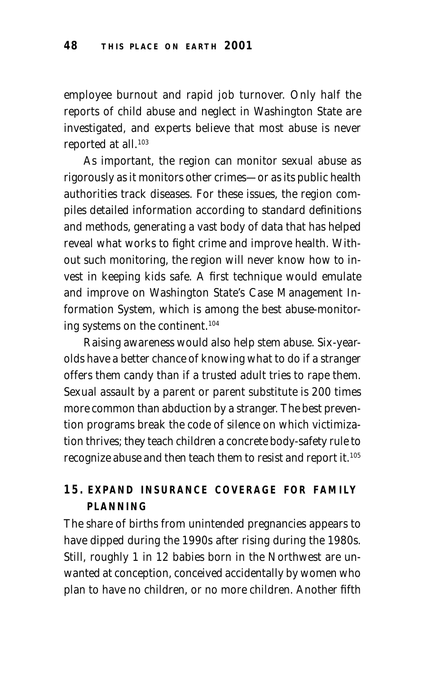employee burnout and rapid job turnover. Only half the reports of child abuse and neglect in Washington State are investigated, and experts believe that most abuse is never reported at all.<sup>103</sup>

As important, the region can monitor sexual abuse as rigorously as it monitors other crimes—or as its public health authorities track diseases. For these issues, the region compiles detailed information according to standard definitions and methods, generating a vast body of data that has helped reveal what works to fight crime and improve health. Without such monitoring, the region will never know how to invest in keeping kids safe. A first technique would emulate and improve on Washington State's Case Management Information System, which is among the best abuse-monitoring systems on the continent.104

Raising awareness would also help stem abuse. Six-yearolds have a better chance of knowing what to do if a stranger offers them candy than if a trusted adult tries to rape them. Sexual assault by a parent or parent substitute is 200 times more common than abduction by a stranger. The best prevention programs break the code of silence on which victimization thrives; they teach children a concrete body-safety rule to recognize abuse and then teach them to resist and report it.105

# **15. EXPAND INSURANCE COVERAGE FOR FAMILY PLANNING**

The share of births from unintended pregnancies appears to have dipped during the 1990s after rising during the 1980s. Still, roughly 1 in 12 babies born in the Northwest are unwanted at conception, conceived accidentally by women who plan to have no children, or no more children. Another fifth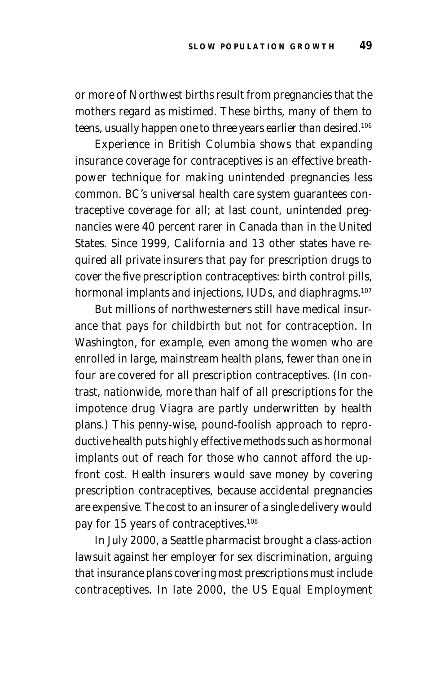or more of Northwest births result from pregnancies that the mothers regard as mistimed. These births, many of them to teens, usually happen one to three years earlier than desired.<sup>106</sup>

Experience in British Columbia shows that expanding insurance coverage for contraceptives is an effective breathpower technique for making unintended pregnancies less common. BC's universal health care system guarantees contraceptive coverage for all; at last count, unintended pregnancies were 40 percent rarer in Canada than in the United States. Since 1999, California and 13 other states have required all private insurers that pay for prescription drugs to cover the five prescription contraceptives: birth control pills, hormonal implants and injections, IUDs, and diaphragms.<sup>107</sup>

But millions of northwesterners still have medical insurance that pays for childbirth but not for contraception. In Washington, for example, even among the women who are enrolled in large, mainstream health plans, fewer than one in four are covered for all prescription contraceptives. (In contrast, nationwide, more than half of all prescriptions for the impotence drug Viagra are partly underwritten by health plans.) This penny-wise, pound-foolish approach to reproductive health puts highly effective methods such as hormonal implants out of reach for those who cannot afford the upfront cost. Health insurers would save money by covering prescription contraceptives, because accidental pregnancies are expensive. The cost to an insurer of a single delivery would pay for 15 years of contraceptives.108

In July 2000, a Seattle pharmacist brought a class-action lawsuit against her employer for sex discrimination, arguing that insurance plans covering most prescriptions must include contraceptives. In late 2000, the US Equal Employment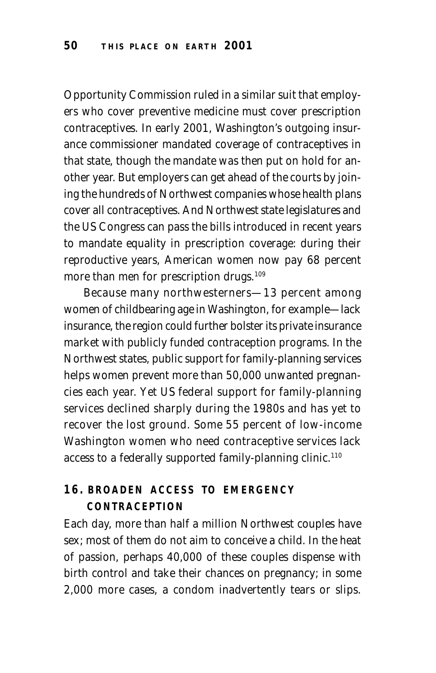Opportunity Commission ruled in a similar suit that employers who cover preventive medicine must cover prescription contraceptives. In early 2001, Washington's outgoing insurance commissioner mandated coverage of contraceptives in that state, though the mandate was then put on hold for another year. But employers can get ahead of the courts by joining the hundreds of Northwest companies whose health plans cover all contraceptives. And Northwest state legislatures and the US Congress can pass the bills introduced in recent years to mandate equality in prescription coverage: during their reproductive years, American women now pay 68 percent more than men for prescription drugs.<sup>109</sup>

Because many northwesterners—13 percent among women of childbearing age in Washington, for example—lack insurance, the region could further bolster its private insurance market with publicly funded contraception programs. In the Northwest states, public support for family-planning services helps women prevent more than 50,000 unwanted pregnancies each year. Yet US federal support for family-planning services declined sharply during the 1980s and has yet to recover the lost ground. Some 55 percent of low-income Washington women who need contraceptive services lack access to a federally supported family-planning clinic.<sup>110</sup>

# **16. BROADEN ACCESS TO EMERGENCY CONTRACEPTION**

Each day, more than half a million Northwest couples have sex; most of them do not aim to conceive a child. In the heat of passion, perhaps 40,000 of these couples dispense with birth control and take their chances on pregnancy; in some 2,000 more cases, a condom inadvertently tears or slips.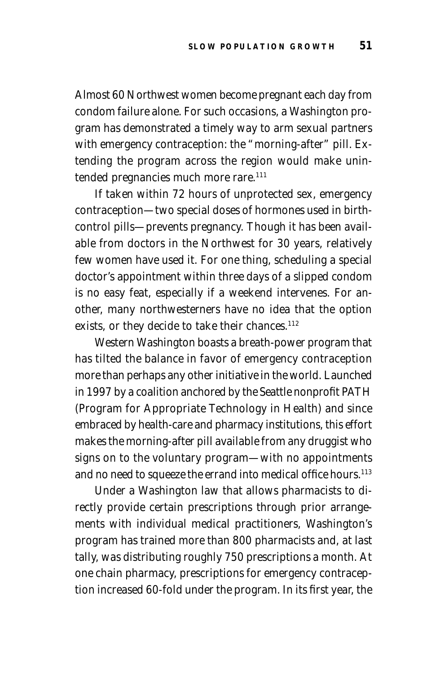Almost 60 Northwest women become pregnant each day from condom failure alone. For such occasions, a Washington program has demonstrated a timely way to arm sexual partners with emergency contraception: the "morning-after" pill. Extending the program across the region would make unintended pregnancies much more rare.<sup>111</sup>

If taken within 72 hours of unprotected sex, emergency contraception—two special doses of hormones used in birthcontrol pills—prevents pregnancy. Though it has been available from doctors in the Northwest for 30 years, relatively few women have used it. For one thing, scheduling a special doctor's appointment within three days of a slipped condom is no easy feat, especially if a weekend intervenes. For another, many northwesterners have no idea that the option exists, or they decide to take their chances.<sup>112</sup>

Western Washington boasts a breath-power program that has tilted the balance in favor of emergency contraception more than perhaps any other initiative in the world. Launched in 1997 by a coalition anchored by the Seattle nonprofit PATH (Program for Appropriate Technology in Health) and since embraced by health-care and pharmacy institutions, this effort makes the morning-after pill available from any druggist who signs on to the voluntary program—with no appointments and no need to squeeze the errand into medical office hours.<sup>113</sup>

Under a Washington law that allows pharmacists to directly provide certain prescriptions through prior arrangements with individual medical practitioners, Washington's program has trained more than 800 pharmacists and, at last tally, was distributing roughly 750 prescriptions a month. At one chain pharmacy, prescriptions for emergency contraception increased 60-fold under the program. In its first year, the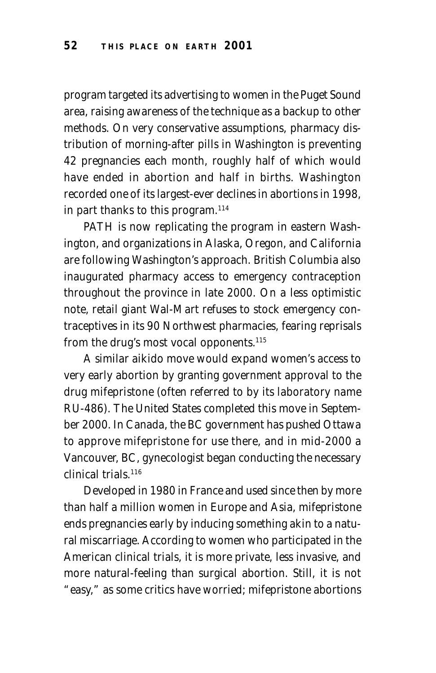program targeted its advertising to women in the Puget Sound area, raising awareness of the technique as a backup to other methods. On very conservative assumptions, pharmacy distribution of morning-after pills in Washington is preventing 42 pregnancies each month, roughly half of which would have ended in abortion and half in births. Washington recorded one of its largest-ever declines in abortions in 1998, in part thanks to this program. $114$ 

PATH is now replicating the program in eastern Washington, and organizations in Alaska, Oregon, and California are following Washington's approach. British Columbia also inaugurated pharmacy access to emergency contraception throughout the province in late 2000. On a less optimistic note, retail giant Wal-Mart refuses to stock emergency contraceptives in its 90 Northwest pharmacies, fearing reprisals from the drug's most vocal opponents.<sup>115</sup>

A similar aikido move would expand women's access to very early abortion by granting government approval to the drug mifepristone (often referred to by its laboratory name RU-486). The United States completed this move in September 2000. In Canada, the BC government has pushed Ottawa to approve mifepristone for use there, and in mid-2000 a Vancouver, BC, gynecologist began conducting the necessary clinical trials.116

Developed in 1980 in France and used since then by more than half a million women in Europe and Asia, mifepristone ends pregnancies early by inducing something akin to a natural miscarriage. According to women who participated in the American clinical trials, it is more private, less invasive, and more natural-feeling than surgical abortion. Still, it is not "easy," as some critics have worried; mifepristone abortions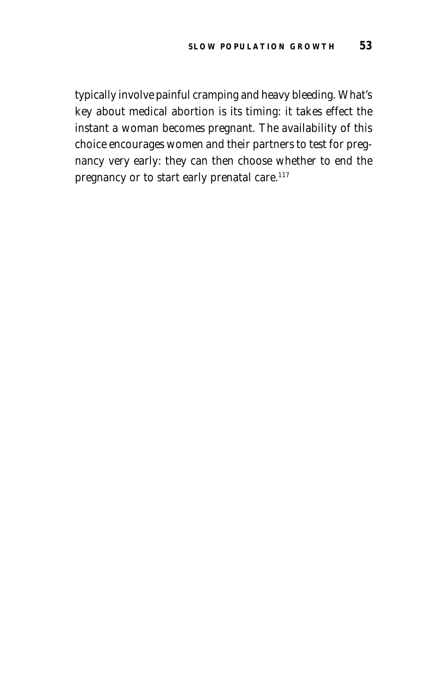typically involve painful cramping and heavy bleeding. What's key about medical abortion is its timing: it takes effect the instant a woman becomes pregnant. The availability of this choice encourages women and their partners to test for pregnancy very early: they can then choose whether to end the pregnancy or to start early prenatal care.<sup>117</sup>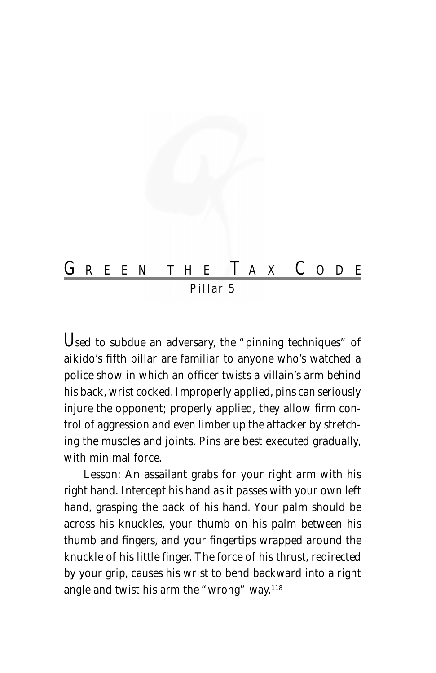

*Pillar 5*

U*sed to subdue an adversary, the "pinning techniques" of aikido's fifth pillar are familiar to anyone who's watched a police show in which an officer twists a villain's arm behind his back, wrist cocked. Improperly applied, pins can seriously injure the opponent; properly applied, they allow firm control of aggression and even limber up the attacker by stretching the muscles and joints. Pins are best executed gradually, with minimal force.*

Lesson: *An assailant grabs for your right arm with his right hand. Intercept his hand as it passes with your own left hand, grasping the back of his hand. Your palm should be across his knuckles, your thumb on his palm between his thumb and fingers, and your fingertips wrapped around the knuckle of his little finger. The force of his thrust, redirected by your grip, causes his wrist to bend backward into a right angle and twist his arm the "wrong" way.118*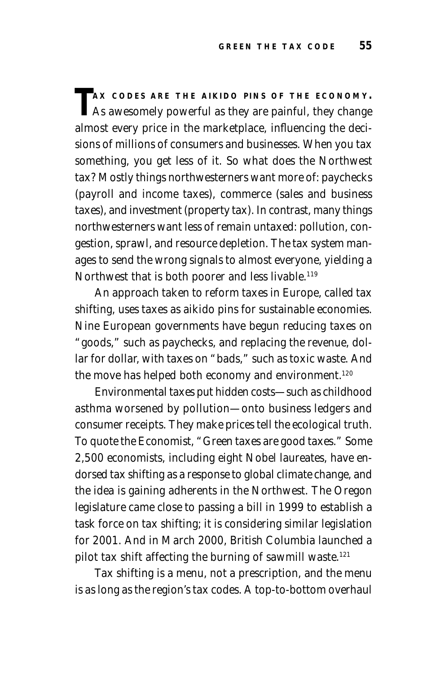$\Gamma$ **AX** CODES ARE THE AIKIDO PINS OF THE ECONOMY. As awesomely powerful as they are painful, they change almost every price in the marketplace, influencing the decisions of millions of consumers and businesses. When you tax something, you get less of it. So what does the Northwest tax? Mostly things northwesterners want more of: paychecks (payroll and income taxes), commerce (sales and business taxes), and investment (property tax). In contrast, many things northwesterners want less of remain untaxed: pollution, congestion, sprawl, and resource depletion. The tax system manages to send the wrong signals to almost everyone, yielding a Northwest that is both poorer and less livable.<sup>119</sup>

An approach taken to reform taxes in Europe, called tax shifting, uses taxes as aikido pins for sustainable economies. Nine European governments have begun reducing taxes on "goods," such as paychecks, and replacing the revenue, dollar for dollar, with taxes on "bads," such as toxic waste. And the move has helped both economy and environment.<sup>120</sup>

Environmental taxes put hidden costs—such as childhood asthma worsened by pollution—onto business ledgers and consumer receipts. They make prices tell the ecological truth. To quote the *Economist*, "Green taxes are good taxes." Some 2,500 economists, including eight Nobel laureates, have endorsed tax shifting as a response to global climate change, and the idea is gaining adherents in the Northwest. The Oregon legislature came close to passing a bill in 1999 to establish a task force on tax shifting; it is considering similar legislation for 2001. And in March 2000, British Columbia launched a pilot tax shift affecting the burning of sawmill waste.<sup>121</sup>

Tax shifting is a menu, not a prescription, and the menu is as long as the region's tax codes. A top-to-bottom overhaul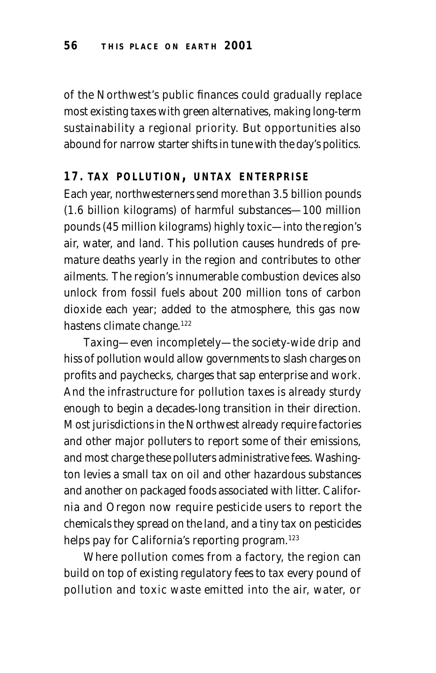of the Northwest's public finances could gradually replace most existing taxes with green alternatives, making long-term sustainability a regional priority. But opportunities also abound for narrow starter shifts in tune with the day's politics.

## **17. TAX POLLUTION, UNTAX ENTERPRISE**

Each year, northwesterners send more than 3.5 billion pounds (1.6 billion kilograms) of harmful substances—100 million pounds (45 million kilograms) highly toxic—into the region's air, water, and land. This pollution causes hundreds of premature deaths yearly in the region and contributes to other ailments. The region's innumerable combustion devices also unlock from fossil fuels about 200 million tons of carbon dioxide each year; added to the atmosphere, this gas now hastens climate change.<sup>122</sup>

Taxing—even incompletely—the society-wide drip and hiss of pollution would allow governments to slash charges on profits and paychecks, charges that sap enterprise and work. And the infrastructure for pollution taxes is already sturdy enough to begin a decades-long transition in their direction. Most jurisdictions in the Northwest already require factories and other major polluters to report some of their emissions, and most charge these polluters administrative fees. Washington levies a small tax on oil and other hazardous substances and another on packaged foods associated with litter. California and Oregon now require pesticide users to report the chemicals they spread on the land, and a tiny tax on pesticides helps pay for California's reporting program.<sup>123</sup>

Where pollution comes from a factory, the region can build on top of existing regulatory fees to tax every pound of pollution and toxic waste emitted into the air, water, or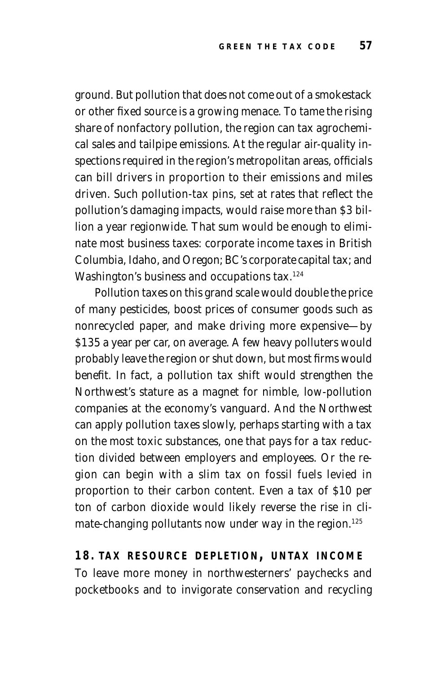ground. But pollution that does not come out of a smokestack or other fixed source is a growing menace. To tame the rising share of nonfactory pollution, the region can tax agrochemical sales and tailpipe emissions. At the regular air-quality inspections required in the region's metropolitan areas, officials can bill drivers in proportion to their emissions and miles driven. Such pollution-tax pins, set at rates that reflect the pollution's damaging impacts, would raise more than \$3 billion a year regionwide. That sum would be enough to eliminate most business taxes: corporate income taxes in British Columbia, Idaho, and Oregon; BC's corporate capital tax; and Washington's business and occupations tax.<sup>124</sup>

Pollution taxes on this grand scale would double the price of many pesticides, boost prices of consumer goods such as nonrecycled paper, and make driving more expensive—by \$135 a year per car, on average. A few heavy polluters would probably leave the region or shut down, but most firms would benefit. In fact, a pollution tax shift would strengthen the Northwest's stature as a magnet for nimble, low-pollution companies at the economy's vanguard. And the Northwest can apply pollution taxes slowly, perhaps starting with a tax on the most toxic substances, one that pays for a tax reduction divided between employers and employees. Or the region can begin with a slim tax on fossil fuels levied in proportion to their carbon content. Even a tax of \$10 per ton of carbon dioxide would likely reverse the rise in climate-changing pollutants now under way in the region.<sup>125</sup>

**18. TAX RESOURCE DEPLETION, UNTAX INCOME** To leave more money in northwesterners' paychecks and pocketbooks and to invigorate conservation and recycling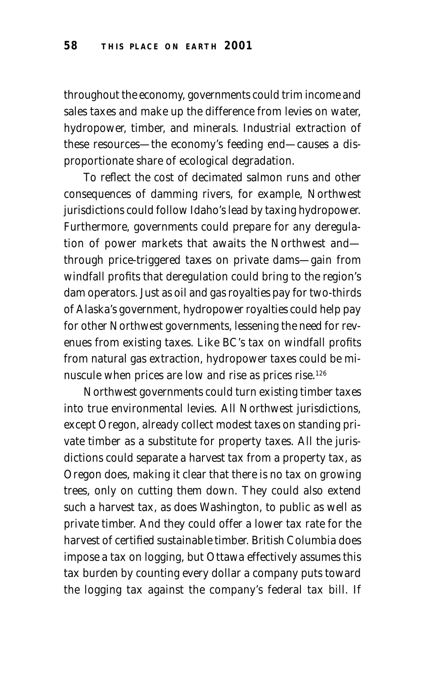throughout the economy, governments could trim income and sales taxes and make up the difference from levies on water, hydropower, timber, and minerals. Industrial extraction of these resources—the economy's feeding end—causes a disproportionate share of ecological degradation.

To reflect the cost of decimated salmon runs and other consequences of damming rivers, for example, Northwest jurisdictions could follow Idaho's lead by taxing hydropower. Furthermore, governments could prepare for any deregulation of power markets that awaits the Northwest and through price-triggered taxes on private dams—gain from windfall profits that deregulation could bring to the region's dam operators. Just as oil and gas royalties pay for two-thirds of Alaska's government, hydropower royalties could help pay for other Northwest governments, lessening the need for revenues from existing taxes. Like BC's tax on windfall profits from natural gas extraction, hydropower taxes could be minuscule when prices are low and rise as prices rise.126

Northwest governments could turn existing timber taxes into true environmental levies. All Northwest jurisdictions, except Oregon, already collect modest taxes on standing private timber as a substitute for property taxes. All the jurisdictions could separate a harvest tax from a property tax, as Oregon does, making it clear that there is no tax on growing trees, only on cutting them down. They could also extend such a harvest tax, as does Washington, to public as well as private timber. And they could offer a lower tax rate for the harvest of certified sustainable timber. British Columbia does impose a tax on logging, but Ottawa effectively assumes this tax burden by counting every dollar a company puts toward the logging tax against the company's federal tax bill. If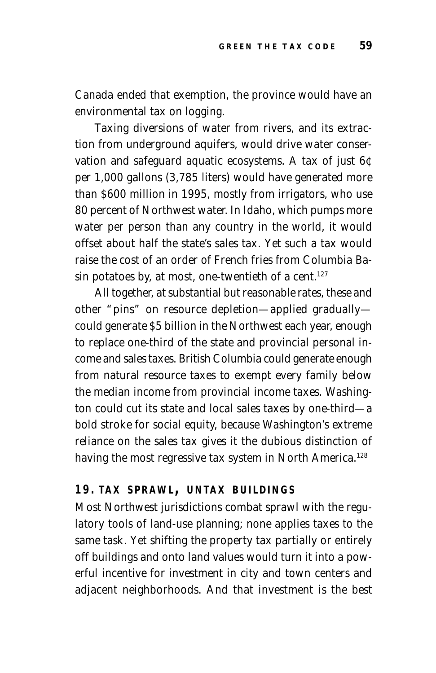Canada ended that exemption, the province would have an environmental tax on logging.

Taxing diversions of water from rivers, and its extraction from underground aquifers, would drive water conservation and safeguard aquatic ecosystems. A tax of just 6¢ per 1,000 gallons (3,785 liters) would have generated more than \$600 million in 1995, mostly from irrigators, who use 80 percent of Northwest water. In Idaho, which pumps more water per person than any country in the world, it would offset about half the state's sales tax. Yet such a tax would raise the cost of an order of French fries from Columbia Basin potatoes by, at most, one-twentieth of a cent.<sup>127</sup>

All together, at substantial but reasonable rates, these and other "pins" on resource depletion—applied gradually could generate \$5 billion in the Northwest each year, enough to replace one-third of the state and provincial personal income and sales taxes. British Columbia could generate enough from natural resource taxes to exempt every family below the median income from provincial income taxes. Washington could cut its state and local sales taxes by one-third—a bold stroke for social equity, because Washington's extreme reliance on the sales tax gives it the dubious distinction of having the most regressive tax system in North America.<sup>128</sup>

## **19. TAX SPRAWL , UNTAX BUILDINGS**

Most Northwest jurisdictions combat sprawl with the regulatory tools of land-use planning; none applies taxes to the same task. Yet shifting the property tax partially or entirely off buildings and onto land values would turn it into a powerful incentive for investment in city and town centers and adjacent neighborhoods. And that investment is the best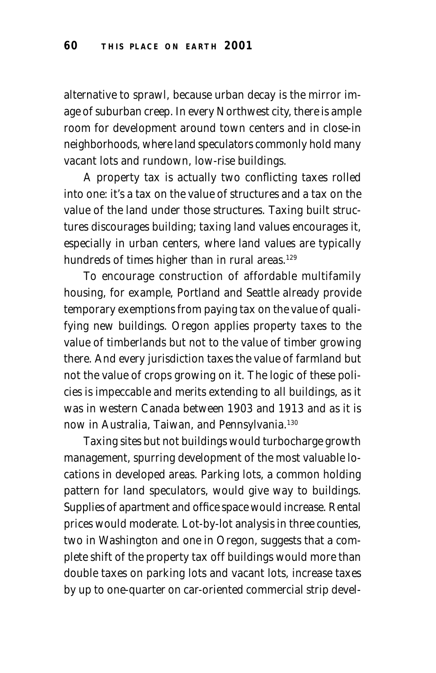alternative to sprawl, because urban decay is the mirror image of suburban creep. In every Northwest city, there is ample room for development around town centers and in close-in neighborhoods, where land speculators commonly hold many vacant lots and rundown, low-rise buildings.

A property tax is actually two conflicting taxes rolled into one: it's a tax on the value of structures and a tax on the value of the land under those structures. Taxing built structures discourages building; taxing land values encourages it, especially in urban centers, where land values are typically hundreds of times higher than in rural areas.<sup>129</sup>

To encourage construction of affordable multifamily housing, for example, Portland and Seattle already provide temporary exemptions from paying tax on the value of qualifying new buildings. Oregon applies property taxes to the value of timberlands but not to the value of timber growing there. And every jurisdiction taxes the value of farmland but not the value of crops growing on it. The logic of these policies is impeccable and merits extending to all buildings, as it was in western Canada between 1903 and 1913 and as it is now in Australia, Taiwan, and Pennsylvania.130

Taxing sites but not buildings would turbocharge growth management, spurring development of the most valuable locations in developed areas. Parking lots, a common holding pattern for land speculators, would give way to buildings. Supplies of apartment and office space would increase. Rental prices would moderate. Lot-by-lot analysis in three counties, two in Washington and one in Oregon, suggests that a complete shift of the property tax off buildings would more than double taxes on parking lots and vacant lots, increase taxes by up to one-quarter on car-oriented commercial strip devel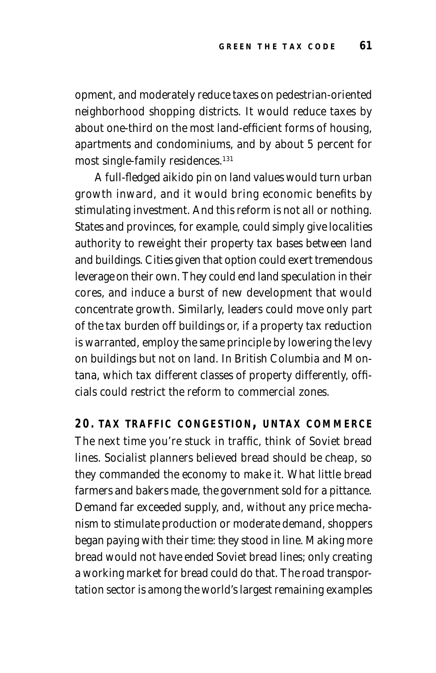opment, and moderately reduce taxes on pedestrian-oriented neighborhood shopping districts. It would reduce taxes by about one-third on the most land-efficient forms of housing, apartments and condominiums, and by about 5 percent for most single-family residences.131

A full-fledged aikido pin on land values would turn urban growth inward, and it would bring economic benefits by stimulating investment. And this reform is not all or nothing. States and provinces, for example, could simply give localities authority to reweight their property tax bases between land and buildings. Cities given that option could exert tremendous leverage on their own. They could end land speculation in their cores, and induce a burst of new development that would concentrate growth. Similarly, leaders could move only part of the tax burden off buildings or, if a property tax reduction is warranted, employ the same principle by lowering the levy on buildings but not on land. In British Columbia and Montana, which tax different classes of property differently, officials could restrict the reform to commercial zones.

**20. TAX TRAFFIC CONGESTION, UNTAX COMMERCE** The next time you're stuck in traffic, think of Soviet bread lines. Socialist planners believed bread should be cheap, so they commanded the economy to make it. What little bread farmers and bakers made, the government sold for a pittance. Demand far exceeded supply, and, without any price mechanism to stimulate production or moderate demand, shoppers began paying with their time: they stood in line. Making more bread would not have ended Soviet bread lines; only creating a working market for bread could do that. The road transportation sector is among the world's largest remaining examples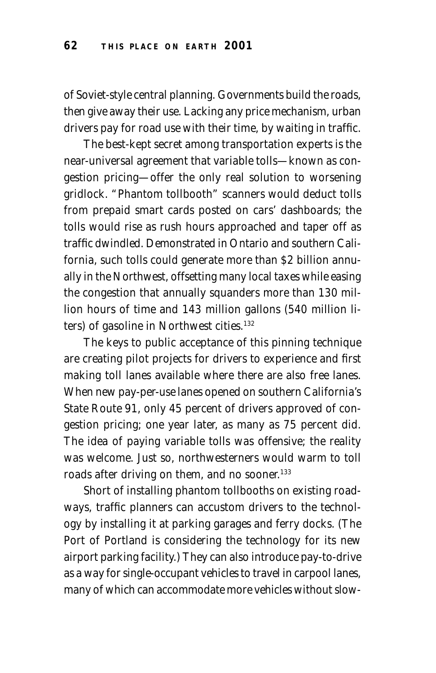of Soviet-style central planning. Governments build the roads, then give away their use. Lacking any price mechanism, urban drivers pay for road use with their time, by waiting in traffic.

The best-kept secret among transportation experts is the near-universal agreement that variable tolls—known as congestion pricing—offer the only real solution to worsening gridlock. "Phantom tollbooth" scanners would deduct tolls from prepaid smart cards posted on cars' dashboards; the tolls would rise as rush hours approached and taper off as traffic dwindled. Demonstrated in Ontario and southern California, such tolls could generate more than \$2 billion annually in the Northwest, offsetting many local taxes while easing the congestion that annually squanders more than 130 million hours of time and 143 million gallons (540 million liters) of gasoline in Northwest cities.<sup>132</sup>

The keys to public acceptance of this pinning technique are creating pilot projects for drivers to experience and first making toll lanes available where there are also free lanes. When new pay-per-use lanes opened on southern California's State Route 91, only 45 percent of drivers approved of congestion pricing; one year later, as many as 75 percent did. The idea of paying variable tolls was offensive; the reality was welcome. Just so, northwesterners would warm to toll roads after driving on them, and no sooner.<sup>133</sup>

Short of installing phantom tollbooths on existing roadways, traffic planners can accustom drivers to the technology by installing it at parking garages and ferry docks. (The Port of Portland is considering the technology for its new airport parking facility.) They can also introduce pay-to-drive as a way for single-occupant vehicles to travel in carpool lanes, many of which can accommodate more vehicles without slow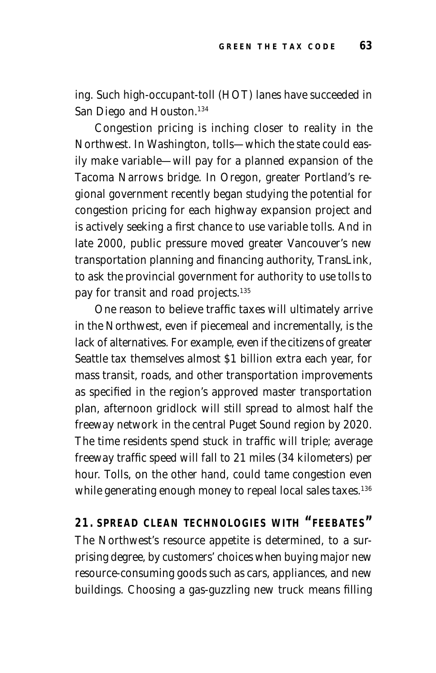ing. Such high-occupant-toll (HOT) lanes have succeeded in San Diego and Houston.<sup>134</sup>

Congestion pricing is inching closer to reality in the Northwest. In Washington, tolls—which the state could easily make variable—will pay for a planned expansion of the Tacoma Narrows bridge. In Oregon, greater Portland's regional government recently began studying the potential for congestion pricing for each highway expansion project and is actively seeking a first chance to use variable tolls. And in late 2000, public pressure moved greater Vancouver's new transportation planning and financing authority, TransLink, to ask the provincial government for authority to use tolls to pay for transit and road projects.<sup>135</sup>

One reason to believe traffic taxes will ultimately arrive in the Northwest, even if piecemeal and incrementally, is the lack of alternatives. For example, even if the citizens of greater Seattle tax themselves almost \$1 billion extra each year, for mass transit, roads, and other transportation improvements as specified in the region's approved master transportation plan, afternoon gridlock will still spread to almost half the freeway network in the central Puget Sound region by 2020. The time residents spend stuck in traffic will triple; average freeway traffic speed will fall to 21 miles (34 kilometers) per hour. Tolls, on the other hand, could tame congestion even while generating enough money to repeal local sales taxes.<sup>136</sup>

**21. SPREAD CLEAN TECHNOLOGIES WITH "FEEBATES"** The Northwest's resource appetite is determined, to a surprising degree, by customers' choices when buying major new resource-consuming goods such as cars, appliances, and new buildings. Choosing a gas-guzzling new truck means filling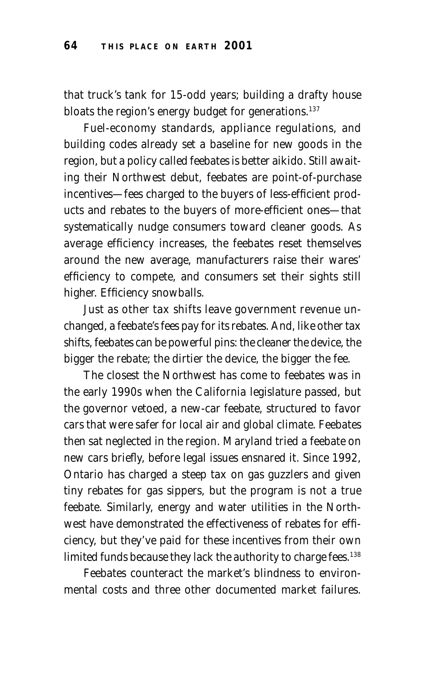that truck's tank for 15-odd years; building a drafty house bloats the region's energy budget for generations.<sup>137</sup>

Fuel-economy standards, appliance regulations, and building codes already set a baseline for new goods in the region, but a policy called feebates is better aikido. Still awaiting their Northwest debut, feebates are point-of-purchase incentives—fees charged to the buyers of less-efficient products and rebates to the buyers of more-efficient ones—that systematically nudge consumers toward cleaner goods. As average efficiency increases, the feebates reset themselves around the new average, manufacturers raise their wares' efficiency to compete, and consumers set their sights still higher. Efficiency snowballs.

Just as other tax shifts leave government revenue unchanged, a feebate's fees pay for its rebates. And, like other tax shifts, feebates can be powerful pins: the cleaner the device, the bigger the rebate; the dirtier the device, the bigger the fee.

The closest the Northwest has come to feebates was in the early 1990s when the California legislature passed, but the governor vetoed, a new-car feebate, structured to favor cars that were safer for local air and global climate. Feebates then sat neglected in the region. Maryland tried a feebate on new cars briefly, before legal issues ensnared it. Since 1992, Ontario has charged a steep tax on gas guzzlers and given tiny rebates for gas sippers, but the program is not a true feebate. Similarly, energy and water utilities in the Northwest have demonstrated the effectiveness of rebates for efficiency, but they've paid for these incentives from their own limited funds because they lack the authority to charge fees.<sup>138</sup>

Feebates counteract the market's blindness to environmental costs and three other documented market failures.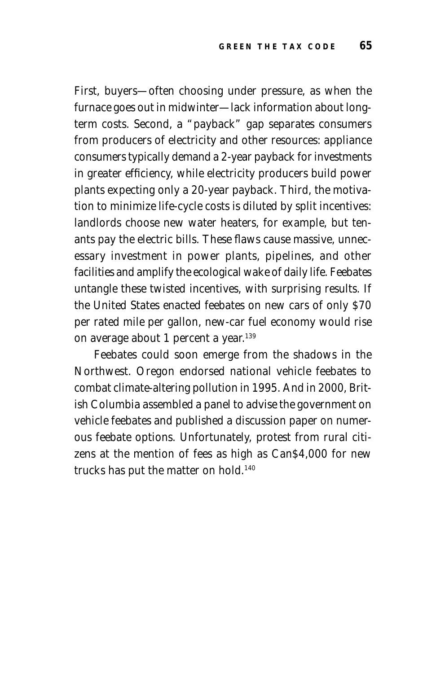First, buyers—often choosing under pressure, as when the furnace goes out in midwinter—lack information about longterm costs. Second, a "payback" gap separates consumers from producers of electricity and other resources: appliance consumers typically demand a 2-year payback for investments in greater efficiency, while electricity producers build power plants expecting only a 20-year payback. Third, the motivation to minimize life-cycle costs is diluted by split incentives: landlords choose new water heaters, for example, but tenants pay the electric bills. These flaws cause massive, unnecessary investment in power plants, pipelines, and other facilities and amplify the ecological wake of daily life. Feebates untangle these twisted incentives, with surprising results. If the United States enacted feebates on new cars of only \$70 per rated mile per gallon, new-car fuel economy would rise on average about 1 percent a year.<sup>139</sup>

Feebates could soon emerge from the shadows in the Northwest. Oregon endorsed national vehicle feebates to combat climate-altering pollution in 1995. And in 2000, British Columbia assembled a panel to advise the government on vehicle feebates and published a discussion paper on numerous feebate options. Unfortunately, protest from rural citizens at the mention of fees as high as Can\$4,000 for new trucks has put the matter on hold.140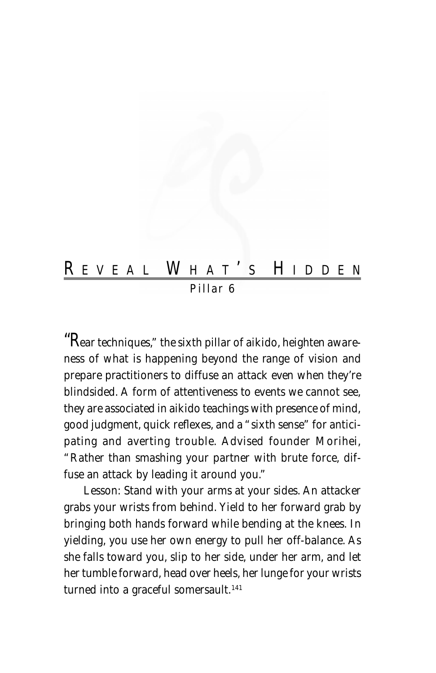# R EVEAL W HAT ' S H IDDEN *Pillar 6*

"R*ear techniques," the sixth pillar of aikido, heighten awareness of what is happening beyond the range of vision and prepare practitioners to diffuse an attack even when they're blindsided. A form of attentiveness to events we cannot see, they are associated in aikido teachings with presence of mind, good judgment, quick reflexes, and a "sixth sense" for anticipating and averting trouble. Advised founder Morihei, "Rather than smashing your partner with brute force, diffuse an attack by leading it around you."*

Lesson: *Stand with your arms at your sides. An attacker grabs your wrists from behind. Yield to her forward grab by bringing both hands forward while bending at the knees. In yielding, you use her own energy to pull her off-balance. As she falls toward you, slip to her side, under her arm, and let her tumble forward, head over heels, her lunge for your wrists turned into a graceful somersault.141*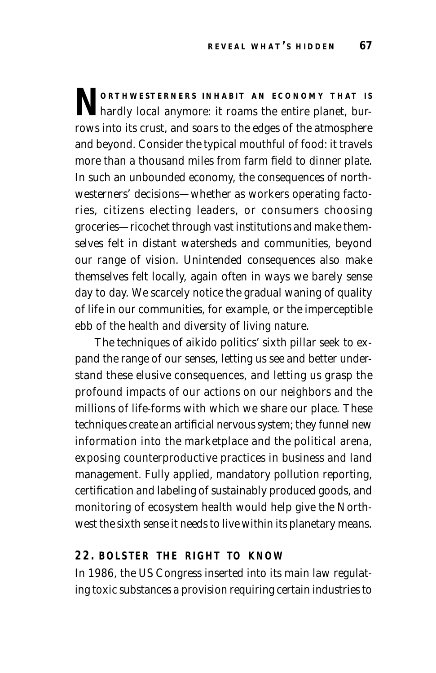**N ORTHWESTERNERS** INHABIT AN ECONOMY THAT IS
hardly local anymore: it roams the entire planet, burrows into its crust, and soars to the edges of the atmosphere and beyond. Consider the typical mouthful of food: it travels more than a thousand miles from farm field to dinner plate. In such an unbounded economy, the consequences of northwesterners' decisions—whether as workers operating factories, citizens electing leaders, or consumers choosing groceries—ricochet through vast institutions and make themselves felt in distant watersheds and communities, beyond our range of vision. Unintended consequences also make themselves felt locally, again often in ways we barely sense day to day. We scarcely notice the gradual waning of quality of life in our communities, for example, or the imperceptible ebb of the health and diversity of living nature.

The techniques of aikido politics' sixth pillar seek to expand the range of our senses, letting us see and better understand these elusive consequences, and letting us grasp the profound impacts of our actions on our neighbors and the millions of life-forms with which we share our place. These techniques create an artificial nervous system; they funnel new information into the marketplace and the political arena, exposing counterproductive practices in business and land management. Fully applied, mandatory pollution reporting, certification and labeling of sustainably produced goods, and monitoring of ecosystem health would help give the Northwest the sixth sense it needs to live within its planetary means.

## **22. BOLSTER THE RIGHT TO KNOW**

In 1986, the US Congress inserted into its main law regulating toxic substances a provision requiring certain industries to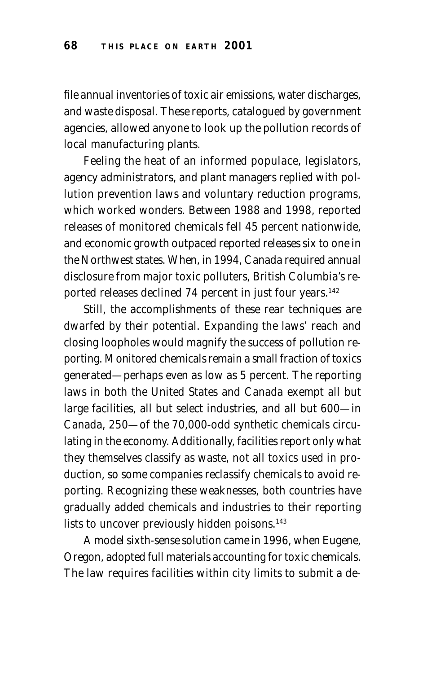file annual inventories of toxic air emissions, water discharges, and waste disposal. These reports, catalogued by government agencies, allowed anyone to look up the pollution records of local manufacturing plants.

Feeling the heat of an informed populace, legislators, agency administrators, and plant managers replied with pollution prevention laws and voluntary reduction programs, which worked wonders. Between 1988 and 1998, reported releases of monitored chemicals fell 45 percent nationwide, and economic growth outpaced reported releases six to one in the Northwest states. When, in 1994, Canada required annual disclosure from major toxic polluters, British Columbia's reported releases declined 74 percent in just four years.<sup>142</sup>

Still, the accomplishments of these rear techniques are dwarfed by their potential. Expanding the laws' reach and closing loopholes would magnify the success of pollution reporting. Monitored chemicals remain a small fraction of toxics generated—perhaps even as low as 5 percent. The reporting laws in both the United States and Canada exempt all but large facilities, all but select industries, and all but 600—in Canada, 250—of the 70,000-odd synthetic chemicals circulating in the economy. Additionally, facilities report only what they themselves classify as waste, not all toxics used in production, so some companies reclassify chemicals to avoid reporting. Recognizing these weaknesses, both countries have gradually added chemicals and industries to their reporting lists to uncover previously hidden poisons.<sup>143</sup>

A model sixth-sense solution came in 1996, when Eugene, Oregon, adopted full materials accounting for toxic chemicals. The law requires facilities within city limits to submit a de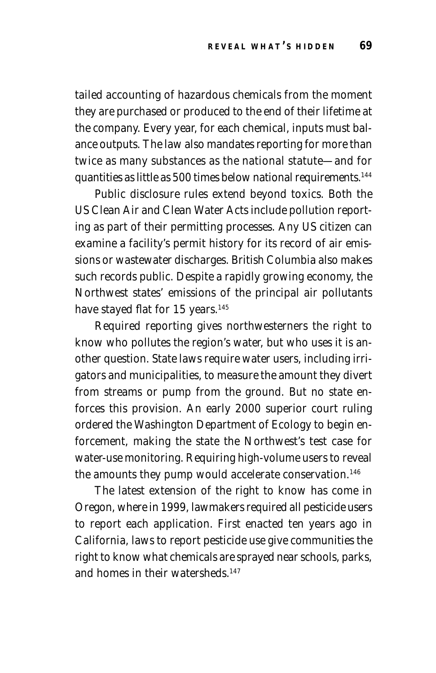tailed accounting of hazardous chemicals from the moment they are purchased or produced to the end of their lifetime at the company. Every year, for each chemical, inputs must balance outputs. The law also mandates reporting for more than twice as many substances as the national statute—and for quantities as little as 500 times below national requirements.144

Public disclosure rules extend beyond toxics. Both the US Clean Air and Clean Water Acts include pollution reporting as part of their permitting processes. Any US citizen can examine a facility's permit history for its record of air emissions or wastewater discharges. British Columbia also makes such records public. Despite a rapidly growing economy, the Northwest states' emissions of the principal air pollutants have stayed flat for 15 years.<sup>145</sup>

Required reporting gives northwesterners the right to know who pollutes the region's water, but who uses it is another question. State laws require water users, including irrigators and municipalities, to measure the amount they divert from streams or pump from the ground. But no state enforces this provision. An early 2000 superior court ruling ordered the Washington Department of Ecology to begin enforcement, making the state the Northwest's test case for water-use monitoring. Requiring high-volume users to reveal the amounts they pump would accelerate conservation.<sup>146</sup>

The latest extension of the right to know has come in Oregon, where in 1999, lawmakers required all pesticide users to report each application. First enacted ten years ago in California, laws to report pesticide use give communities the right to know what chemicals are sprayed near schools, parks, and homes in their watersheds.<sup>147</sup>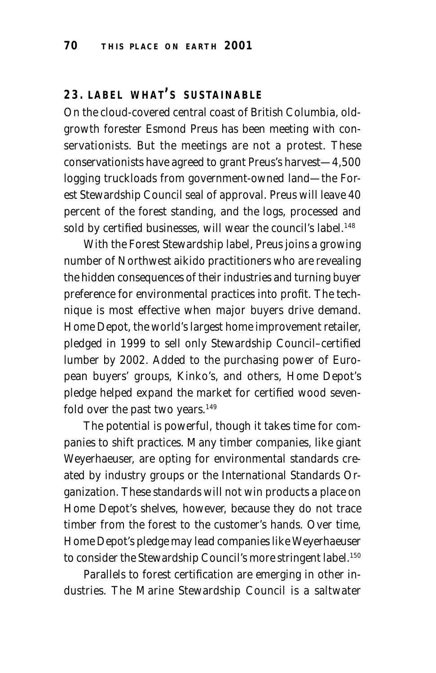## **23. LABEL WHAT ' <sup>S</sup> SUSTAINABLE**

On the cloud-covered central coast of British Columbia, oldgrowth forester Esmond Preus has been meeting with conservationists. But the meetings are not a protest. These conservationists have agreed to grant Preus's harvest—4,500 logging truckloads from government-owned land—the Forest Stewardship Council seal of approval. Preus will leave 40 percent of the forest standing, and the logs, processed and sold by certified businesses, will wear the council's label.<sup>148</sup>

With the Forest Stewardship label, Preus joins a growing number of Northwest aikido practitioners who are revealing the hidden consequences of their industries and turning buyer preference for environmental practices into profit. The technique is most effective when major buyers drive demand. Home Depot, the world's largest home improvement retailer, pledged in 1999 to sell only Stewardship Council–certified lumber by 2002. Added to the purchasing power of European buyers' groups, Kinko's, and others, Home Depot's pledge helped expand the market for certified wood sevenfold over the past two years. $149$ 

The potential is powerful, though it takes time for companies to shift practices. Many timber companies, like giant Weyerhaeuser, are opting for environmental standards created by industry groups or the International Standards Organization. These standards will not win products a place on Home Depot's shelves, however, because they do not trace timber from the forest to the customer's hands. Over time, Home Depot's pledge may lead companies like Weyerhaeuser to consider the Stewardship Council's more stringent label.<sup>150</sup>

Parallels to forest certification are emerging in other industries. The Marine Stewardship Council is a saltwater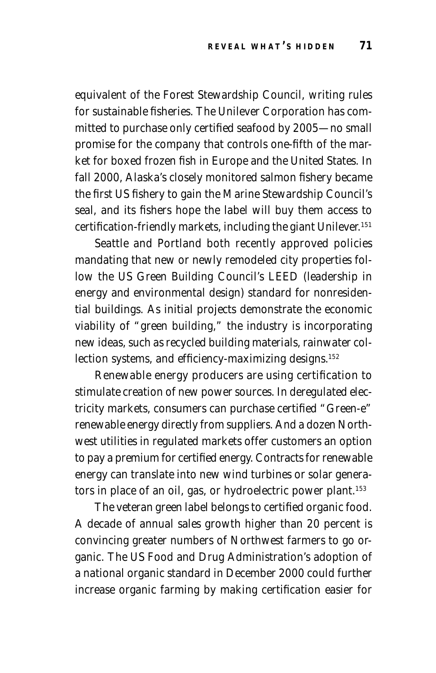equivalent of the Forest Stewardship Council, writing rules for sustainable fisheries. The Unilever Corporation has committed to purchase only certified seafood by 2005—no small promise for the company that controls one-fifth of the market for boxed frozen fish in Europe and the United States. In fall 2000, Alaska's closely monitored salmon fishery became the first US fishery to gain the Marine Stewardship Council's seal, and its fishers hope the label will buy them access to certification-friendly markets, including the giant Unilever.<sup>151</sup>

Seattle and Portland both recently approved policies mandating that new or newly remodeled city properties follow the US Green Building Council's LEED (leadership in energy and environmental design) standard for nonresidential buildings. As initial projects demonstrate the economic viability of "green building," the industry is incorporating new ideas, such as recycled building materials, rainwater collection systems, and efficiency-maximizing designs.<sup>152</sup>

Renewable energy producers are using certification to stimulate creation of new power sources. In deregulated electricity markets, consumers can purchase certified "Green-e" renewable energy directly from suppliers. And a dozen Northwest utilities in regulated markets offer customers an option to pay a premium for certified energy. Contracts for renewable energy can translate into new wind turbines or solar generators in place of an oil, gas, or hydroelectric power plant.<sup>153</sup>

The veteran green label belongs to certified organic food. A decade of annual sales growth higher than 20 percent is convincing greater numbers of Northwest farmers to go organic. The US Food and Drug Administration's adoption of a national organic standard in December 2000 could further increase organic farming by making certification easier for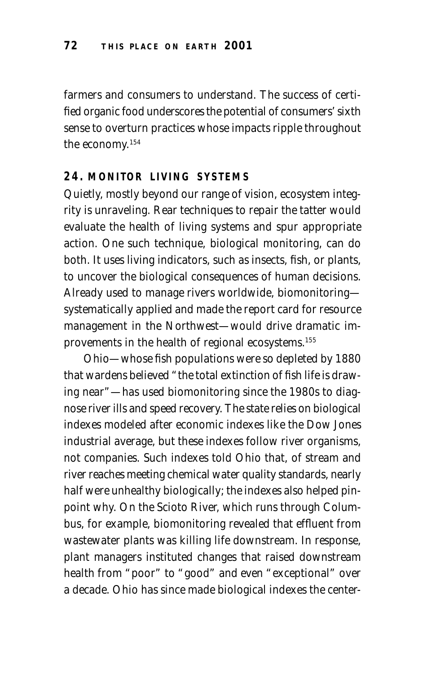farmers and consumers to understand. The success of certified organic food underscores the potential of consumers' sixth sense to overturn practices whose impacts ripple throughout the economy.154

#### **24. MONITOR LIVING SYSTEMS**

Quietly, mostly beyond our range of vision, ecosystem integrity is unraveling. Rear techniques to repair the tatter would evaluate the health of living systems and spur appropriate action. One such technique, biological monitoring, can do both. It uses living indicators, such as insects, fish, or plants, to uncover the biological consequences of human decisions. Already used to manage rivers worldwide, biomonitoring systematically applied and made the report card for resource management in the Northwest—would drive dramatic improvements in the health of regional ecosystems.155

Ohio—whose fish populations were so depleted by 1880 that wardens believed "the total extinction of fish life is drawing near"—has used biomonitoring since the 1980s to diagnose river ills and speed recovery. The state relies on biological indexes modeled after economic indexes like the Dow Jones industrial average, but these indexes follow river organisms, not companies. Such indexes told Ohio that, of stream and river reaches meeting chemical water quality standards, nearly half were unhealthy biologically; the indexes also helped pinpoint why. On the Scioto River, which runs through Columbus, for example, biomonitoring revealed that effluent from wastewater plants was killing life downstream. In response, plant managers instituted changes that raised downstream health from "poor" to "good" and even "exceptional" over a decade. Ohio has since made biological indexes the center-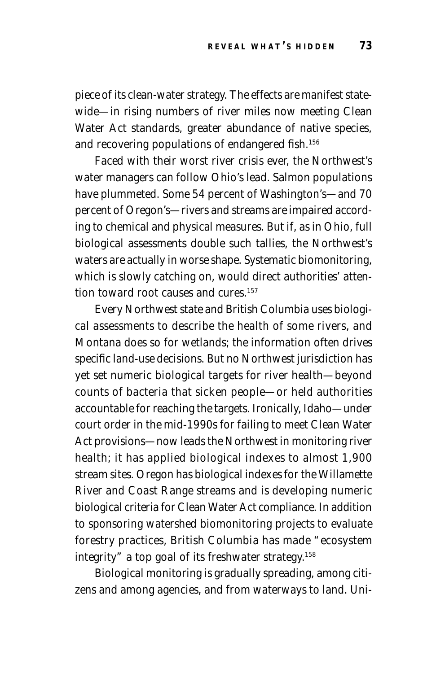piece of its clean-water strategy. The effects are manifest statewide—in rising numbers of river miles now meeting Clean Water Act standards, greater abundance of native species, and recovering populations of endangered fish.<sup>156</sup>

Faced with their worst river crisis ever, the Northwest's water managers can follow Ohio's lead. Salmon populations have plummeted. Some 54 percent of Washington's—and 70 percent of Oregon's—rivers and streams are impaired according to chemical and physical measures. But if, as in Ohio, full biological assessments double such tallies, the Northwest's waters are actually in worse shape. Systematic biomonitoring, which is slowly catching on, would direct authorities' attention toward root causes and cures.<sup>157</sup>

Every Northwest state and British Columbia uses biological assessments to describe the health of some rivers, and Montana does so for wetlands; the information often drives specific land-use decisions. But no Northwest jurisdiction has yet set numeric biological targets for river health—beyond counts of bacteria that sicken people—or held authorities accountable for reaching the targets. Ironically, Idaho—under court order in the mid-1990s for failing to meet Clean Water Act provisions—now leads the Northwest in monitoring river health; it has applied biological indexes to almost 1,900 stream sites. Oregon has biological indexes for the Willamette River and Coast Range streams and is developing numeric biological criteria for Clean Water Act compliance. In addition to sponsoring watershed biomonitoring projects to evaluate forestry practices, British Columbia has made "ecosystem integrity" a top goal of its freshwater strategy.158

Biological monitoring is gradually spreading, among citizens and among agencies, and from waterways to land. Uni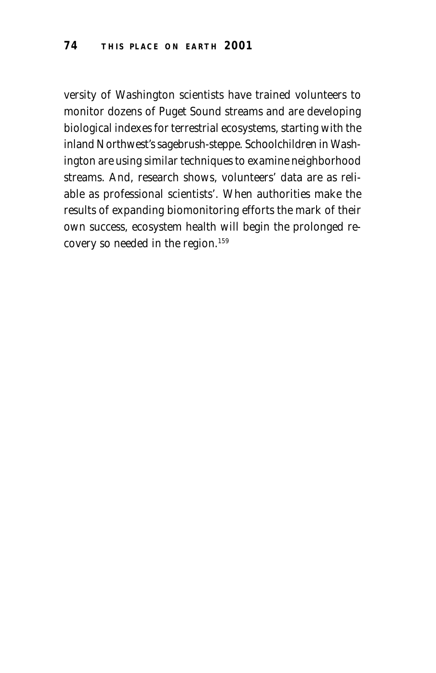versity of Washington scientists have trained volunteers to monitor dozens of Puget Sound streams and are developing biological indexes for terrestrial ecosystems, starting with the inland Northwest's sagebrush-steppe. Schoolchildren in Washington are using similar techniques to examine neighborhood streams. And, research shows, volunteers' data are as reliable as professional scientists'. When authorities make the results of expanding biomonitoring efforts the mark of their own success, ecosystem health will begin the prolonged recovery so needed in the region.159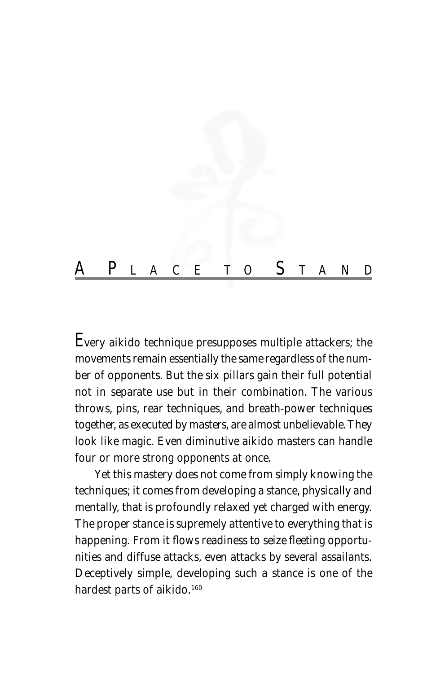

E*very aikido technique presupposes multiple attackers; the movements remain essentially the same regardless of the number of opponents. But the six pillars gain their full potential not in separate use but in their combination. The various throws, pins, rear techniques, and breath-power techniques together, as executed by masters, are almost unbelievable. They look like magic. Even diminutive aikido masters can handle four or more strong opponents at once.*

*Yet this mastery does not come from simply knowing the techniques; it comes from developing a stance, physically and mentally, that is profoundly relaxed yet charged with energy. The proper stance is supremely attentive to everything that is happening. From it flows readiness to seize fleeting opportunities and diffuse attacks, even attacks by several assailants. Deceptively simple, developing such a stance is one of the hardest parts of aikido.160*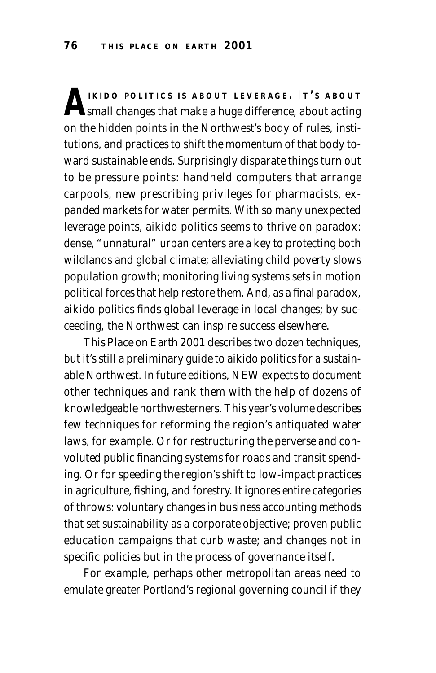**AIKIDO** POLITICS IS ABOUT LEVERAGE. IT'S ABOUT<br>
small changes that make a huge difference, about acting on the hidden points in the Northwest's body of rules, institutions, and practices to shift the momentum of that body toward sustainable ends. Surprisingly disparate things turn out to be pressure points: handheld computers that arrange carpools, new prescribing privileges for pharmacists, expanded markets for water permits. With so many unexpected leverage points, aikido politics seems to thrive on paradox: dense, "unnatural" urban centers are a key to protecting both wildlands and global climate; alleviating child poverty slows population growth; monitoring living systems sets in motion political forces that help restore them. And, as a final paradox, aikido politics finds global leverage in local changes; by succeeding, the Northwest can inspire success elsewhere.

*This Place on Earth 2001* describes two dozen techniques, but it's still a preliminary guide to aikido politics for a sustainable Northwest. In future editions, NEW expects to document other techniques and rank them with the help of dozens of knowledgeable northwesterners. This year's volume describes few techniques for reforming the region's antiquated water laws, for example. Or for restructuring the perverse and convoluted public financing systems for roads and transit spending. Or for speeding the region's shift to low-impact practices in agriculture, fishing, and forestry. It ignores entire categories of throws: voluntary changes in business accounting methods that set sustainability as a corporate objective; proven public education campaigns that curb waste; and changes not in specific policies but in the process of governance itself.

For example, perhaps other metropolitan areas need to emulate greater Portland's regional governing council if they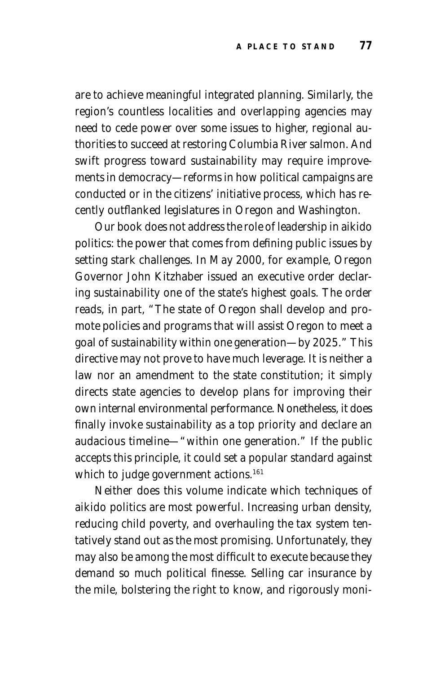are to achieve meaningful integrated planning. Similarly, the region's countless localities and overlapping agencies may need to cede power over some issues to higher, regional authorities to succeed at restoring Columbia River salmon. And swift progress toward sustainability may require improvements in democracy—reforms in how political campaigns are conducted or in the citizens' initiative process, which has recently outflanked legislatures in Oregon and Washington.

Our book does not address the role of leadership in aikido politics: the power that comes from defining public issues by setting stark challenges. In May 2000, for example, Oregon Governor John Kitzhaber issued an executive order declaring sustainability one of the state's highest goals. The order reads, in part, "The state of Oregon shall develop and promote policies and programs that will assist Oregon to meet a goal of sustainability within one generation—by 2025." This directive may not prove to have much leverage. It is neither a law nor an amendment to the state constitution; it simply directs state agencies to develop plans for improving their own internal environmental performance. Nonetheless, it does finally invoke sustainability as a top priority and declare an audacious timeline—"within one generation." If the public accepts this principle, it could set a popular standard against which to judge government actions.<sup>161</sup>

Neither does this volume indicate which techniques of aikido politics are most powerful. Increasing urban density, reducing child poverty, and overhauling the tax system tentatively stand out as the most promising. Unfortunately, they may also be among the most difficult to execute because they demand so much political finesse. Selling car insurance by the mile, bolstering the right to know, and rigorously moni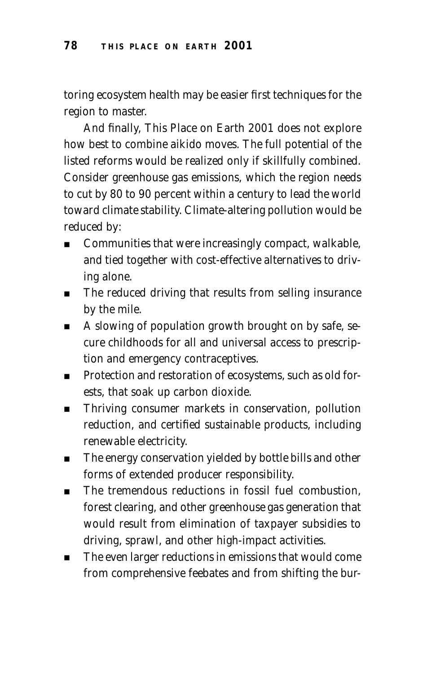toring ecosystem health may be easier first techniques for the region to master.

And finally, *This Place on Earth 2001* does not explore how best to combine aikido moves. The full potential of the listed reforms would be realized only if skillfully combined. Consider greenhouse gas emissions, which the region needs to cut by 80 to 90 percent within a century to lead the world toward climate stability. Climate-altering pollution would be reduced by:

- Communities that were increasingly compact, walkable, and tied together with cost-effective alternatives to driving alone.
- The reduced driving that results from selling insurance by the mile.
- A slowing of population growth brought on by safe, secure childhoods for all and universal access to prescription and emergency contraceptives.
- Protection and restoration of ecosystems, such as old forests, that soak up carbon dioxide.
- Thriving consumer markets in conservation, pollution reduction, and certified sustainable products, including renewable electricity.
- The energy conservation yielded by bottle bills and other forms of extended producer responsibility.
- The tremendous reductions in fossil fuel combustion, forest clearing, and other greenhouse gas generation that would result from elimination of taxpayer subsidies to driving, sprawl, and other high-impact activities.
- The even larger reductions in emissions that would come from comprehensive feebates and from shifting the bur-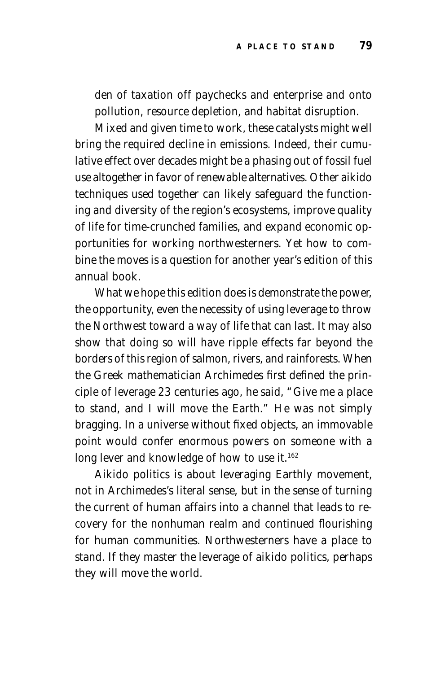den of taxation off paychecks and enterprise and onto pollution, resource depletion, and habitat disruption.

Mixed and given time to work, these catalysts might well bring the required decline in emissions. Indeed, their cumulative effect over decades might be a phasing out of fossil fuel use altogether in favor of renewable alternatives. Other aikido techniques used together can likely safeguard the functioning and diversity of the region's ecosystems, improve quality of life for time-crunched families, and expand economic opportunities for working northwesterners. Yet *how* to combine the moves is a question for another year's edition of this annual book.

What we hope this edition does is demonstrate the power, the opportunity, even the necessity of using leverage to throw the Northwest toward a way of life that can last. It may also show that doing so will have ripple effects far beyond the borders of this region of salmon, rivers, and rainforests. When the Greek mathematician Archimedes first defined the principle of leverage 23 centuries ago, he said, "Give me a place to stand, and I will move the Earth." He was not simply bragging. In a universe without fixed objects, an immovable point would confer enormous powers on someone with a long lever and knowledge of how to use it.<sup>162</sup>

Aikido politics is about leveraging Earthly movement, not in Archimedes's literal sense, but in the sense of turning the current of human affairs into a channel that leads to recovery for the nonhuman realm and continued flourishing for human communities. Northwesterners have a place to stand. If they master the leverage of aikido politics, perhaps they will move the world.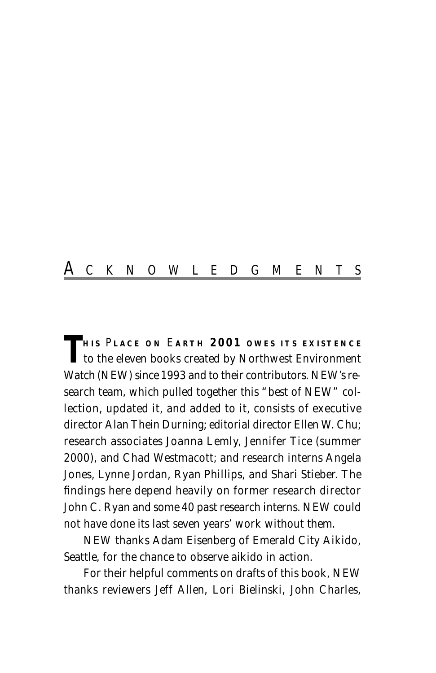## A CKNOWLEDGMENTS

**T** HIS PLACE ON EARTH 2001 OWES ITS EXISTENCE to the eleven books created by Northwest Environment Watch (NEW) since 1993 and to their contributors. NEW's research team, which pulled together this "best of NEW" collection, updated it, and added to it, consists of executive director Alan Thein Durning; editorial director Ellen W. Chu; research associates Joanna Lemly, Jennifer Tice (summer 2000), and Chad Westmacott; and research interns Angela Jones, Lynne Jordan, Ryan Phillips, and Shari Stieber. The findings here depend heavily on former research director John C. Ryan and some 40 past research interns. NEW could not have done its last seven years' work without them.

NEW thanks Adam Eisenberg of Emerald City Aikido, Seattle, for the chance to observe aikido in action.

For their helpful comments on drafts of this book, NEW thanks reviewers Jeff Allen, Lori Bielinski, John Charles,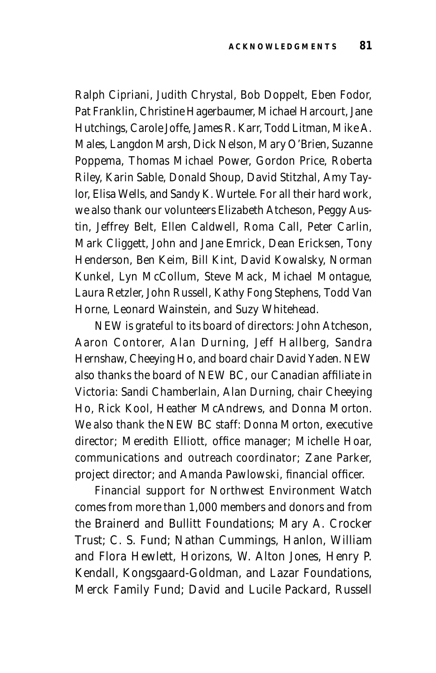Ralph Cipriani, Judith Chrystal, Bob Doppelt, Eben Fodor, Pat Franklin, Christine Hagerbaumer, Michael Harcourt, Jane Hutchings, Carole Joffe, James R. Karr, Todd Litman, Mike A. Males, Langdon Marsh, Dick Nelson, Mary O'Brien, Suzanne Poppema, Thomas Michael Power, Gordon Price, Roberta Riley, Karin Sable, Donald Shoup, David Stitzhal, Amy Taylor, Elisa Wells, and Sandy K. Wurtele. For all their hard work, we also thank our volunteers Elizabeth Atcheson, Peggy Austin, Jeffrey Belt, Ellen Caldwell, Roma Call, Peter Carlin, Mark Cliggett, John and Jane Emrick, Dean Ericksen, Tony Henderson, Ben Keim, Bill Kint, David Kowalsky, Norman Kunkel, Lyn McCollum, Steve Mack, Michael Montague, Laura Retzler, John Russell, Kathy Fong Stephens, Todd Van Horne, Leonard Wainstein, and Suzy Whitehead.

NEW is grateful to its board of directors: John Atcheson, Aaron Contorer, Alan Durning, Jeff Hallberg, Sandra Hernshaw, Cheeying Ho, and board chair David Yaden. NEW also thanks the board of NEW BC, our Canadian affiliate in Victoria: Sandi Chamberlain, Alan Durning, chair Cheeying Ho, Rick Kool, Heather McAndrews, and Donna Morton. We also thank the NEW BC staff: Donna Morton, executive director; Meredith Elliott, office manager; Michelle Hoar, communications and outreach coordinator; Zane Parker, project director; and Amanda Pawlowski, financial officer.

Financial support for Northwest Environment Watch comes from more than 1,000 members and donors and from the Brainerd and Bullitt Foundations; Mary A. Crocker Trust; C. S. Fund; Nathan Cummings, Hanlon, William and Flora Hewlett, Horizons, W. Alton Jones, Henry P. Kendall, Kongsgaard-Goldman, and Lazar Foundations, Merck Family Fund; David and Lucile Packard, Russell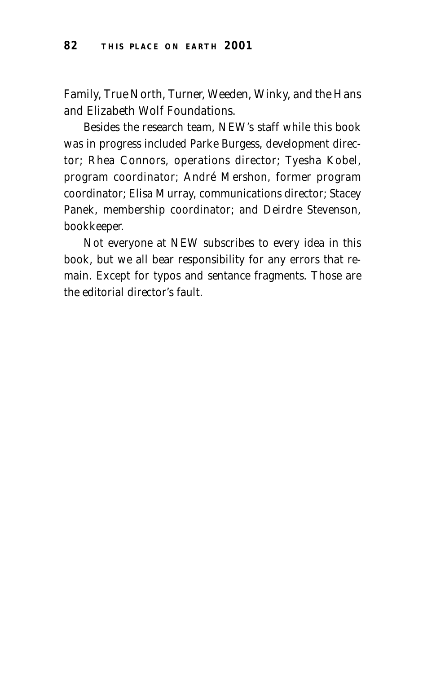Family, True North, Turner, Weeden, Winky, and the Hans and Elizabeth Wolf Foundations.

Besides the research team, NEW's staff while this book was in progress included Parke Burgess, development director; Rhea Connors, operations director; Tyesha Kobel, program coordinator; André Mershon, former program coordinator; Elisa Murray, communications director; Stacey Panek, membership coordinator; and Deirdre Stevenson, bookkeeper.

Not everyone at NEW subscribes to every idea in this book, but we all bear responsibility for any errors that remain. Except for typos and sentance fragments. Those are the editorial director's fault.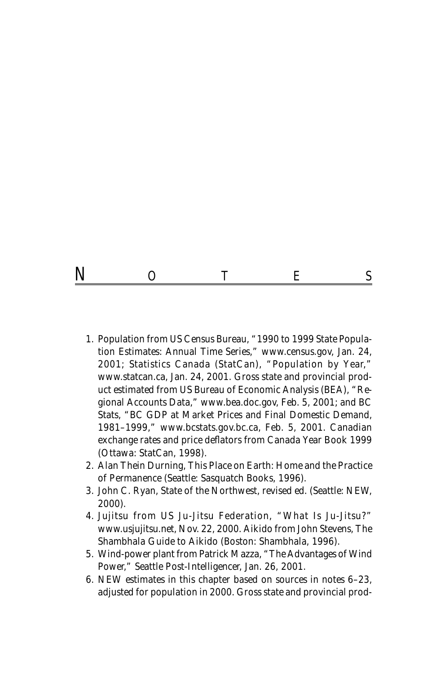## N O T E S

- 1. Population from US Census Bureau, "1990 to 1999 State Population Estimates: Annual Time Series," *www.census.gov,* Jan. 24, 2001; Statistics Canada (StatCan), "Population by Year," *www.statcan.ca,* Jan. 24, 2001. Gross state and provincial product estimated from US Bureau of Economic Analysis (BEA), "Regional Accounts Data," *www.bea.doc.gov,* Feb. 5, 2001; and BC Stats, "BC GDP at Market Prices and Final Domestic Demand, 1981–1999," *www.bcstats.gov.bc.ca,* Feb. 5, 2001. Canadian exchange rates and price deflators from *Canada Year Book 1999* (Ottawa: StatCan, 1998).
- 2. Alan Thein Durning, *This Place on Earth: Home and the Practice of Permanence* (Seattle: Sasquatch Books, 1996).
- 3. John C. Ryan, *State of the Northwest,* revised ed. (Seattle: NEW, 2000).
- 4. Jujitsu from US Ju-Jitsu Federation, "What Is Ju-Jitsu?" *www.usjujitsu.net,* Nov. 22, 2000. Aikido from John Stevens, *The Shambhala Guide to Aikido* (Boston: Shambhala, 1996).
- 5. Wind-power plant from Patrick Mazza, "The Advantages of Wind Power," *Seattle Post-Intelligencer,* Jan. 26, 2001.
- 6. NEW estimates in this chapter based on sources in notes 6–23, adjusted for population in 2000. Gross state and provincial prod-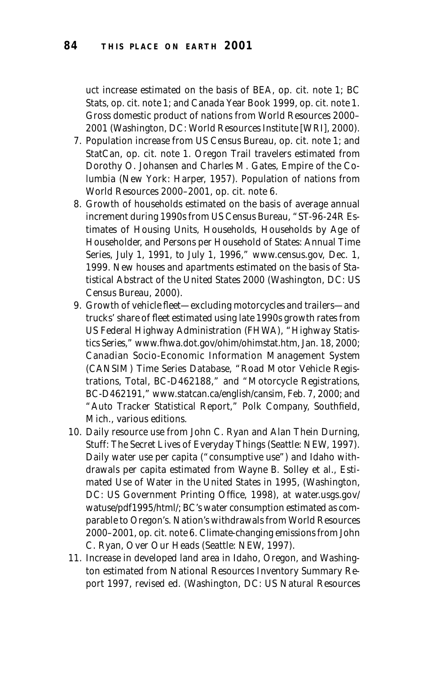uct increase estimated on the basis of BEA, op. cit. note 1; BC Stats, op. cit. note 1; and *Canada Year Book 1999,* op. cit. note 1. Gross domestic product of nations from *World Resources 2000– 2001* (Washington, DC: World Resources Institute [WRI], 2000).

- 7. Population increase from US Census Bureau, op. cit. note 1; and StatCan, op. cit. note 1. Oregon Trail travelers estimated from Dorothy O. Johansen and Charles M. Gates, *Empire of the Columbia* (New York: Harper, 1957). Population of nations from *World Resources 2000–2001,* op. cit. note 6.
- 8. Growth of households estimated on the basis of average annual increment during 1990s from US Census Bureau, "ST-96-24R Estimates of Housing Units, Households, Households by Age of Householder, and Persons per Household of States: Annual Time Series, July 1, 1991, to July 1, 1996," *www.census.gov,* Dec. 1, 1999. New houses and apartments estimated on the basis of *Statistical Abstract of the United States 2000* (Washington, DC: US Census Bureau, 2000).
- 9. Growth of vehicle fleet—excluding motorcycles and trailers—and trucks' share of fleet estimated using late 1990s growth rates from US Federal Highway Administration (FHWA), "Highway Statistics Series," *www.fhwa.dot.gov/ohim/ohimstat.htm,* Jan. 18, 2000; Canadian Socio-Economic Information Management System (CANSIM) Time Series Database, "Road Motor Vehicle Registrations, Total, BC-D462188," and "Motorcycle Registrations, BC-D462191," *www.statcan.ca/english/cansim,* Feb. 7, 2000; and "Auto Tracker Statistical Report," Polk Company, Southfield, Mich., various editions.
- 10. Daily resource use from John C. Ryan and Alan Thein Durning, *Stuff: The Secret Lives of Everyday Things* (Seattle: NEW, 1997). Daily water use per capita ("consumptive use") and Idaho withdrawals per capita estimated from Wayne B. Solley et al., *Estimated Use of Water in the United States in 1995,* (Washington, DC: US Government Printing Office, 1998), at *water.usgs.gov/ watuse/pdf1995/html/;* BC's water consumption estimated as comparable to Oregon's. Nation's withdrawals from *World Resources 2000–2001,* op. cit. note 6. Climate-changing emissions from John C. Ryan, *Over Our Heads* (Seattle: NEW, 1997).
- 11. Increase in developed land area in Idaho, Oregon, and Washington estimated from *National Resources Inventory Summary Report 1997,* revised ed. (Washington, DC: US Natural Resources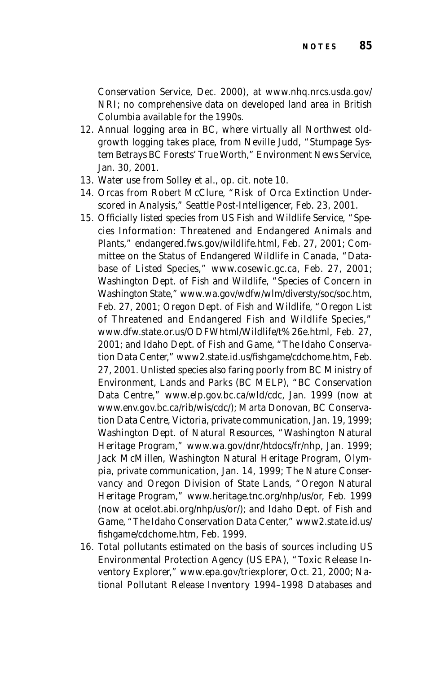Conservation Service, Dec. 2000), at *www.nhq.nrcs.usda.gov/ NRI;* no comprehensive data on developed land area in British Columbia available for the 1990s.

- 12. Annual logging area in BC, where virtually all Northwest oldgrowth logging takes place, from Neville Judd, "Stumpage System Betrays BC Forests' True Worth," *Environment News Service*, Jan. 30, 2001.
- 13. Water use from Solley et al., op. cit. note 10.
- 14. Orcas from Robert McClure, "Risk of Orca Extinction Underscored in Analysis," *Seattle Post-Intelligencer,* Feb. 23, 2001.
- 15. Officially listed species from US Fish and Wildlife Service, "Species Information: Threatened and Endangered Animals and Plants," *endangered.fws.gov/wildlife.html,* Feb. 27, 2001; Committee on the Status of Endangered Wildlife in Canada, "Database of Listed Species," *www.cosewic.gc.ca,* Feb. 27, 2001; Washington Dept. of Fish and Wildlife, "Species of Concern in Washington State," *www.wa.gov/wdfw/wlm/diversty/soc/soc.htm,* Feb. 27, 2001; Oregon Dept. of Fish and Wildlife, "Oregon List of Threatened and Endangered Fish and Wildlife Species," *www.dfw.state.or.us/ODFWhtml/Wildlife/t%26e.html,* Feb. 27, 2001; and Idaho Dept. of Fish and Game, "The Idaho Conservation Data Center," *www2.state.id.us/fishgame/cdchome.htm,* Feb. 27, 2001. Unlisted species also faring poorly from BC Ministry of Environment, Lands and Parks (BC MELP), "BC Conservation Data Centre," *www.elp.gov.bc.ca/wld/cdc,* Jan. 1999 (now at *www.env.gov.bc.ca/rib/wis/cdc/*); Marta Donovan, BC Conservation Data Centre, Victoria, private communication, Jan. 19, 1999; Washington Dept. of Natural Resources, "Washington Natural Heritage Program," *www.wa.gov/dnr/htdocs/fr/nhp,* Jan. 1999; Jack McMillen, Washington Natural Heritage Program, Olympia, private communication, Jan. 14, 1999; The Nature Conservancy and Oregon Division of State Lands, "Oregon Natural Heritage Program," *www.heritage.tnc.org/nhp/us/or,* Feb. 1999 (now at *ocelot.abi.org/nhp/us/or*/); and Idaho Dept. of Fish and Game, "The Idaho Conservation Data Center," *www2.state.id.us/ fishgame/cdchome.htm,* Feb. 1999.
- 16. Total pollutants estimated on the basis of sources including US Environmental Protection Agency (US EPA), "Toxic Release Inventory Explorer," *www.epa.gov/triexplorer,* Oct. 21, 2000; *National Pollutant Release Inventory 1994–1998 Databases and*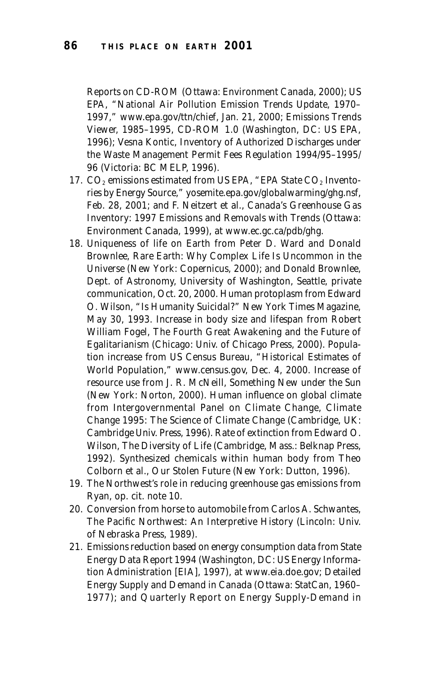*Reports* on CD-ROM (Ottawa: Environment Canada, 2000); US EPA, "National Air Pollution Emission Trends Update, 1970– 1997," *www.epa.gov/ttn/chief,* Jan. 21, 2000; *Emissions Trends Viewer, 1985–1995,* CD-ROM 1.0 (Washington, DC: US EPA, 1996); Vesna Kontic, *Inventory of Authorized Discharges under the Waste Management Permit Fees Regulation 1994/95–1995/ 96* (Victoria: BC MELP, 1996).

- 17.  $CO<sub>2</sub>$  emissions estimated from US EPA, "EPA State  $CO<sub>2</sub>$  Inventories by Energy Source," *yosemite.epa.gov/globalwarming/ghg.nsf,* Feb. 28, 2001; and F. Neitzert et al., *Canada's Greenhouse Gas Inventory: 1997 Emissions and Removals with Trends* (Ottawa: Environment Canada, 1999), at *www.ec.gc.ca/pdb/ghg.*
- 18. Uniqueness of life on Earth from Peter D. Ward and Donald Brownlee, *Rare Earth: Why Complex Life Is Uncommon in the Universe* (New York: Copernicus, 2000); and Donald Brownlee, Dept. of Astronomy, University of Washington, Seattle, private communication, Oct. 20, 2000. Human protoplasm from Edward O. Wilson, "Is Humanity Suicidal?" *New York Times Magazine,* May 30, 1993. Increase in body size and lifespan from Robert William Fogel, *The Fourth Great Awakening and the Future of Egalitarianism* (Chicago: Univ. of Chicago Press, 2000). Population increase from US Census Bureau, "Historical Estimates of World Population," *www.census.gov,* Dec. 4, 2000. Increase of resource use from J. R. McNeill, *Something New under the Sun* (New York: Norton, 2000). Human influence on global climate from Intergovernmental Panel on Climate Change, *Climate Change 1995: The Science of Climate Change* (Cambridge, UK: Cambridge Univ. Press, 1996). Rate of extinction from Edward O. Wilson, *The Diversity of Life* (Cambridge, Mass.: Belknap Press, 1992). Synthesized chemicals within human body from Theo Colborn et al., *Our Stolen Future* (New York: Dutton, 1996).
- 19. The Northwest's role in reducing greenhouse gas emissions from Ryan, op. cit. note 10.
- 20. Conversion from horse to automobile from Carlos A. Schwantes, *The Pacific Northwest: An Interpretive History* (Lincoln: Univ. of Nebraska Press, 1989).
- 21. Emissions reduction based on energy consumption data from *State Energy Data Report 1994* (Washington, DC: US Energy Information Administration [EIA], 1997), at *www.eia.doe.gov; Detailed Energy Supply and Demand in Canada* (Ottawa: StatCan, 1960– 1977); and *Quarterly Report on Energy Supply-Demand in*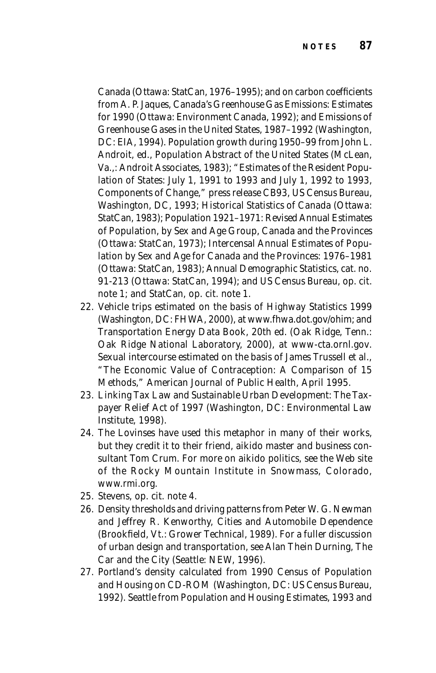*Canada* (Ottawa: StatCan, 1976–1995); and on carbon coefficients from A. P. Jaques, *Canada's Greenhouse Gas Emissions: Estimates for 1990* (Ottawa: Environment Canada, 1992); and *Emissions of Greenhouse Gases in the United States, 1987–1992* (Washington, DC: EIA, 1994). Population growth during 1950–99 from John L. Androit, ed., *Population Abstract of the United States* (McLean, Va.,: Androit Associates, 1983); "Estimates of the Resident Population of States: July 1, 1991 to 1993 and July 1, 1992 to 1993, Components of Change," press release CB93, US Census Bureau, Washington, DC, 1993; *Historical Statistics of Canada* (Ottawa: StatCan, 1983); *Population 1921–1971: Revised Annual Estimates of Population, by Sex and Age Group, Canada and the Provinces* (Ottawa: StatCan, 1973); *Intercensal Annual Estimates of Population by Sex and Age for Canada and the Provinces: 1976–1981* (Ottawa: StatCan, 1983); *Annual Demographic Statistics,* cat. no. 91-213 (Ottawa: StatCan, 1994); and US Census Bureau, op. cit. note 1; and StatCan, op. cit. note 1.

- 22. Vehicle trips estimated on the basis of *Highway Statistics 1999* (Washington, DC: FHWA, 2000), at *www.fhwa.dot.gov/ohim;* and *Transportation Energy Data Book,* 20th ed. (Oak Ridge, Tenn.: Oak Ridge National Laboratory, 2000), at *www-cta.ornl.gov*. Sexual intercourse estimated on the basis of James Trussell et al., "The Economic Value of Contraception: A Comparison of 15 Methods," *American Journal of Public Health*, April 1995.
- 23. *Linking Tax Law and Sustainable Urban Development: The Taxpayer Relief Act of 1997* (Washington, DC: Environmental Law Institute, 1998).
- 24. The Lovinses have used this metaphor in many of their works, but they credit it to their friend, aikido master and business consultant Tom Crum. For more on aikido politics, see the Web site of the Rocky Mountain Institute in Snowmass, Colorado, *www.rmi.org.*
- 25. Stevens, op. cit. note 4.
- 26. Density thresholds and driving patterns from Peter W. G. Newman and Jeffrey R. Kenworthy, *Cities and Automobile Dependence* (Brookfield, Vt.: Grower Technical, 1989). For a fuller discussion of urban design and transportation, see Alan Thein Durning, *The Car and the City* (Seattle: NEW, 1996).
- 27. Portland's density calculated from *1990 Census of Population and Housing* on CD-ROM (Washington, DC: US Census Bureau, 1992). Seattle from *Population and Housing Estimates, 1993 and*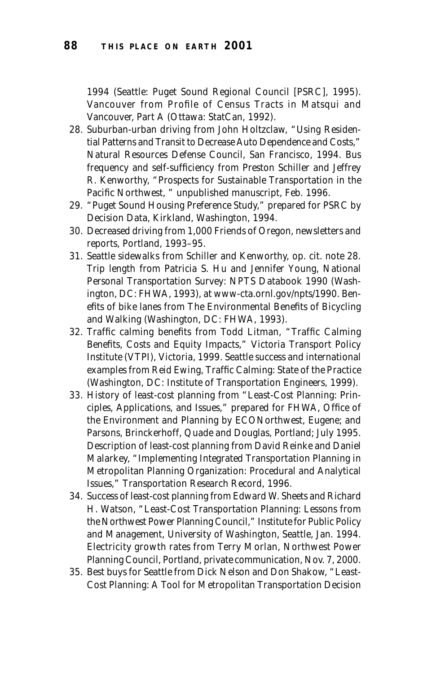*1994* (Seattle: Puget Sound Regional Council [PSRC], 1995). Vancouver from *Profile of Census Tracts in Matsqui and Vancouver,* Part A (Ottawa: StatCan, 1992).

- 28. Suburban-urban driving from John Holtzclaw, "Using Residential Patterns and Transit to Decrease Auto Dependence and Costs," Natural Resources Defense Council, San Francisco, 1994. Bus frequency and self-sufficiency from Preston Schiller and Jeffrey R. Kenworthy, "Prospects for Sustainable Transportation in the Pacific Northwest, " unpublished manuscript, Feb. 1996.
- 29. "Puget Sound Housing Preference Study," prepared for PSRC by Decision Data, Kirkland, Washington, 1994.
- 30. Decreased driving from 1,000 Friends of Oregon, newsletters and reports, Portland, 1993–95.
- 31. Seattle sidewalks from Schiller and Kenworthy, op. cit. note 28. Trip length from Patricia S. Hu and Jennifer Young, *National Personal Transportation Survey: NPTS Databook 1990* (Washington, DC: FHWA, 1993), at *www-cta.ornl.gov/npts/1990.* Benefits of bike lanes from *The Environmental Benefits of Bicycling and Walking* (Washington, DC: FHWA, 1993).
- 32. Traffic calming benefits from Todd Litman, "Traffic Calming Benefits, Costs and Equity Impacts," Victoria Transport Policy Institute (VTPI), Victoria, 1999. Seattle success and international examples from Reid Ewing, *Traffic Calming: State of the Practice* (Washington, DC: Institute of Transportation Engineers, 1999).
- 33. History of least-cost planning from "Least-Cost Planning: Principles, Applications, and Issues," prepared for FHWA, Office of the Environment and Planning by ECONorthwest, Eugene; and Parsons, Brinckerhoff, Quade and Douglas, Portland; July 1995. Description of least-cost planning from David Reinke and Daniel Malarkey, "Implementing Integrated Transportation Planning in Metropolitan Planning Organization: Procedural and Analytical Issues," *Transportation Research Record,* 1996.
- 34. Success of least-cost planning from Edward W. Sheets and Richard H. Watson, "Least-Cost Transportation Planning: Lessons from the Northwest Power Planning Council," Institute for Public Policy and Management, University of Washington, Seattle, Jan. 1994. Electricity growth rates from Terry Morlan, Northwest Power Planning Council, Portland, private communication, Nov. 7, 2000.
- 35. Best buys for Seattle from Dick Nelson and Don Shakow, "Least-Cost Planning: A Tool for Metropolitan Transportation Decision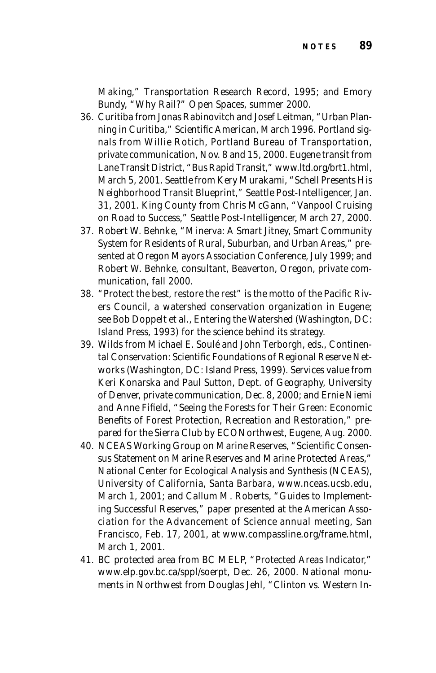Making," *Transportation Research Record,* 1995; and Emory Bundy, "Why Rail?" *Open Spaces,* summer 2000.

- 36. Curitiba from Jonas Rabinovitch and Josef Leitman, "Urban Planning in Curitiba," *Scientific American,* March 1996. Portland signals from Willie Rotich, Portland Bureau of Transportation, private communication, Nov. 8 and 15, 2000. Eugene transit from Lane Transit District, "Bus Rapid Transit," *www.ltd.org/brt1.html,* March 5, 2001. Seattle from Kery Murakami, "Schell Presents His Neighborhood Transit Blueprint," *Seattle Post-Intelligencer,* Jan. 31, 2001. King County from Chris McGann, "Vanpool Cruising on Road to Success," *Seattle Post-Intelligencer,* March 27, 2000.
- 37. Robert W. Behnke, "Minerva: A Smart Jitney, Smart Community System for Residents of Rural, Suburban, and Urban Areas," presented at Oregon Mayors Association Conference, July 1999; and Robert W. Behnke, consultant, Beaverton, Oregon, private communication, fall 2000.
- 38. "Protect the best, restore the rest" is the motto of the Pacific Rivers Council, a watershed conservation organization in Eugene; see Bob Doppelt et al., *Entering the Watershed* (Washington, DC: Island Press, 1993) for the science behind its strategy.
- 39. Wilds from Michael E. Soulé and John Terborgh, eds., *Continental Conservation: Scientific Foundations of Regional Reserve Networks* (Washington, DC: Island Press, 1999). Services value from Keri Konarska and Paul Sutton, Dept. of Geography, University of Denver, private communication, Dec. 8, 2000; and Ernie Niemi and Anne Fifield, "Seeing the Forests for Their Green: Economic Benefits of Forest Protection, Recreation and Restoration," prepared for the Sierra Club by ECONorthwest, Eugene, Aug. 2000.
- 40. NCEAS Working Group on Marine Reserves, "Scientific Consensus Statement on Marine Reserves and Marine Protected Areas," National Center for Ecological Analysis and Synthesis (NCEAS), University of California, Santa Barbara, *www.nceas.ucsb.edu,* March 1, 2001; and Callum M. Roberts, "Guides to Implementing Successful Reserves," paper presented at the American Association for the Advancement of Science annual meeting, San Francisco, Feb. 17, 2001, at *www.compassline.org/frame.html,* March 1, 2001.
- 41. BC protected area from BC MELP, "Protected Areas Indicator," *www.elp.gov.bc.ca/sppl/soerpt,* Dec. 26, 2000. National monuments in Northwest from Douglas Jehl, "Clinton vs. Western In-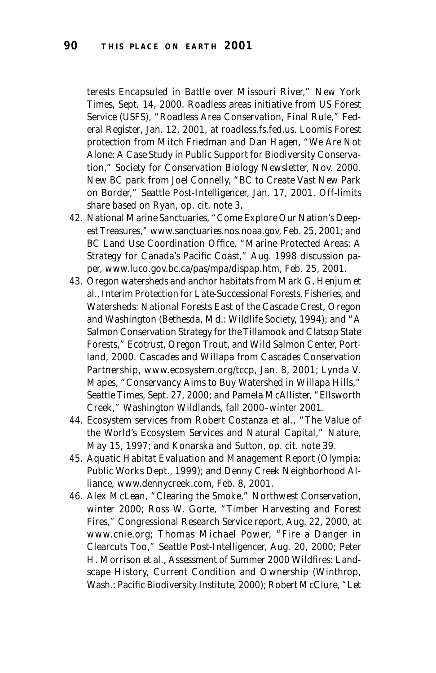terests Encapsuled in Battle over Missouri River," *New York Times,* Sept. 14, 2000. Roadless areas initiative from US Forest Service (USFS), "Roadless Area Conservation, Final Rule," *Federal Register*, Jan. 12, 2001, at *roadless.fs.fed.us.* Loomis Forest protection from Mitch Friedman and Dan Hagen, "We Are Not Alone: A Case Study in Public Support for Biodiversity Conservation," *Society for Conservation Biology Newsletter,* Nov. 2000. New BC park from Joel Connelly, "BC to Create Vast New Park on Border," *Seattle Post-Intelligencer,* Jan. 17, 2001. Off-limits share based on Ryan, op. cit. note 3.

- 42. National Marine Sanctuaries, "Come Explore Our Nation's Deepest Treasures," *www.sanctuaries.nos.noaa.gov,* Feb. 25, 2001; and BC Land Use Coordination Office, "Marine Protected Areas: A Strategy for Canada's Pacific Coast," Aug. 1998 discussion paper, *www.luco.gov.bc.ca/pas/mpa/dispap.htm,* Feb. 25, 2001.
- 43. Oregon watersheds and anchor habitats from Mark G. Henjum et al., *Interim Protection for Late-Successional Forests, Fisheries, and Watersheds: National Forests East of the Cascade Crest, Oregon* and Washington (Bethesda, Md.: Wildlife Society, 1994); and "A Salmon Conservation Strategy for the Tillamook and Clatsop State Forests," Ecotrust, Oregon Trout, and Wild Salmon Center, Portland, 2000. Cascades and Willapa from Cascades Conservation Partnership, *www.ecosystem.org/tccp,* Jan. 8, 2001; Lynda V. Mapes, "Conservancy Aims to Buy Watershed in Willapa Hills," *Seattle Times,* Sept. 27, 2000; and Pamela McAllister, "Ellsworth Creek," *Washington Wildlands,* fall 2000–winter 2001.
- 44. Ecosystem services from Robert Costanza et al., "The Value of the World's Ecosystem Services and Natural Capital," *Nature,* May 15, 1997; and Konarska and Sutton, op. cit. note 39.
- 45. *Aquatic Habitat Evaluation and Management Report* (Olympia: Public Works Dept., 1999); and Denny Creek Neighborhood Alliance, *www.dennycreek.com,* Feb. 8, 2001.
- 46. Alex McLean, "Clearing the Smoke," *Northwest Conservation,* winter 2000; Ross W. Gorte, "Timber Harvesting and Forest Fires," Congressional Research Service report, Aug. 22, 2000, at *www.cnie.org;* Thomas Michael Power, "Fire a Danger in Clearcuts Too," *Seattle Post-Intelligencer,* Aug. 20, 2000; Peter H. Morrison et al., *Assessment of Summer 2000 Wildfires: Landscape History, Current Condition and Ownership* (Winthrop, Wash.: Pacific Biodiversity Institute, 2000); Robert McClure, "Let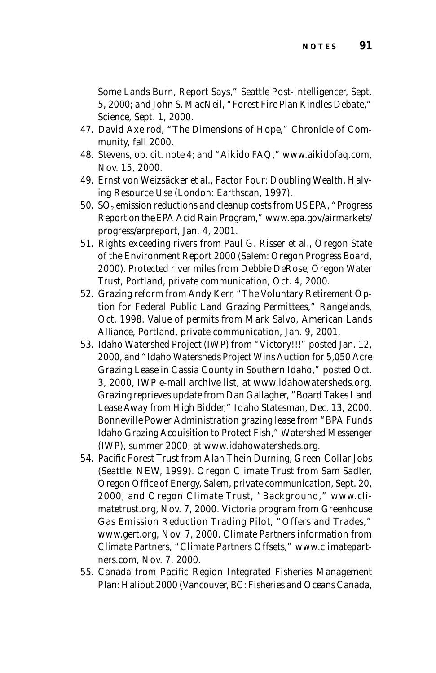Some Lands Burn, Report Says," *Seattle Post-Intelligencer,* Sept. 5, 2000; and John S. MacNeil, "Forest Fire Plan Kindles Debate," *Science,* Sept. 1, 2000.

- 47. David Axelrod, "The Dimensions of Hope," *Chronicle of Community,* fall 2000.
- 48. Stevens, op. cit. note 4; and "Aikido FAQ," *www.aikidofaq.com,* Nov. 15, 2000.
- 49. Ernst von Weizsäcker et al.*, Factor Four: Doubling Wealth, Halving Resource Use* (London: Earthscan, 1997).
- 50.  $SO<sub>2</sub>$  emission reductions and cleanup costs from US EPA, "Progress Report on the EPA Acid Rain Program," *www.epa.gov/airmarkets/ progress/arpreport,* Jan. 4, 2001.
- 51. Rights exceeding rivers from Paul G. Risser et al., *Oregon State of the Environment Report 2000* (Salem: Oregon Progress Board, 2000). Protected river miles from Debbie DeRose, Oregon Water Trust, Portland, private communication, Oct. 4, 2000.
- 52. Grazing reform from Andy Kerr, "The Voluntary Retirement Option for Federal Public Land Grazing Permittees," *Rangelands,* Oct. 1998. Value of permits from Mark Salvo, American Lands Alliance, Portland, private communication, Jan. 9, 2001.
- 53. Idaho Watershed Project (IWP) from "Victory!!!" posted Jan. 12, 2000, and "Idaho Watersheds Project Wins Auction for 5,050 Acre Grazing Lease in Cassia County in Southern Idaho," posted Oct. 3, 2000, IWP e-mail archive list, at *www.idahowatersheds.org.* Grazing reprieves update from Dan Gallagher, "Board Takes Land Lease Away from High Bidder," *Idaho Statesman,* Dec. 13, 2000. Bonneville Power Administration grazing lease from "BPA Funds Idaho Grazing Acquisition to Protect Fish," *Watershed Messenger* (IWP), summer 2000, at *www.idahowatersheds.org.*
- 54. Pacific Forest Trust from Alan Thein Durning, *Green-Collar Jobs* (Seattle: NEW, 1999). Oregon Climate Trust from Sam Sadler, Oregon Office of Energy, Salem, private communication, Sept. 20, 2000; and Oregon Climate Trust, "Background," *www.climatetrust.org,* Nov. 7, 2000. Victoria program from Greenhouse Gas Emission Reduction Trading Pilot, "Offers and Trades," *www.gert.org,* Nov. 7, 2000. Climate Partners information from Climate Partners, "Climate Partners Offsets," *www.climatepartners.com,* Nov. 7, 2000.
- 55. Canada from *Pacific Region Integrated Fisheries Management Plan: Halibut 2000* (Vancouver, BC: Fisheries and Oceans Canada,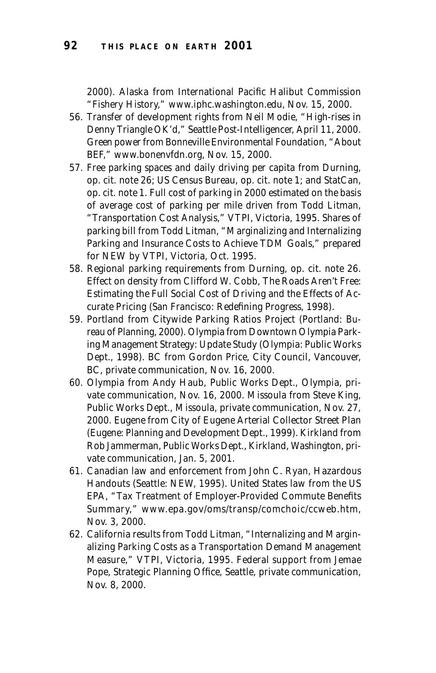2000). Alaska from International Pacific Halibut Commission "Fishery History," *www.iphc.washington.edu,* Nov. 15, 2000.

- 56. Transfer of development rights from Neil Modie, "High-rises in Denny Triangle OK'd," *Seattle Post-Intelligencer,* April 11, 2000. Green power from Bonneville Environmental Foundation, "About BEF," *www.bonenvfdn.org,* Nov. 15, 2000.
- 57. Free parking spaces and daily driving per capita from Durning, op. cit. note 26; US Census Bureau, op. cit. note 1; and StatCan, op. cit. note 1. Full cost of parking in 2000 estimated on the basis of average cost of parking per mile driven from Todd Litman, "Transportation Cost Analysis," VTPI, Victoria, 1995. Shares of parking bill from Todd Litman, "Marginalizing and Internalizing Parking and Insurance Costs to Achieve TDM Goals," prepared for NEW by VTPI, Victoria, Oct. 1995.
- 58. Regional parking requirements from Durning, op. cit. note 26. Effect on density from Clifford W. Cobb, *The Roads Aren't Free: Estimating the Full Social Cost of Driving and the Effects of Accurate Pricing* (San Francisco: Redefining Progress, 1998).
- 59. Portland from *Citywide Parking Ratios Project* (Portland: Bureau of Planning, 2000). Olympia from *Downtown Olympia Parking Management Strategy: Update Study* (Olympia: Public Works Dept., 1998). BC from Gordon Price, City Council, Vancouver, BC, private communication, Nov. 16, 2000.
- 60. Olympia from Andy Haub, Public Works Dept., Olympia, private communication, Nov. 16, 2000. Missoula from Steve King, Public Works Dept., Missoula, private communication, Nov. 27, 2000. Eugene from *City of Eugene Arterial Collector Street Plan* (Eugene: Planning and Development Dept., 1999). Kirkland from Rob Jammerman, Public Works Dept., Kirkland, Washington, private communication, Jan. 5, 2001.
- 61. Canadian law and enforcement from John C. Ryan, *Hazardous Handouts* (Seattle: NEW, 1995). United States law from the US EPA, "Tax Treatment of Employer-Provided Commute Benefits Summary," *www.epa.gov/oms/transp/comchoic/ccweb.htm,* Nov. 3, 2000.
- 62. California results from Todd Litman, "Internalizing and Marginalizing Parking Costs as a Transportation Demand Management Measure," VTPI, Victoria, 1995. Federal support from Jemae Pope, Strategic Planning Office, Seattle, private communication, Nov. 8, 2000.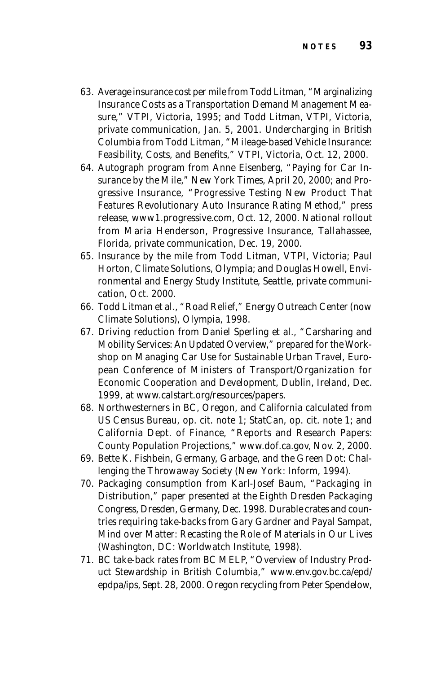- 63. Average insurance cost per mile from Todd Litman, "Marginalizing Insurance Costs as a Transportation Demand Management Measure," VTPI, Victoria, 1995; and Todd Litman, VTPI, Victoria, private communication, Jan. 5, 2001. Undercharging in British Columbia from Todd Litman, "Mileage-based Vehicle Insurance: Feasibility, Costs, and Benefits," VTPI, Victoria, Oct. 12, 2000.
- 64. Autograph program from Anne Eisenberg, "Paying for Car Insurance by the Mile," *New York Times,* April 20, 2000; and Progressive Insurance, "Progressive Testing New Product That Features Revolutionary Auto Insurance Rating Method," press release, *www1.progressive.com,* Oct. 12, 2000. National rollout from Maria Henderson, Progressive Insurance, Tallahassee, Florida, private communication, Dec. 19, 2000.
- 65. Insurance by the mile from Todd Litman, VTPI, Victoria; Paul Horton, Climate Solutions, Olympia; and Douglas Howell, Environmental and Energy Study Institute, Seattle, private communication, Oct. 2000.
- 66. Todd Litman et al., "Road Relief," Energy Outreach Center (now Climate Solutions), Olympia, 1998.
- 67. Driving reduction from Daniel Sperling et al., "Carsharing and Mobility Services: An Updated Overview," prepared for the Workshop on Managing Car Use for Sustainable Urban Travel, European Conference of Ministers of Transport/Organization for Economic Cooperation and Development, Dublin, Ireland, Dec. 1999, at *www.calstart.org/resources/papers.*
- 68. Northwesterners in BC, Oregon, and California calculated from US Census Bureau, op. cit. note 1; StatCan, op. cit. note 1; and California Dept. of Finance, "Reports and Research Papers: County Population Projections," *www.dof.ca.gov,* Nov. 2, 2000*.*
- 69. Bette K. Fishbein, *Germany, Garbage, and the Green Dot: Challenging the Throwaway Society* (New York: Inform, 1994).
- 70. Packaging consumption from Karl-Josef Baum, "Packaging in Distribution," paper presented at the Eighth Dresden Packaging Congress, Dresden, Germany, Dec. 1998. Durable crates and countries requiring take-backs from Gary Gardner and Payal Sampat, *Mind over Matter: Recasting the Role of Materials in Our Lives* (Washington, DC: Worldwatch Institute, 1998).
- 71. BC take-back rates from BC MELP, "Overview of Industry Product Stewardship in British Columbia," *www.env.gov.bc.ca/epd/ epdpa/ips,* Sept. 28, 2000. Oregon recycling from Peter Spendelow,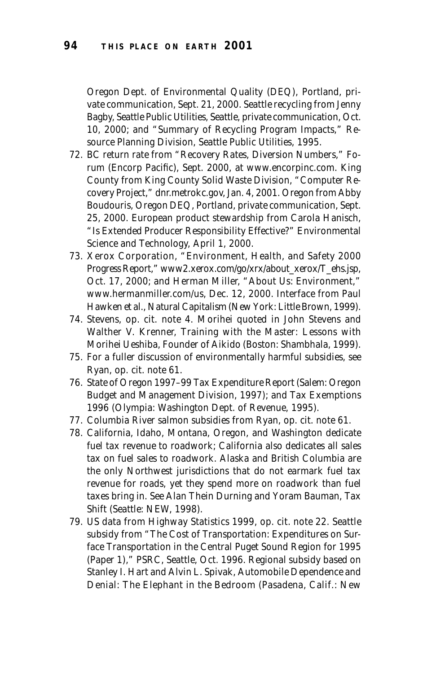Oregon Dept. of Environmental Quality (DEQ), Portland, private communication, Sept. 21, 2000. Seattle recycling from Jenny Bagby, Seattle Public Utilities, Seattle, private communication, Oct. 10, 2000; and "Summary of Recycling Program Impacts," Resource Planning Division, Seattle Public Utilities, 1995.

- 72. BC return rate from "Recovery Rates, Diversion Numbers," *Forum* (Encorp Pacific), Sept. 2000, at *www.encorpinc.com*. King County from King County Solid Waste Division, "Computer Recovery Project," *dnr.metrokc.gov,* Jan. 4, 2001. Oregon from Abby Boudouris, Oregon DEQ, Portland, private communication, Sept. 25, 2000. European product stewardship from Carola Hanisch, "Is Extended Producer Responsibility Effective?" *Environmental Science and Technology,* April 1, 2000.
- 73. Xerox Corporation, "Environment, Health, and Safety 2000 Progress Report," *www2.xerox.com/go/xrx/about\_xerox/T\_ehs.jsp,* Oct. 17, 2000; and Herman Miller, "About Us: Environment," *www.hermanmiller.com/us,* Dec. 12, 2000. Interface from Paul Hawken et al., *Natural Capitalism* (New York: Little Brown, 1999).
- 74. Stevens, op. cit. note 4. Morihei quoted in John Stevens and Walther V. Krenner, *Training with the Master: Lessons with Morihei Ueshiba, Founder of Aikido* (Boston: Shambhala, 1999).
- 75. For a fuller discussion of environmentally harmful subsidies, see Ryan, op. cit. note 61.
- 76. *State of Oregon 1997–99 Tax Expenditure Report* (Salem: Oregon Budget and Management Division, 1997); and *Tax Exemptions 1996* (Olympia: Washington Dept. of Revenue, 1995).
- 77. Columbia River salmon subsidies from Ryan, op. cit. note 61.
- 78. California, Idaho, Montana, Oregon, and Washington dedicate fuel tax revenue to roadwork; California also dedicates all sales tax on fuel sales to roadwork. Alaska and British Columbia are the only Northwest jurisdictions that do not earmark fuel tax revenue for roads, yet they spend more on roadwork than fuel taxes bring in. See Alan Thein Durning and Yoram Bauman, *Tax Shift* (Seattle: NEW, 1998).
- 79. US data from *Highway Statistics 1999,* op. cit. note 22. Seattle subsidy from "The Cost of Transportation: Expenditures on Surface Transportation in the Central Puget Sound Region for 1995 (Paper 1)," PSRC, Seattle, Oct. 1996. Regional subsidy based on Stanley I. Hart and Alvin L. Spivak, *Automobile Dependence and Denial: The Elephant in the Bedroom* (Pasadena, Calif.: New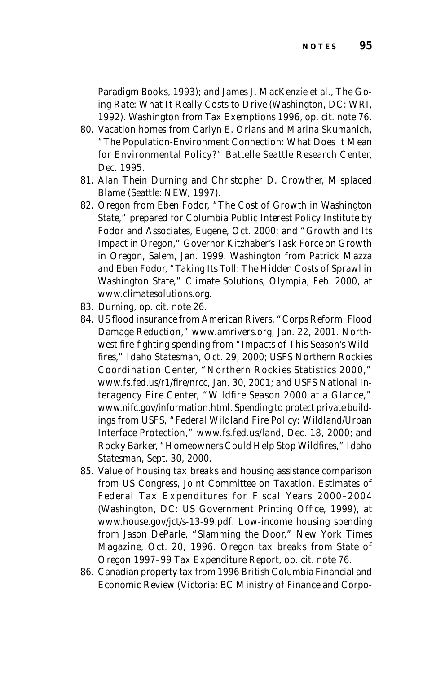Paradigm Books, 1993); and James J. MacKenzie et al., *The Going Rate: What It Really Costs to Drive* (Washington, DC: WRI, 1992). Washington from *Tax Exemptions 1996,* op. cit. note 76.

- 80. Vacation homes from Carlyn E. Orians and Marina Skumanich, "The Population-Environment Connection: What Does It Mean for Environmental Policy?" Battelle Seattle Research Center, Dec. 1995.
- 81. Alan Thein Durning and Christopher D. Crowther, *Misplaced Blame* (Seattle: NEW, 1997).
- 82. Oregon from Eben Fodor, "The Cost of Growth in Washington State*,*" prepared for Columbia Public Interest Policy Institute by Fodor and Associates, Eugene, Oct. 2000; and "Growth and Its Impact in Oregon," Governor Kitzhaber's Task Force on Growth in Oregon, Salem, Jan. 1999. Washington from Patrick Mazza and Eben Fodor, "Taking Its Toll: The Hidden Costs of Sprawl in Washington State," Climate Solutions, Olympia, Feb. 2000, at *www.climatesolutions.org.*
- 83. Durning, op. cit. note 26.
- 84. US flood insurance from American Rivers, "Corps Reform: Flood Damage Reduction," *www.amrivers.org,* Jan. 22, 2001. Northwest fire-fighting spending from "Impacts of This Season's Wildfires," *Idaho Statesman,* Oct. 29, 2000; USFS Northern Rockies Coordination Center, "Northern Rockies Statistics 2000," *www.fs.fed.us/r1/fire/nrcc,* Jan. 30, 2001; and USFS National Interagency Fire Center, "Wildfire Season 2000 at a Glance," *www.nifc.gov/information.html.* Spending to protect private buildings from USFS, "Federal Wildland Fire Policy: Wildland/Urban Interface Protection," *www.fs.fed.us/land,* Dec. 18, 2000; and Rocky Barker, "Homeowners Could Help Stop Wildfires," *Idaho Statesman,* Sept. 30, 2000.
- 85. Value of housing tax breaks and housing assistance comparison from US Congress, Joint Committee on Taxation, *Estimates of Federal Tax Expenditures for Fiscal Years 2000–2004* (Washington, DC: US Government Printing Office, 1999), at *www.house.gov/jct/s-13-99.pdf.* Low-income housing spending from Jason DeParle, "Slamming the Door," *New York Times Magazine,* Oct. 20, 1996. Oregon tax breaks from *State of Oregon 1997–99 Tax Expenditure Report,* op. cit. note 76.
- 86. Canadian property tax from *1996 British Columbia Financial and Economic Review* (Victoria: BC Ministry of Finance and Corpo-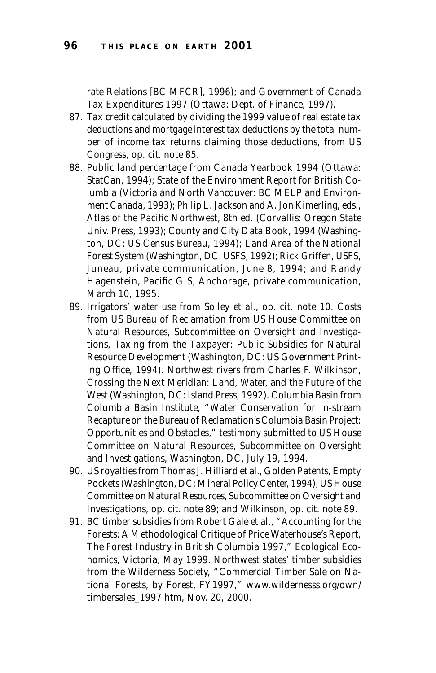rate Relations [BC MFCR], 1996); and *Government of Canada Tax Expenditures 1997* (Ottawa: Dept. of Finance, 1997).

- 87. Tax credit calculated by dividing the 1999 value of real estate tax deductions and mortgage interest tax deductions by the total number of income tax returns claiming those deductions, from US Congress, op. cit. note 85.
- 88. Public land percentage from *Canada Yearbook 1994* (Ottawa: StatCan, 1994); *State of the Environment Report for British Columbia* (Victoria and North Vancouver: BC MELP and Environment Canada, 1993); Philip L. Jackson and A. Jon Kimerling, eds., *Atlas of the Pacific Northwest*, 8th ed. (Corvallis: Oregon State Univ. Press, 1993); *County and City Data Book, 1994* (Washington, DC: US Census Bureau, 1994); *Land Area of the National Forest System* (Washington, DC: USFS, 1992); Rick Griffen, USFS, Juneau, private communication, June 8, 1994; and Randy Hagenstein, Pacific GIS, Anchorage, private communication, March 10, 1995.
- 89. Irrigators' water use from Solley et al., op. cit. note 10. Costs from US Bureau of Reclamation from US House Committee on Natural Resources, Subcommittee on Oversight and Investigations, *Taxing from the Taxpayer: Public Subsidies for Natural Resource Development* (Washington, DC: US Government Printing Office, 1994). Northwest rivers from Charles F. Wilkinson, *Crossing the Next Meridian: Land, Water, and the Future of the West* (Washington, DC: Island Press, 1992). Columbia Basin from Columbia Basin Institute, "Water Conservation for In-stream Recapture on the Bureau of Reclamation's Columbia Basin Project: Opportunities and Obstacles," testimony submitted to US House Committee on Natural Resources, Subcommittee on Oversight and Investigations, Washington, DC, July 19, 1994.
- 90. US royalties from Thomas J. Hilliard et al., *Golden Patents, Empty Pockets* (Washington, DC: Mineral Policy Center, 1994); US House Committee on Natural Resources, Subcommittee on Oversight and Investigations, op. cit. note 89; and Wilkinson, op. cit. note 89.
- 91. BC timber subsidies from Robert Gale et al., "Accounting for the Forests: A Methodological Critique of Price Waterhouse's Report, *The Forest Industry in British Columbia 1997,*" Ecological Economics, Victoria, May 1999. Northwest states' timber subsidies from the Wilderness Society, "Commercial Timber Sale on National Forests, by Forest, FY1997," *www.wildernesss.org/own/ timbersales\_1997.htm,* Nov. 20, 2000.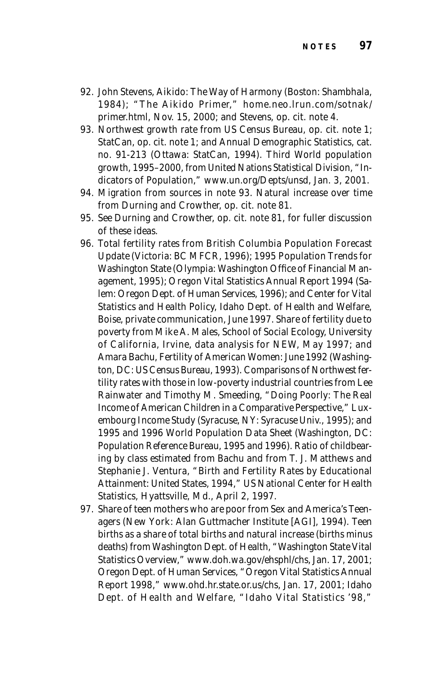- 92. John Stevens, *Aikido: The Way of Harmony* (Boston: Shambhala, 1984); "The Aikido Primer," *home.neo.lrun.com/sotnak/ primer.html,* Nov. 15, 2000; and Stevens, op. cit. note 4.
- 93. Northwest growth rate from US Census Bureau, op. cit. note 1; StatCan, op. cit. note 1; and *Annual Demographic Statistics,* cat. no. 91-213 (Ottawa: StatCan, 1994). Third World population growth, 1995–2000, from United Nations Statistical Division, "Indicators of Population," *www.un.org/Depts/unsd,* Jan. 3, 2001.
- 94. Migration from sources in note 93. Natural increase over time from Durning and Crowther, op. cit. note 81.
- 95. See Durning and Crowther, op. cit. note 81, for fuller discussion of these ideas.
- 96. Total fertility rates from *British Columbia Population Forecast Update* (Victoria: BC MFCR, 1996); *1995 Population Trends for Washington State* (Olympia: Washington Office of Financial Management, 1995); *Oregon Vital Statistics Annual Report 1994* (Salem: Oregon Dept. of Human Services, 1996); and Center for Vital Statistics and Health Policy, Idaho Dept. of Health and Welfare, Boise, private communication, June 1997. Share of fertility due to poverty from Mike A. Males, School of Social Ecology, University of California, Irvine, data analysis for NEW, May 1997; and Amara Bachu, *Fertility of American Women: June 1992* (Washington, DC: US Census Bureau, 1993). Comparisons of Northwest fertility rates with those in low-poverty industrial countries from Lee Rainwater and Timothy M. Smeeding, "Doing Poorly: The Real Income of American Children in a Comparative Perspective," *Luxembourg Income Study* (Syracuse, NY: Syracuse Univ., 1995); and *1995* and *1996 World Population Data Sheet* (Washington, DC: Population Reference Bureau, 1995 and 1996). Ratio of childbearing by class estimated from Bachu and from T. J. Matthews and Stephanie J. Ventura, "Birth and Fertility Rates by Educational Attainment: United States, 1994," US National Center for Health Statistics, Hyattsville, Md., April 2, 1997.
- 97. Share of teen mothers who are poor from *Sex and America's Teenagers* (New York: Alan Guttmacher Institute [AGI], 1994). Teen births as a share of total births and natural increase (births minus deaths) from Washington Dept. of Health, "Washington State Vital Statistics Overview," *www.doh.wa.gov/ehsphl/chs,* Jan. 17, 2001; Oregon Dept. of Human Services, "Oregon Vital Statistics Annual Report 1998," *www.ohd.hr.state.or.us/chs,* Jan. 17, 2001; Idaho Dept. of Health and Welfare, "Idaho Vital Statistics '98,"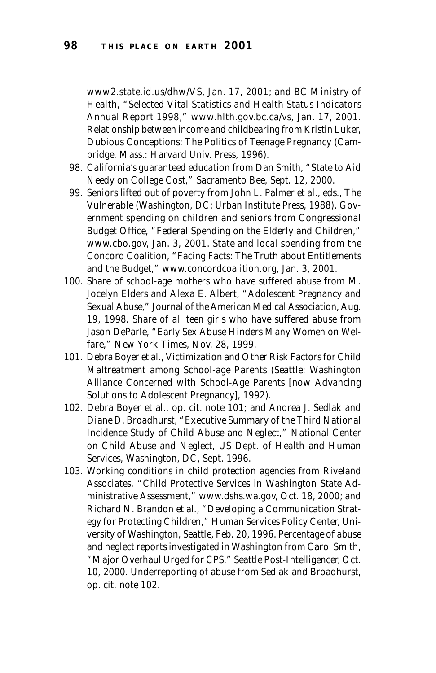*www2.state.id.us/dhw/VS,* Jan. 17, 2001; and BC Ministry of Health, "Selected Vital Statistics and Health Status Indicators Annual Report 1998," *www.hlth.gov.bc.ca/vs,* Jan. 17, 2001. Relationship between income and childbearing from Kristin Luker, *Dubious Conceptions: The Politics of Teenage Pregnancy* (Cambridge, Mass.: Harvard Univ. Press, 1996).

- 98. California's guaranteed education from Dan Smith, "State to Aid Needy on College Cost," *Sacramento Bee,* Sept. 12, 2000.
- 99. Seniors lifted out of poverty from John L. Palmer et al., eds., *The Vulnerable* (Washington, DC: Urban Institute Press, 1988). Government spending on children and seniors from Congressional Budget Office, "Federal Spending on the Elderly and Children," *www.cbo.gov,* Jan. 3, 2001. State and local spending from the Concord Coalition, "Facing Facts: The Truth about Entitlements and the Budget," *www.concordcoalition.org,* Jan. 3, 2001*.*
- 100. Share of school-age mothers who have suffered abuse from M. Jocelyn Elders and Alexa E. Albert, "Adolescent Pregnancy and Sexual Abuse," *Journal of the American Medical Association,* Aug. 19, 1998. Share of all teen girls who have suffered abuse from Jason DeParle, "Early Sex Abuse Hinders Many Women on Welfare," *New York Times,* Nov. 28, 1999.
- 101. Debra Boyer et al., *Victimization and Other Risk Factors for Child Maltreatment among School-age Parents* (Seattle: Washington Alliance Concerned with School-Age Parents [now Advancing Solutions to Adolescent Pregnancy], 1992).
- 102. Debra Boyer et al., op. cit. note 101; and Andrea J. Sedlak and Diane D. Broadhurst, "Executive Summary of the Third National Incidence Study of Child Abuse and Neglect," National Center on Child Abuse and Neglect, US Dept. of Health and Human Services, Washington, DC, Sept. 1996.
- 103. Working conditions in child protection agencies from Riveland Associates, "Child Protective Services in Washington State Administrative Assessment," *www.dshs.wa.gov,* Oct. 18, 2000; and Richard N. Brandon et al., "Developing a Communication Strategy for Protecting Children," Human Services Policy Center, University of Washington, Seattle, Feb. 20, 1996. Percentage of abuse and neglect reports investigated in Washington from Carol Smith, "Major Overhaul Urged for CPS," *Seattle Post-Intelligencer,* Oct. 10, 2000. Underreporting of abuse from Sedlak and Broadhurst, op. cit. note 102.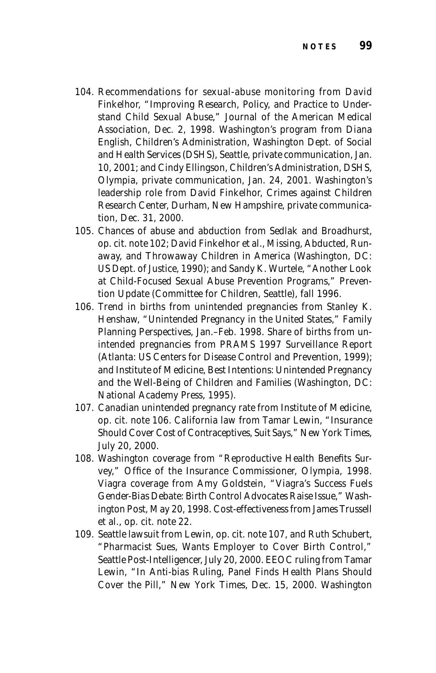- 104. Recommendations for sexual-abuse monitoring from David Finkelhor, "Improving Research, Policy, and Practice to Understand Child Sexual Abuse," *Journal of the American Medical Association,* Dec. 2, 1998. Washington's program from Diana English, Children's Administration, Washington Dept. of Social and Health Services (DSHS), Seattle, private communication, Jan. 10, 2001; and Cindy Ellingson, Children's Administration, DSHS, Olympia, private communication, Jan. 24, 2001. Washington's leadership role from David Finkelhor, Crimes against Children Research Center, Durham, New Hampshire, private communication, Dec. 31, 2000.
- 105. Chances of abuse and abduction from Sedlak and Broadhurst, op. cit. note 102; David Finkelhor et al., *Missing, Abducted, Runaway, and Throwaway Children in America* (Washington, DC: US Dept. of Justice, 1990); and Sandy K. Wurtele, "Another Look at Child-Focused Sexual Abuse Prevention Programs," *Prevention Update* (Committee for Children, Seattle), fall 1996.
- 106. Trend in births from unintended pregnancies from Stanley K. Henshaw, "Unintended Pregnancy in the United States," *Family Planning Perspectives,* Jan.–Feb. 1998. Share of births from unintended pregnancies from *PRAMS 1997 Surveillance Report* (Atlanta: US Centers for Disease Control and Prevention, 1999); and Institute of Medicine, *Best Intentions: Unintended Pregnancy and the Well-Being of Children and Families* (Washington, DC: National Academy Press, 1995).
- 107. Canadian unintended pregnancy rate from Institute of Medicine, op. cit. note 106. California law from Tamar Lewin, "Insurance Should Cover Cost of Contraceptives, Suit Says," *New York Times,* July 20, 2000.
- 108. Washington coverage from "Reproductive Health Benefits Survey," Office of the Insurance Commissioner, Olympia, 1998. Viagra coverage from Amy Goldstein, "Viagra's Success Fuels Gender-Bias Debate: Birth Control Advocates Raise Issue," *Washington Post,* May 20, 1998. Cost-effectiveness from James Trussell et al., op. cit. note 22.
- 109. Seattle lawsuit from Lewin, op. cit. note 107, and Ruth Schubert, "Pharmacist Sues, Wants Employer to Cover Birth Control," *Seattle Post-Intelligencer,* July 20, 2000. EEOC ruling from Tamar Lewin, "In Anti-bias Ruling, Panel Finds Health Plans Should Cover the Pill," *New York Times,* Dec. 15, 2000. Washington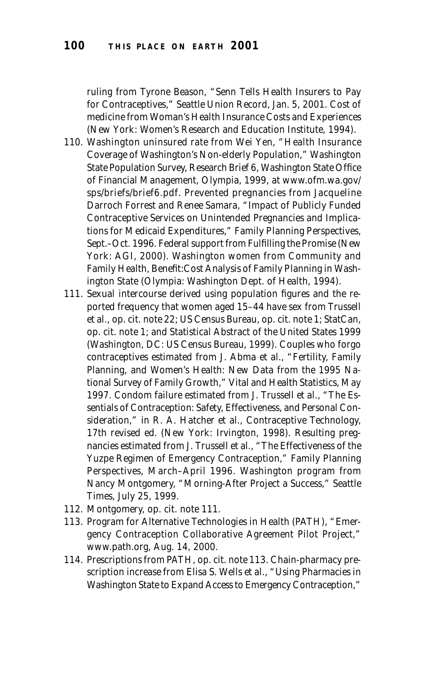ruling from Tyrone Beason, "Senn Tells Health Insurers to Pay for Contraceptives," *Seattle Union Record,* Jan. 5, 2001. Cost of medicine from *Woman's Health Insurance Costs and Experiences* (New York: Women's Research and Education Institute, 1994).

- 110. Washington uninsured rate from Wei Yen, "Health Insurance Coverage of Washington's Non-elderly Population," Washington State Population Survey, Research Brief 6, Washington State Office of Financial Management, Olympia, 1999, at *www.ofm.wa.gov/ sps/briefs/brief6.pdf.* Prevented pregnancies from Jacqueline Darroch Forrest and Renee Samara, "Impact of Publicly Funded Contraceptive Services on Unintended Pregnancies and Implications for Medicaid Expenditures," *Family Planning Perspectives,* Sept.–Oct. 1996. Federal support from *Fulfilling the Promise* (New York: AGI, 2000). Washington women from Community and Family Health, *Benefit:Cost Analysis of Family Planning in Washington State* (Olympia: Washington Dept. of Health, 1994).
- 111. Sexual intercourse derived using population figures and the reported frequency that women aged 15–44 have sex from Trussell et al., op. cit. note 22; US Census Bureau, op. cit. note 1; StatCan, op. cit. note 1; and *Statistical Abstract of the United States 1999* (Washington, DC: US Census Bureau, 1999). Couples who forgo contraceptives estimated from J. Abma et al., "Fertility, Family Planning, and Women's Health: New Data from the 1995 National Survey of Family Growth," *Vital and Health Statistics,* May 1997. Condom failure estimated from J. Trussell et al., "The Essentials of Contraception: Safety, Effectiveness, and Personal Consideration," in R. A. Hatcher et al., *Contraceptive Technology,* 17th revised ed. (New York: Irvington, 1998). Resulting pregnancies estimated from J. Trussell et al., "The Effectiveness of the Yuzpe Regimen of Emergency Contraception," *Family Planning Perspectives,* March–April 1996. Washington program from Nancy Montgomery, "Morning-After Project a Success," *Seattle Times,* July 25, 1999.
- 112. Montgomery, op. cit. note 111.
- 113. Program for Alternative Technologies in Health (PATH), "Emergency Contraception Collaborative Agreement Pilot Project," *www.path.org,* Aug. 14, 2000.
- 114. Prescriptions from PATH, op. cit. note 113. Chain-pharmacy prescription increase from Elisa S. Wells et al., "Using Pharmacies in Washington State to Expand Access to Emergency Contraception,"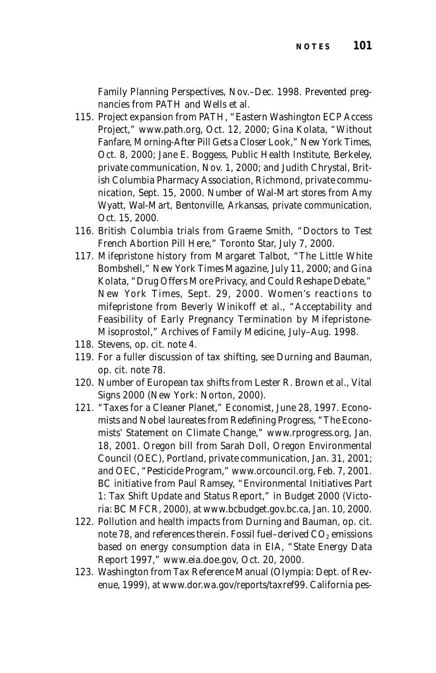*Family Planning Perspectives,* Nov.–Dec. 1998. Prevented pregnancies from PATH and Wells et al.

- 115. Project expansion from PATH, "Eastern Washington ECP Access Project," *www.path.org,* Oct. 12, 2000; Gina Kolata, "Without Fanfare, Morning-After Pill Gets a Closer Look," *New York Times,* Oct. 8, 2000; Jane E. Boggess, Public Health Institute, Berkeley, private communication, Nov. 1, 2000; and Judith Chrystal, British Columbia Pharmacy Association, Richmond, private communication, Sept. 15, 2000. Number of Wal-Mart stores from Amy Wyatt, Wal-Mart, Bentonville, Arkansas, private communication, Oct. 15, 2000.
- 116. British Columbia trials from Graeme Smith, "Doctors to Test French Abortion Pill Here," *Toronto Star,* July 7, 2000.
- 117. Mifepristone history from Margaret Talbot, "The Little White Bombshell," *New York Times Magazine,* July 11, 2000; and Gina Kolata, "Drug Offers More Privacy, and Could Reshape Debate," *New York Times,* Sept. 29, 2000. Women's reactions to mifepristone from Beverly Winikoff et al., "Acceptability and Feasibility of Early Pregnancy Termination by Mifepristone-Misoprostol," *Archives of Family Medicine,* July–Aug. 1998.
- 118. Stevens, op. cit. note 4.
- 119. For a fuller discussion of tax shifting, see Durning and Bauman, op. cit. note 78.
- 120. Number of European tax shifts from Lester R. Brown et al., *Vital Signs 2000* (New York: Norton, 2000).
- 121. "Taxes for a Cleaner Planet," *Economist,* June 28, 1997. Economists and Nobel laureates from Redefining Progress, "The Economists' Statement on Climate Change," *www.rprogress.org,* Jan. 18, 2001. Oregon bill from Sarah Doll, Oregon Environmental Council (OEC), Portland, private communication, Jan. 31, 2001; and OEC, "Pesticide Program," *www.orcouncil.org,* Feb. 7, 2001. BC initiative from Paul Ramsey, "Environmental Initiatives Part 1: Tax Shift Update and Status Report," in *Budget 2000* (Victoria: BC MFCR, 2000), at *www.bcbudget.gov.bc.ca,* Jan. 10, 2000.
- 122. Pollution and health impacts from Durning and Bauman, op. cit. note 78, and references therein. Fossil fuel-derived  $CO<sub>2</sub>$  emissions based on energy consumption data in EIA, "State Energy Data Report 1997," *www.eia.doe.gov,* Oct. 20, 2000.
- 123. Washington from *Tax Reference Manual* (Olympia: Dept. of Revenue, 1999), at *www.dor.wa.gov/reports/taxref99.* California pes-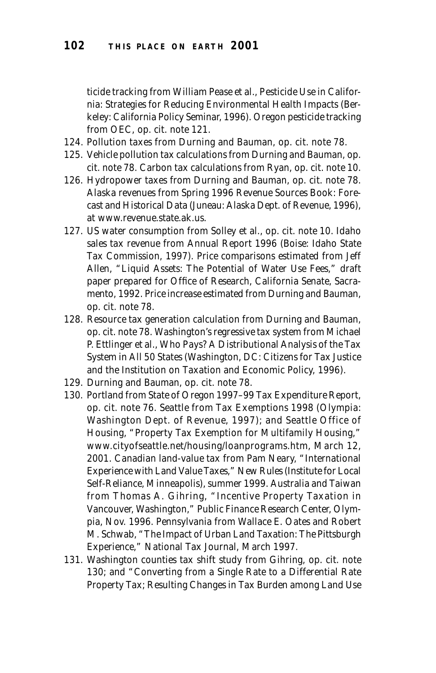ticide tracking from William Pease et al., *Pesticide Use in California: Strategies for Reducing Environmental Health Impacts* (Berkeley: California Policy Seminar, 1996). Oregon pesticide tracking from OEC, op. cit. note 121.

- 124. Pollution taxes from Durning and Bauman, op. cit. note 78.
- 125. Vehicle pollution tax calculations from Durning and Bauman, op. cit. note 78. Carbon tax calculations from Ryan, op. cit. note 10.
- 126. Hydropower taxes from Durning and Bauman, op. cit. note 78. Alaska revenues from *Spring 1996 Revenue Sources Book: Forecast and Historical Data* (Juneau: Alaska Dept. of Revenue, 1996), at *www.revenue.state.ak.us.*
- 127. US water consumption from Solley et al., op. cit. note 10. Idaho sales tax revenue from *Annual Report 1996* (Boise: Idaho State Tax Commission, 1997). Price comparisons estimated from Jeff Allen, "Liquid Assets: The Potential of Water Use Fees," draft paper prepared for Office of Research, California Senate, Sacramento, 1992. Price increase estimated from Durning and Bauman, op. cit. note 78.
- 128. Resource tax generation calculation from Durning and Bauman, op. cit. note 78. Washington's regressive tax system from Michael P. Ettlinger et al., *Who Pays? A Distributional Analysis of the Tax System in All 50 States* (Washington, DC: Citizens for Tax Justice and the Institution on Taxation and Economic Policy, 1996).
- 129. Durning and Bauman, op. cit. note 78.
- 130. Portland from *State of Oregon 1997–99 Tax Expenditure Report,* op. cit. note 76. Seattle from *Tax Exemptions 1998* (Olympia: Washington Dept. of Revenue, 1997); and Seattle Office of Housing, "Property Tax Exemption for Multifamily Housing," *www.cityofseattle.net/housing/loanprograms.htm,* March 12, 2001. Canadian land-value tax from Pam Neary, "International Experience with Land Value Taxes," *New Rules* (Institute for Local Self-Reliance, Minneapolis), summer 1999. Australia and Taiwan from Thomas A. Gihring, "Incentive Property Taxation in Vancouver, Washington," Public Finance Research Center, Olympia, Nov. 1996. Pennsylvania from Wallace E. Oates and Robert M. Schwab, "The Impact of Urban Land Taxation: The Pittsburgh Experience," *National Tax Journal,* March 1997.
- 131. Washington counties tax shift study from Gihring, op. cit. note 130; and "Converting from a Single Rate to a Differential Rate Property Tax; Resulting Changes in Tax Burden among Land Use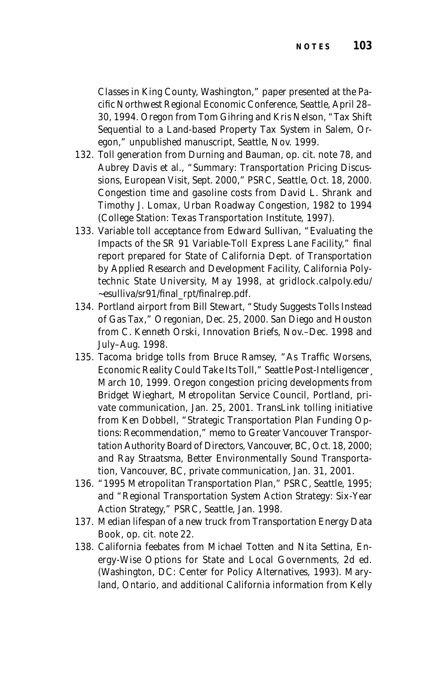Classes in King County, Washington," paper presented at the Pacific Northwest Regional Economic Conference, Seattle, April 28– 30, 1994. Oregon from Tom Gihring and Kris Nelson, "Tax Shift Sequential to a Land-based Property Tax System in Salem, Oregon," unpublished manuscript, Seattle, Nov. 1999.

- 132. Toll generation from Durning and Bauman, op. cit. note 78, and Aubrey Davis et al., "Summary: Transportation Pricing Discussions, European Visit, Sept. 2000," PSRC, Seattle, Oct. 18, 2000. Congestion time and gasoline costs from David L. Shrank and Timothy J. Lomax, *Urban Roadway Congestion, 1982 to 1994* (College Station: Texas Transportation Institute, 1997).
- 133. Variable toll acceptance from Edward Sullivan, "Evaluating the Impacts of the SR 91 Variable-Toll Express Lane Facility," final report prepared for State of California Dept. of Transportation by Applied Research and Development Facility, California Polytechnic State University, May 1998, at *gridlock.calpoly.edu/ ~esulliva/sr91/final\_rpt/finalrep.pdf.*
- 134. Portland airport from Bill Stewart, "Study Suggests Tolls Instead of Gas Tax," *Oregonian,* Dec. 25, 2000. San Diego and Houston from C. Kenneth Orski, *Innovation Briefs*, Nov.–Dec. 1998 and July–Aug. 1998.
- 135. Tacoma bridge tolls from Bruce Ramsey, "As Traffic Worsens, Economic Reality Could Take Its Toll," *Seattle Post-Intelligencer¸* March 10, 1999. Oregon congestion pricing developments from Bridget Wieghart, Metropolitan Service Council, Portland, private communication, Jan. 25, 2001. TransLink tolling initiative from Ken Dobbell, "Strategic Transportation Plan Funding Options: Recommendation," memo to Greater Vancouver Transportation Authority Board of Directors, Vancouver, BC, Oct. 18, 2000; and Ray Straatsma, Better Environmentally Sound Transportation, Vancouver, BC, private communication, Jan. 31, 2001.
- 136. "1995 Metropolitan Transportation Plan," PSRC, Seattle, 1995; and "Regional Transportation System Action Strategy: Six-Year Action Strategy," PSRC, Seattle, Jan. 1998.
- 137. Median lifespan of a new truck from *Transportation Energy Data Book,* op. cit. note 22.
- 138. California feebates from Michael Totten and Nita Settina, *Energy-Wise Options for State and Local Governments,* 2d ed. (Washington, DC: Center for Policy Alternatives, 1993). Maryland, Ontario, and additional California information from Kelly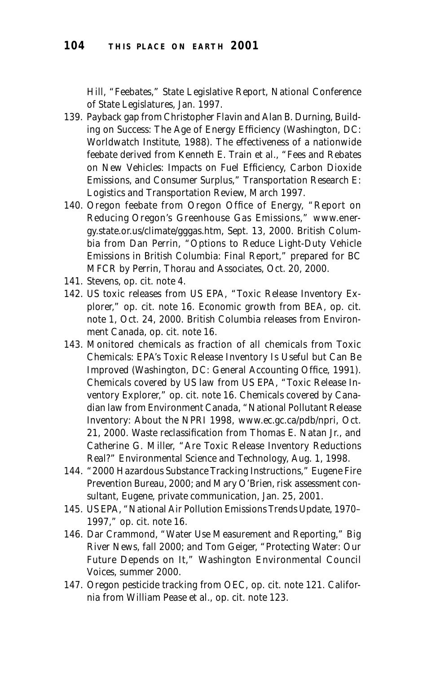Hill, "Feebates," *State Legislative Report,* National Conference of State Legislatures, Jan. 1997.

- 139. Payback gap from Christopher Flavin and Alan B. Durning, *Building on Success: The Age of Energy Efficiency* (Washington, DC: Worldwatch Institute, 1988). The effectiveness of a nationwide feebate derived from Kenneth E. Train et al., "Fees and Rebates on New Vehicles: Impacts on Fuel Efficiency, Carbon Dioxide Emissions, and Consumer Surplus," *Transportation Research E: Logistics and Transportation Review,* March 1997.
- 140. Oregon feebate from Oregon Office of Energy, "Report on Reducing Oregon's Greenhouse Gas Emissions," *www.energy.state.or.us/climate/gggas.htm,* Sept. 13, 2000. British Columbia from Dan Perrin, "Options to Reduce Light-Duty Vehicle Emissions in British Columbia: Final Report," prepared for BC MFCR by Perrin, Thorau and Associates, Oct. 20, 2000.
- 141. Stevens, op. cit. note 4.
- 142. US toxic releases from US EPA, "Toxic Release Inventory Explorer," op. cit. note 16. Economic growth from BEA, op. cit. note 1, Oct. 24, 2000. British Columbia releases from Environment Canada, op. cit. note 16.
- 143. Monitored chemicals as fraction of all chemicals from *Toxic Chemicals: EPA's Toxic Release Inventory Is Useful but Can Be Improved* (Washington, DC: General Accounting Office, 1991). Chemicals covered by US law from US EPA, "Toxic Release Inventory Explorer," op. cit. note 16. Chemicals covered by Canadian law from Environment Canada, "National Pollutant Release Inventory: About the NPRI 1998, *www.ec.gc.ca/pdb/npri,* Oct. 21, 2000*.* Waste reclassification from Thomas E. Natan Jr., and Catherine G. Miller, "Are Toxic Release Inventory Reductions Real?" *Environmental Science and Technology,* Aug. 1, 1998.
- 144. "2000 Hazardous Substance Tracking Instructions," Eugene Fire Prevention Bureau, 2000; and Mary O'Brien, risk assessment consultant, Eugene, private communication, Jan. 25, 2001.
- 145. US EPA, "National Air Pollution Emissions Trends Update, 1970– 1997," op. cit. note 16.
- 146. Dar Crammond, "Water Use Measurement and Reporting," *Big River News*, fall 2000; and Tom Geiger, "Protecting Water: Our Future Depends on It," *Washington Environmental Council Voices,* summer 2000.
- 147. Oregon pesticide tracking from OEC, op. cit. note 121. California from William Pease et al., op. cit. note 123.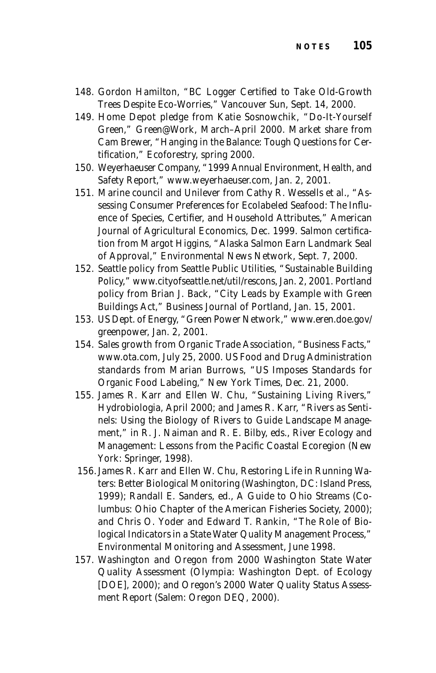- 148. Gordon Hamilton, "BC Logger Certified to Take Old-Growth Trees Despite Eco-Worries," *Vancouver Sun,* Sept. 14, 2000.
- 149. Home Depot pledge from Katie Sosnowchik, "Do-It-Yourself Green," *Green@Work,* March–April 2000. Market share from Cam Brewer, "Hanging in the Balance: Tough Questions for Certification," *Ecoforestry,* spring 2000.
- 150. Weyerhaeuser Company, "1999 Annual Environment, Health, and Safety Report," *www.weyerhaeuser.com*, Jan. 2, 2001.
- 151. Marine council and Unilever from Cathy R. Wessells et al., "Assessing Consumer Preferences for Ecolabeled Seafood: The Influence of Species, Certifier, and Household Attributes," *American Journal of Agricultural Economics,* Dec. 1999. Salmon certification from Margot Higgins, "Alaska Salmon Earn Landmark Seal of Approval," *Environmental News Network*, Sept. 7, 2000.
- 152. Seattle policy from Seattle Public Utilities, "Sustainable Building Policy," *www.cityofseattle.net/util/rescons,* Jan. 2, 2001. Portland policy from Brian J. Back, "City Leads by Example with Green Buildings Act," *Business Journal of Portland,* Jan. 15, 2001.
- 153. US Dept. of Energy, "Green Power Network," *www.eren.doe.gov/ greenpower,* Jan. 2, 2001.
- 154. Sales growth from Organic Trade Association, "Business Facts," *www.ota.com,* July 25, 2000. US Food and Drug Administration standards from Marian Burrows, "US Imposes Standards for Organic Food Labeling," *New York Times,* Dec. 21, 2000.
- 155. James R. Karr and Ellen W. Chu, "Sustaining Living Rivers," *Hydrobiologia,* April 2000; and James R. Karr, "Rivers as Sentinels: Using the Biology of Rivers to Guide Landscape Management," in R. J. Naiman and R. E. Bilby, eds., *River Ecology and Management: Lessons from the Pacific Coastal Ecoregion* (New York: Springer, 1998).
- 156.James R. Karr and Ellen W. Chu, *Restoring Life in Running Waters: Better Biological Monitoring* (Washington, DC: Island Press, 1999); Randall E. Sanders, ed., *A Guide to Ohio Streams* (Columbus: Ohio Chapter of the American Fisheries Society, 2000); and Chris O. Yoder and Edward T. Rankin, "The Role of Biological Indicators in a State Water Quality Management Process," *Environmental Monitoring and Assessment,* June 1998.
- 157. Washington and Oregon from *2000 Washington State Water Quality Assessment* (Olympia: Washington Dept. of Ecology [DOE], 2000); and *Oregon's 2000 Water Quality Status Assessment Report* (Salem: Oregon DEQ, 2000).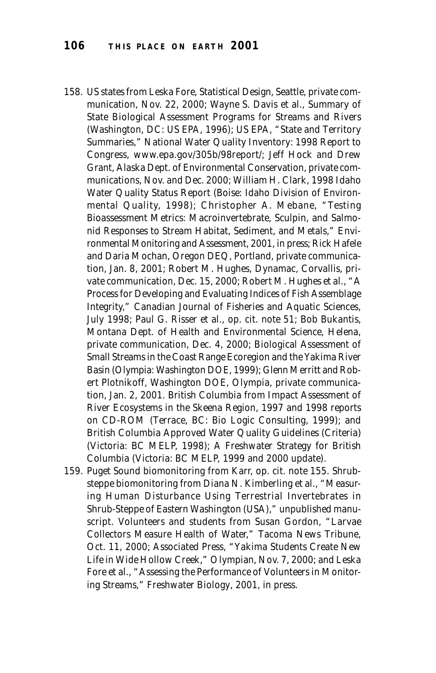- 158. US states from Leska Fore, Statistical Design, Seattle, private communication, Nov. 22, 2000; Wayne S. Davis et al., *Summary of State Biological Assessment Programs for Streams and Rivers* (Washington, DC: US EPA, 1996); US EPA, "State and Territory Summaries," *National Water Quality Inventory: 1998 Report to Congress, www.epa.gov/305b/98report/;* Jeff Hock and Drew Grant, Alaska Dept. of Environmental Conservation, private communications, Nov. and Dec. 2000; William H. Clark, *1998 Idaho Water Quality Status Report* (Boise: Idaho Division of Environmental Quality, 1998); Christopher A. Mebane, "Testing Bioassessment Metrics: Macroinvertebrate, Sculpin, and Salmonid Responses to Stream Habitat, Sediment, and Metals," *Environmental Monitoring and Assessment,* 2001, in press; Rick Hafele and Daria Mochan, Oregon DEQ, Portland, private communication, Jan. 8, 2001; Robert M. Hughes, Dynamac, Corvallis, private communication, Dec. 15, 2000; Robert M. Hughes et al., "A Process for Developing and Evaluating Indices of Fish Assemblage Integrity," *Canadian Journal of Fisheries and Aquatic Sciences,* July 1998; Paul G. Risser et al., op. cit. note 51; Bob Bukantis, Montana Dept. of Health and Environmental Science, Helena, private communication, Dec. 4, 2000; *Biological Assessment of Small Streams in the Coast Range Ecoregion and the Yakima River Basin* (Olympia: Washington DOE, 1999); Glenn Merritt and Robert Plotnikoff, Washington DOE, Olympia, private communication, Jan. 2, 2001. British Columbia from *Impact Assessment of River Ecosystems in the Skeena Region,* 1997 and 1998 reports on CD-ROM (Terrace, BC: Bio Logic Consulting, 1999); and *British Columbia Approved Water Quality Guidelines (Criteria)* (Victoria: BC MELP, 1998); *A Freshwater Strategy for British Columbia* (Victoria: BC MELP, 1999 and 2000 update).
- 159. Puget Sound biomonitoring from Karr, op. cit. note 155. Shrubsteppe biomonitoring from Diana N. Kimberling et al., "Measuring Human Disturbance Using Terrestrial Invertebrates in Shrub-Steppe of Eastern Washington (USA)," unpublished manuscript. Volunteers and students from Susan Gordon, "Larvae Collectors Measure Health of Water," *Tacoma News Tribune,* Oct. 11, 2000; Associated Press, "Yakima Students Create New Life in Wide Hollow Creek," *Olympian,* Nov. 7, 2000; and Leska Fore et al., "Assessing the Performance of Volunteers in Monitoring Streams," *Freshwater Biology*, 2001, in press.